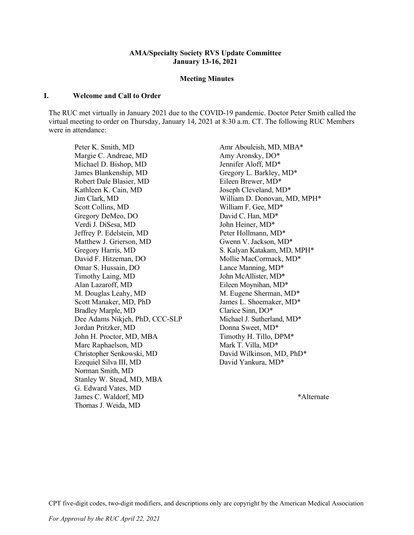#### **AMA/Specialty Society RVS Update Committee January 13-16, 2021**

#### **Meeting Minutes**

#### **I. Welcome and Call to Order**

The RUC met virtually in January 2021 due to the COVID-19 pandemic. Doctor Peter Smith called the virtual meeting to order on Thursday, January 14, 2021 at 8:30 a.m. CT. The following RUC Members were in attendance:

Peter K. Smith, MD Amr Abouleish, MD, MBA\* Margie C. Andreae, MD Amy Aronsky, DO\* Michael D. Bishop, MD Jennifer Aloff, MD\* James Blankenship, MD Gregory L. Barkley, MD<sup>\*</sup> Robert Dale Blasier, MD Eileen Brewer, MD\* Kathleen K. Cain, MD Joseph Cleveland, MD\* Jim Clark, MD William D. Donovan, MD, MPH\* Scott Collins, MD William F. Gee, MD\* Gregory DeMeo, DO David C. Han, MD<sup>\*</sup> Verdi J. DiSesa, MD John Heiner, MD\* Jeffrey P. Edelstein, MD Peter Hollmann, MD\* Matthew J. Grierson, MD Gwenn V. Jackson, MD\* Gregory Harris, MD S. Kalyan Katakam, MD, MPH<sup>\*</sup> David F. Hitzeman, DO Mollie MacCormack, MD\* Omar S. Hussain, DO Lance Manning, MD<sup>\*</sup> Timothy Laing, MD John McAllister, MD<sup>\*</sup> Alan Lazaroff, MD Eileen Moynihan, MD<sup>\*</sup> M. Douglas Leahy, MD M. Eugene Sherman, MD\* Scott Manaker, MD, PhD James L. Shoemaker, MD<sup>\*</sup> Bradley Marple, MD Clarice Sinn, DO\* Dee Adams Nikjeh, PhD, CCC-SLP Michael J. Sutherland, MD<sup>\*</sup> Jordan Pritzker, MD Donna Sweet, MD<sup>\*</sup> John H. Proctor, MD, MBA Timothy H. Tillo, DPM\* Marc Raphaelson, MD Mark T. Villa, MD\* Christopher Senkowski, MD David Wilkinson, MD, PhD\* Ezequiel Silva III, MD David Yankura, MD\* Norman Smith, MD Stanley W. Stead, MD, MBA G. Edward Vates, MD James C. Waldorf, MD \*Alternate Thomas J. Weida, MD

CPT five-digit codes, two-digit modifiers, and descriptions only are copyright by the American Medical Association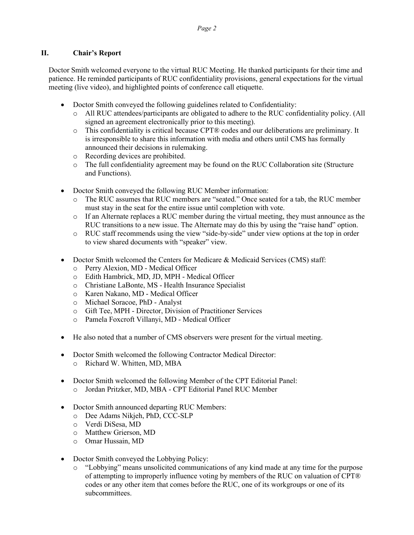# **II. Chair's Report**

Doctor Smith welcomed everyone to the virtual RUC Meeting. He thanked participants for their time and patience. He reminded participants of RUC confidentiality provisions, general expectations for the virtual meeting (live video), and highlighted points of conference call etiquette.

- Doctor Smith conveyed the following guidelines related to Confidentiality:
	- o All RUC attendees/participants are obligated to adhere to the RUC confidentiality policy. (All signed an agreement electronically prior to this meeting).
	- o This confidentiality is critical because CPT® codes and our deliberations are preliminary. It is irresponsible to share this information with media and others until CMS has formally announced their decisions in rulemaking.
	- o Recording devices are prohibited.
	- o The full confidentiality agreement may be found on the RUC Collaboration site (Structure and Functions).
- Doctor Smith conveyed the following RUC Member information:
	- The RUC assumes that RUC members are "seated." Once seated for a tab, the RUC member must stay in the seat for the entire issue until completion with vote.
	- o If an Alternate replaces a RUC member during the virtual meeting, they must announce as the RUC transitions to a new issue. The Alternate may do this by using the "raise hand" option.
	- o RUC staff recommends using the view "side-by-side" under view options at the top in order to view shared documents with "speaker" view.
- Doctor Smith welcomed the Centers for Medicare & Medicaid Services (CMS) staff:
	- o Perry Alexion, MD Medical Officer
	- o Edith Hambrick, MD, JD, MPH Medical Officer
	- o Christiane LaBonte, MS Health Insurance Specialist
	- o Karen Nakano, MD Medical Officer
	- o Michael Soracoe, PhD Analyst
	- o Gift Tee, MPH Director, Division of Practitioner Services
	- o Pamela Foxcroft Villanyi, MD Medical Officer
- He also noted that a number of CMS observers were present for the virtual meeting.
- Doctor Smith welcomed the following Contractor Medical Director: o Richard W. Whitten, MD, MBA
- Doctor Smith welcomed the following Member of the CPT Editorial Panel: o Jordan Pritzker, MD, MBA - CPT Editorial Panel RUC Member
- Doctor Smith announced departing RUC Members:
	- o Dee Adams Nikjeh, PhD, CCC-SLP
	- o Verdi DiSesa, MD
	- o Matthew Grierson, MD
	- o Omar Hussain, MD
- Doctor Smith conveyed the Lobbying Policy:
	- o "Lobbying" means unsolicited communications of any kind made at any time for the purpose of attempting to improperly influence voting by members of the RUC on valuation of CPT® codes or any other item that comes before the RUC, one of its workgroups or one of its subcommittees.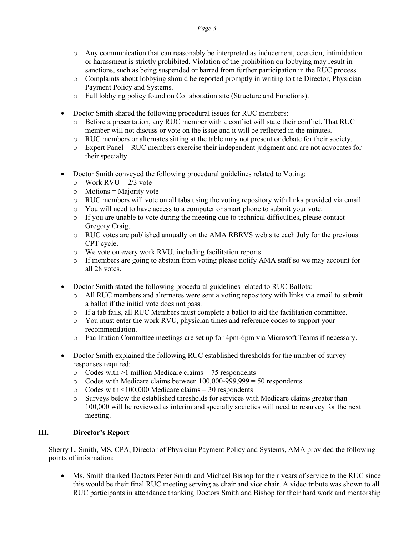- o Any communication that can reasonably be interpreted as inducement, coercion, intimidation or harassment is strictly prohibited. Violation of the prohibition on lobbying may result in sanctions, such as being suspended or barred from further participation in the RUC process.
- o Complaints about lobbying should be reported promptly in writing to the Director, Physician Payment Policy and Systems.
- o Full lobbying policy found on Collaboration site (Structure and Functions).
- Doctor Smith shared the following procedural issues for RUC members:
	- o Before a presentation, any RUC member with a conflict will state their conflict. That RUC member will not discuss or vote on the issue and it will be reflected in the minutes.
	- o RUC members or alternates sitting at the table may not present or debate for their society.
	- o Expert Panel RUC members exercise their independent judgment and are not advocates for their specialty.
- Doctor Smith conveyed the following procedural guidelines related to Voting:
	- $\circ$  Work RVU = 2/3 vote
	- $\circ$  Motions = Majority vote
	- o RUC members will vote on all tabs using the voting repository with links provided via email.
	- o You will need to have access to a computer or smart phone to submit your vote.
	- $\circ$  If you are unable to vote during the meeting due to technical difficulties, please contact Gregory Craig.
	- o RUC votes are published annually on the AMA RBRVS web site each July for the previous CPT cycle.
	- o We vote on every work RVU, including facilitation reports.
	- o If members are going to abstain from voting please notify AMA staff so we may account for all 28 votes.
- Doctor Smith stated the following procedural guidelines related to RUC Ballots:
	- o All RUC members and alternates were sent a voting repository with links via email to submit a ballot if the initial vote does not pass.
	- o If a tab fails, all RUC Members must complete a ballot to aid the facilitation committee.
	- o You must enter the work RVU, physician times and reference codes to support your recommendation.
	- o Facilitation Committee meetings are set up for 4pm-6pm via Microsoft Teams if necessary.
- Doctor Smith explained the following RUC established thresholds for the number of survey responses required:
	- $\circ$  Codes with  $>1$  million Medicare claims = 75 respondents
	- $\circ$  Codes with Medicare claims between 100,000-999,999 = 50 respondents
	-
	- $\circ$  Codes with <100,000 Medicare claims = 30 respondents  $\circ$  Surveys below the established thresholds for services with Surveys below the established thresholds for services with Medicare claims greater than 100,000 will be reviewed as interim and specialty societies will need to resurvey for the next meeting.

#### **III. Director's Report**

Sherry L. Smith, MS, CPA, Director of Physician Payment Policy and Systems, AMA provided the following points of information:

• Ms. Smith thanked Doctors Peter Smith and Michael Bishop for their years of service to the RUC since this would be their final RUC meeting serving as chair and vice chair. A video tribute was shown to all RUC participants in attendance thanking Doctors Smith and Bishop for their hard work and mentorship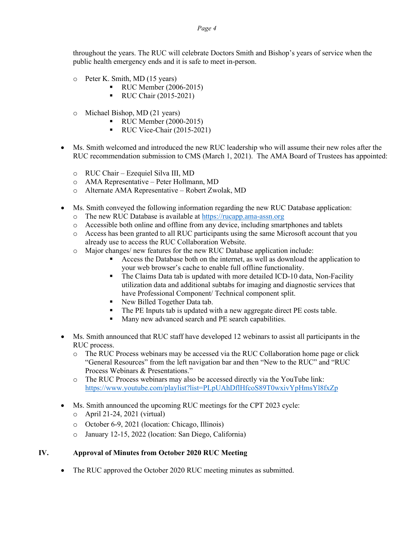throughout the years. The RUC will celebrate Doctors Smith and Bishop's years of service when the public health emergency ends and it is safe to meet in-person.

- o Peter K. Smith, MD (15 years)
	- **RUC Member (2006-2015)**
	- **RUC Chair (2015-2021)**
- o Michael Bishop, MD (21 years)
	- **RUC Member (2000-2015)** 
		- $\blacksquare$  RUC Vice-Chair (2015-2021)
- Ms. Smith welcomed and introduced the new RUC leadership who will assume their new roles after the RUC recommendation submission to CMS (March 1, 2021). The AMA Board of Trustees has appointed:
	- o RUC Chair Ezequiel Silva III, MD
	- o AMA Representative Peter Hollmann, MD
	- o Alternate AMA Representative Robert Zwolak, MD
- Ms. Smith conveyed the following information regarding the new RUC Database application:
	- o The new RUC Database is available at [https://rucapp.ama-assn.org](https://rucapp.ama-assn.org/)
	- o Accessible both online and offline from any device, including smartphones and tablets
	- o Access has been granted to all RUC participants using the same Microsoft account that you already use to access the RUC Collaboration Website.
	- o Major changes/ new features for the new RUC Database application include:
		- Access the Database both on the internet, as well as download the application to your web browser's cache to enable full offline functionality.
		- The Claims Data tab is updated with more detailed ICD-10 data, Non-Facility utilization data and additional subtabs for imaging and diagnostic services that have Professional Component/ Technical component split.
		- New Billed Together Data tab.
		- The PE Inputs tab is updated with a new aggregate direct PE costs table.
		- Many new advanced search and PE search capabilities.
- Ms. Smith announced that RUC staff have developed 12 webinars to assist all participants in the RUC process.
	- o The RUC Process webinars may be accessed via the RUC Collaboration home page or click "General Resources" from the left navigation bar and then "New to the RUC" and "RUC Process Webinars & Presentations."
	- o The RUC Process webinars may also be accessed directly via the YouTube link: <https://www.youtube.com/playlist?list=PLpUAhDflHfcoS89T0wxivYpHmsYl8fxZp>
- Ms. Smith announced the upcoming RUC meetings for the CPT 2023 cycle:
	- o April 21-24, 2021 (virtual)
	- o October 6-9, 2021 (location: Chicago, Illinois)
	- o January 12-15, 2022 (location: San Diego, California)

# **IV. Approval of Minutes from October 2020 RUC Meeting**

• The RUC approved the October 2020 RUC meeting minutes as submitted.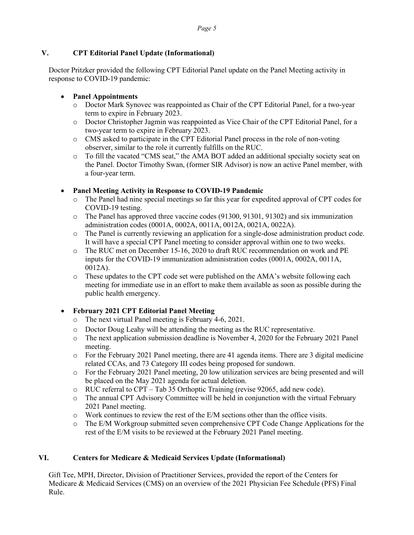# **V. CPT Editorial Panel Update (Informational)**

Doctor Pritzker provided the following CPT Editorial Panel update on the Panel Meeting activity in response to COVID-19 pandemic:

# • **Panel Appointments**

- o Doctor Mark Synovec was reappointed as Chair of the CPT Editorial Panel, for a two-year term to expire in February 2023.
- o Doctor Christopher Jagmin was reappointed as Vice Chair of the CPT Editorial Panel, for a two-year term to expire in February 2023.
- o CMS asked to participate in the CPT Editorial Panel process in the role of non-voting observer, similar to the role it currently fulfills on the RUC.
- o To fill the vacated "CMS seat," the AMA BOT added an additional specialty society seat on the Panel. Doctor Timothy Swan, (former SIR Advisor) is now an active Panel member, with a four-year term.

# • **Panel Meeting Activity in Response to COVID-19 Pandemic**

- The Panel had nine special meetings so far this year for expedited approval of CPT codes for COVID-19 testing.
- o The Panel has approved three vaccine codes (91300, 91301, 91302) and six immunization administration codes (0001A, 0002A, 0011A, 0012A, 0021A, 0022A).
- o The Panel is currently reviewing an application for a single-dose administration product code. It will have a special CPT Panel meeting to consider approval within one to two weeks.
- o The RUC met on December 15-16, 2020 to draft RUC recommendation on work and PE inputs for the COVID-19 immunization administration codes (0001A, 0002A, 0011A, 0012A).
- o These updates to the CPT code set were published on the AMA's website following each meeting for immediate use in an effort to make them available as soon as possible during the public health emergency.

# • **February 2021 CPT Editorial Panel Meeting**

- o The next virtual Panel meeting is February 4-6, 2021.
- o Doctor Doug Leahy will be attending the meeting as the RUC representative.
- o The next application submission deadline is November 4, 2020 for the February 2021 Panel meeting.
- o For the February 2021 Panel meeting, there are 41 agenda items. There are 3 digital medicine related CCAs, and 73 Category III codes being proposed for sundown.
- o For the February 2021 Panel meeting, 20 low utilization services are being presented and will be placed on the May 2021 agenda for actual deletion.
- o RUC referral to CPT Tab 35 Orthoptic Training (revise 92065, add new code).
- o The annual CPT Advisory Committee will be held in conjunction with the virtual February 2021 Panel meeting.
- $\circ$  Work continues to review the rest of the E/M sections other than the office visits.
- o The E/M Workgroup submitted seven comprehensive CPT Code Change Applications for the rest of the E/M visits to be reviewed at the February 2021 Panel meeting.

# **VI. Centers for Medicare & Medicaid Services Update (Informational)**

Gift Tee, MPH, Director, Division of Practitioner Services, provided the report of the Centers for Medicare & Medicaid Services (CMS) on an overview of the 2021 Physician Fee Schedule (PFS) Final Rule.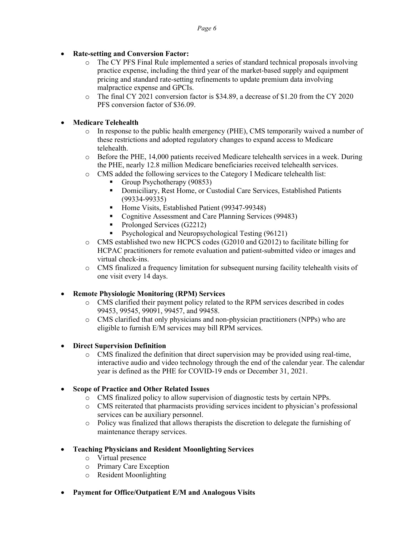- **Rate-setting and Conversion Factor:**
	- o The CY PFS Final Rule implemented a series of standard technical proposals involving practice expense, including the third year of the market-based supply and equipment pricing and standard rate-setting refinements to update premium data involving malpractice expense and GPCIs.
	- o The final CY 2021 conversion factor is \$34.89, a decrease of \$1.20 from the CY 2020 PFS conversion factor of \$36.09.

# • **Medicare Telehealth**

- o In response to the public health emergency (PHE), CMS temporarily waived a number of these restrictions and adopted regulatory changes to expand access to Medicare telehealth.
- o Before the PHE, 14,000 patients received Medicare telehealth services in a week. During the PHE, nearly 12.8 million Medicare beneficiaries received telehealth services.
- o CMS added the following services to the Category I Medicare telehealth list:
	- Group Psychotherapy (90853)
	- Domiciliary, Rest Home, or Custodial Care Services, Established Patients (99334-99335)
	- Home Visits, Established Patient (99347-99348)
	- Cognitive Assessment and Care Planning Services (99483)
	- Prolonged Services (G2212)
	- **Psychological and Neuropsychological Testing (96121)**
- o CMS established two new HCPCS codes (G2010 and G2012) to facilitate billing for HCPAC practitioners for remote evaluation and patient-submitted video or images and virtual check-ins.
- o CMS finalized a frequency limitation for subsequent nursing facility telehealth visits of one visit every 14 days.

# • **Remote Physiologic Monitoring (RPM) Services**

- o CMS clarified their payment policy related to the RPM services described in codes 99453, 99545, 99091, 99457, and 99458.
- o CMS clarified that only physicians and non-physician practitioners (NPPs) who are eligible to furnish E/M services may bill RPM services.
- **Direct Supervision Definition**
	- o CMS finalized the definition that direct supervision may be provided using real-time, interactive audio and video technology through the end of the calendar year. The calendar year is defined as the PHE for COVID-19 ends or December 31, 2021.
- **Scope of Practice and Other Related Issues**
	- o CMS finalized policy to allow supervision of diagnostic tests by certain NPPs.
	- o CMS reiterated that pharmacists providing services incident to physician's professional services can be auxiliary personnel.
	- o Policy was finalized that allows therapists the discretion to delegate the furnishing of maintenance therapy services.
- **Teaching Physicians and Resident Moonlighting Services**
	- o Virtual presence
	- o Primary Care Exception
	- o Resident Moonlighting
- **Payment for Office/Outpatient E/M and Analogous Visits**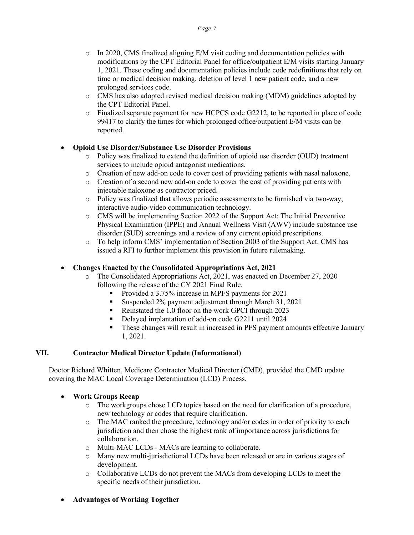- $\circ$  In 2020, CMS finalized aligning E/M visit coding and documentation policies with modifications by the CPT Editorial Panel for office/outpatient E/M visits starting January 1, 2021. These coding and documentation policies include code redefinitions that rely on time or medical decision making, deletion of level 1 new patient code, and a new prolonged services code.
- o CMS has also adopted revised medical decision making (MDM) guidelines adopted by the CPT Editorial Panel.
- o Finalized separate payment for new HCPCS code G2212, to be reported in place of code 99417 to clarify the times for which prolonged office/outpatient E/M visits can be reported.

# • **Opioid Use Disorder/Substance Use Disorder Provisions**

- o Policy was finalized to extend the definition of opioid use disorder (OUD) treatment services to include opioid antagonist medications.
- o Creation of new add-on code to cover cost of providing patients with nasal naloxone.<br>  $\circ$  Creation of a second new add-on code to cover the cost of providing patients with
- Creation of a second new add-on code to cover the cost of providing patients with injectable naloxone as contractor priced.
- o Policy was finalized that allows periodic assessments to be furnished via two-way, interactive audio-video communication technology.
- o CMS will be implementing Section 2022 of the Support Act: The Initial Preventive Physical Examination (IPPE) and Annual Wellness Visit (AWV) include substance use disorder (SUD) screenings and a review of any current opioid prescriptions.
- o To help inform CMS' implementation of Section 2003 of the Support Act, CMS has issued a RFI to further implement this provision in future rulemaking.

# • **Changes Enacted by the Consolidated Appropriations Act, 2021**

- o The Consolidated Appropriations Act, 2021, was enacted on December 27, 2020 following the release of the CY 2021 Final Rule.
	- Provided a 3.75% increase in MPFS payments for 2021
	- Suspended 2% payment adjustment through March 31, 2021
	- Reinstated the 1.0 floor on the work GPCI through 2023
	- Delayed implantation of add-on code G2211 until 2024
	- These changes will result in increased in PFS payment amounts effective January 1, 2021.

# **VII. Contractor Medical Director Update (Informational)**

Doctor Richard Whitten, Medicare Contractor Medical Director (CMD), provided the CMD update covering the MAC Local Coverage Determination (LCD) Process*.* 

# • **Work Groups Recap**

- o The workgroups chose LCD topics based on the need for clarification of a procedure, new technology or codes that require clarification.
- $\circ$  The MAC ranked the procedure, technology and/or codes in order of priority to each jurisdiction and then chose the highest rank of importance across jurisdictions for collaboration.
- o Multi-MAC LCDs MACs are learning to collaborate.
- Many new multi-jurisdictional LCDs have been released or are in various stages of development.
- o Collaborative LCDs do not prevent the MACs from developing LCDs to meet the specific needs of their jurisdiction.
- **Advantages of Working Together**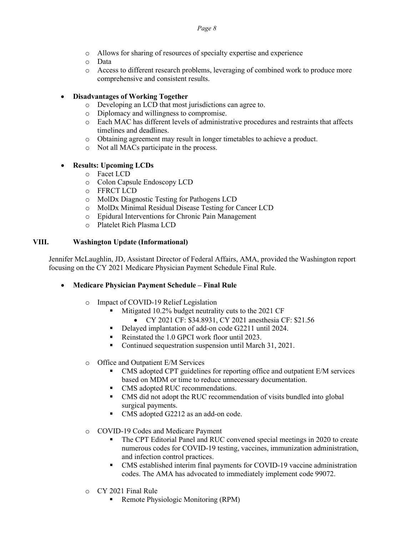- o Allows for sharing of resources of specialty expertise and experience
- o Data
- o Access to different research problems, leveraging of combined work to produce more comprehensive and consistent results.

### • **Disadvantages of Working Together**

- o Developing an LCD that most jurisdictions can agree to.
- o Diplomacy and willingness to compromise.
- o Each MAC has different levels of administrative procedures and restraints that affects timelines and deadlines.
- o Obtaining agreement may result in longer timetables to achieve a product.<br>  $\circ$  Not all MACs participate in the process.
- Not all MACs participate in the process.

# • **Results: Upcoming LCDs**

- o Facet LCD
- o Colon Capsule Endoscopy LCD
- o FFRCT LCD
- o MolDx Diagnostic Testing for Pathogens LCD
- o MolDx Minimal Residual Disease Testing for Cancer LCD
- o Epidural Interventions for Chronic Pain Management
- o Platelet Rich Plasma LCD

#### **VIII. Washington Update (Informational)**

Jennifer McLaughlin, JD, Assistant Director of Federal Affairs, AMA, provided the Washington report focusing on the CY 2021 Medicare Physician Payment Schedule Final Rule.

#### • **Medicare Physician Payment Schedule – Final Rule**

- o Impact of COVID-19 Relief Legislation
	- Mitigated 10.2% budget neutrality cuts to the 2021 CF
		- CY 2021 CF: \$34.8931, CY 2021 anesthesia CF: \$21.56
	- Delayed implantation of add-on code G2211 until 2024.
	- Reinstated the 1.0 GPCI work floor until 2023.
	- Continued sequestration suspension until March 31, 2021.

#### o Office and Outpatient E/M Services

- CMS adopted CPT guidelines for reporting office and outpatient E/M services based on MDM or time to reduce unnecessary documentation.
- CMS adopted RUC recommendations.
- CMS did not adopt the RUC recommendation of visits bundled into global surgical payments.
- CMS adopted G2212 as an add-on code.
- o COVID-19 Codes and Medicare Payment
	- The CPT Editorial Panel and RUC convened special meetings in 2020 to create numerous codes for COVID-19 testing, vaccines, immunization administration, and infection control practices.
	- CMS established interim final payments for COVID-19 vaccine administration codes. The AMA has advocated to immediately implement code 99072.
- o CY 2021 Final Rule
	- Remote Physiologic Monitoring (RPM)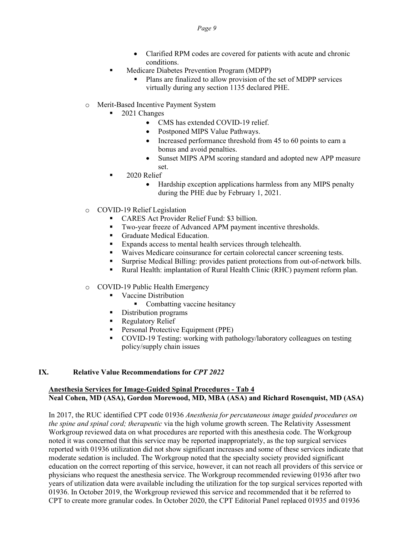- Clarified RPM codes are covered for patients with acute and chronic conditions.
- **Medicare Diabetes Prevention Program (MDPP)** 
	- Plans are finalized to allow provision of the set of MDPP services virtually during any section 1135 declared PHE.
- o Merit-Based Incentive Payment System
	- 2021 Changes
		- CMS has extended COVID-19 relief.
		- Postponed MIPS Value Pathways.
		- Increased performance threshold from 45 to 60 points to earn a bonus and avoid penalties.
		- Sunset MIPS APM scoring standard and adopted new APP measure set.
	- 2020 Relief
		- Hardship exception applications harmless from any MIPS penalty during the PHE due by February 1, 2021.
- o COVID-19 Relief Legislation
	- CARES Act Provider Relief Fund: \$3 billion.
	- Two-year freeze of Advanced APM payment incentive thresholds.
	- Graduate Medical Education.
	- Expands access to mental health services through telehealth.
	- Waives Medicare coinsurance for certain colorectal cancer screening tests.
	- Surprise Medical Billing: provides patient protections from out-of-network bills.
	- Rural Health: implantation of Rural Health Clinic (RHC) payment reform plan.
- o COVID-19 Public Health Emergency
	- **Vaccine Distribution** 
		- Combatting vaccine hesitancy
	- Distribution programs
	- Regulatory Relief
	- **Personal Protective Equipment (PPE)**
	- COVID-19 Testing: working with pathology/laboratory colleagues on testing policy/supply chain issues

#### **IX. Relative Value Recommendations for** *CPT 2022*

#### **Anesthesia Services for Image-Guided Spinal Procedures - Tab 4 Neal Cohen, MD (ASA), Gordon Morewood, MD, MBA (ASA) and Richard Rosenquist, MD (ASA)**

In 2017, the RUC identified CPT code 01936 *Anesthesia for percutaneous image guided procedures on the spine and spinal cord; therapeutic* via the high volume growth screen. The Relativity Assessment Workgroup reviewed data on what procedures are reported with this anesthesia code. The Workgroup noted it was concerned that this service may be reported inappropriately, as the top surgical services reported with 01936 utilization did not show significant increases and some of these services indicate that moderate sedation is included. The Workgroup noted that the specialty society provided significant education on the correct reporting of this service, however, it can not reach all providers of this service or physicians who request the anesthesia service. The Workgroup recommended reviewing 01936 after two years of utilization data were available including the utilization for the top surgical services reported with 01936. In October 2019, the Workgroup reviewed this service and recommended that it be referred to CPT to create more granular codes. In October 2020, the CPT Editorial Panel replaced 01935 and 01936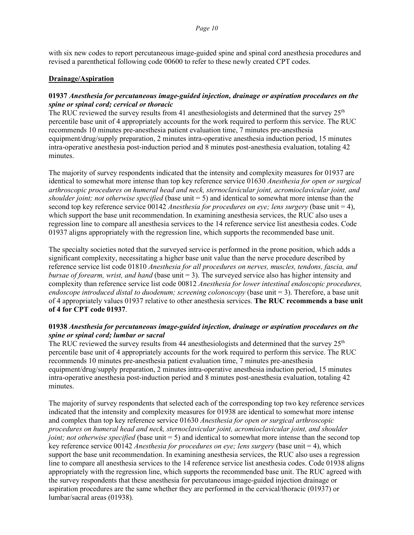with six new codes to report percutaneous image-guided spine and spinal cord anesthesia procedures and revised a parenthetical following code 00600 to refer to these newly created CPT codes.

#### **Drainage/Aspiration**

#### **01937** *Anesthesia for percutaneous image-guided injection, drainage or aspiration procedures on the spine or spinal cord; cervical or thoracic*

The RUC reviewed the survey results from 41 anesthesiologists and determined that the survey  $25<sup>th</sup>$ percentile base unit of 4 appropriately accounts for the work required to perform this service. The RUC recommends 10 minutes pre-anesthesia patient evaluation time, 7 minutes pre-anesthesia equipment/drug/supply preparation, 2 minutes intra-operative anesthesia induction period, 15 minutes intra-operative anesthesia post-induction period and 8 minutes post-anesthesia evaluation, totaling 42 minutes.

The majority of survey respondents indicated that the intensity and complexity measures for 01937 are identical to somewhat more intense than top key reference service 01630 *Anesthesia for open or surgical arthroscopic procedures on humeral head and neck, sternoclavicular joint, acromioclavicular joint, and shoulder joint; not otherwise specified* (base unit = 5) and identical to somewhat more intense than the second top key reference service 00142 *Anesthesia for procedures on eye; lens surgery* (base unit = 4), which support the base unit recommendation. In examining anesthesia services, the RUC also uses a regression line to compare all anesthesia services to the 14 reference service list anesthesia codes. Code 01937 aligns appropriately with the regression line, which supports the recommended base unit.

The specialty societies noted that the surveyed service is performed in the prone position, which adds a significant complexity, necessitating a higher base unit value than the nerve procedure described by reference service list code 01810 *Anesthesia for all procedures on nerves, muscles, tendons, fascia, and bursae of forearm, wrist, and hand* (base unit = 3). The surveyed service also has higher intensity and complexity than reference service list code 00812 *Anesthesia for lower intestinal endoscopic procedures, endoscope introduced distal to duodenum; screening colonoscopy* (base unit = 3). Therefore, a base unit of 4 appropriately values 01937 relative to other anesthesia services. **The RUC recommends a base unit of 4 for CPT code 01937**.

### **01938** *Anesthesia for percutaneous image-guided injection, drainage or aspiration procedures on the spine or spinal cord; lumbar or sacral*

The RUC reviewed the survey results from 44 anesthesiologists and determined that the survey  $25<sup>th</sup>$ percentile base unit of 4 appropriately accounts for the work required to perform this service. The RUC recommends 10 minutes pre-anesthesia patient evaluation time, 7 minutes pre-anesthesia equipment/drug/supply preparation, 2 minutes intra-operative anesthesia induction period, 15 minutes intra-operative anesthesia post-induction period and 8 minutes post-anesthesia evaluation, totaling 42 minutes.

The majority of survey respondents that selected each of the corresponding top two key reference services indicated that the intensity and complexity measures for 01938 are identical to somewhat more intense and complex than top key reference service 01630 *Anesthesia for open or surgical arthroscopic procedures on humeral head and neck, sternoclavicular joint, acromioclavicular joint, and shoulder joint; not otherwise specified* (base unit = 5) and identical to somewhat more intense than the second top key reference service 00142 *Anesthesia for procedures on eye; lens surgery* (base unit = 4), which support the base unit recommendation. In examining anesthesia services, the RUC also uses a regression line to compare all anesthesia services to the 14 reference service list anesthesia codes. Code 01938 aligns appropriately with the regression line, which supports the recommended base unit. The RUC agreed with the survey respondents that these anesthesia for percutaneous image-guided injection drainage or aspiration procedures are the same whether they are performed in the cervical/thoracic (01937) or lumbar/sacral areas (01938).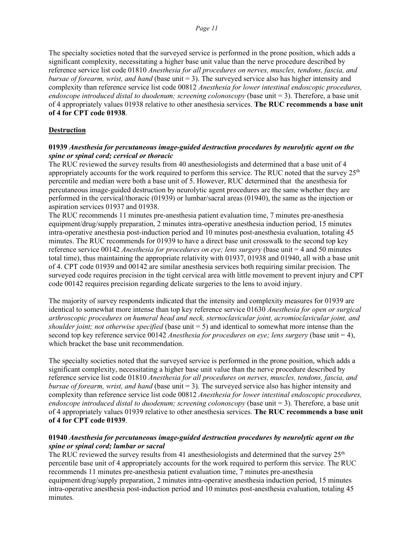The specialty societies noted that the surveyed service is performed in the prone position, which adds a significant complexity, necessitating a higher base unit value than the nerve procedure described by reference service list code 01810 *Anesthesia for all procedures on nerves, muscles, tendons, fascia, and bursae of forearm, wrist, and hand* (base unit = 3). The surveyed service also has higher intensity and complexity than reference service list code 00812 *Anesthesia for lower intestinal endoscopic procedures, endoscope introduced distal to duodenum; screening colonoscopy* (base unit = 3). Therefore, a base unit of 4 appropriately values 01938 relative to other anesthesia services. **The RUC recommends a base unit of 4 for CPT code 01938**.

#### **Destruction**

#### **01939** *Anesthesia for percutaneous image-guided destruction procedures by neurolytic agent on the spine or spinal cord; cervical or thoracic*

The RUC reviewed the survey results from 40 anesthesiologists and determined that a base unit of 4 appropriately accounts for the work required to perform this service. The RUC noted that the survey  $25<sup>th</sup>$ percentile and median were both a base unit of 5. However, RUC determined that the anesthesia for percutaneous image-guided destruction by neurolytic agent procedures are the same whether they are performed in the cervical/thoracic (01939) or lumbar/sacral areas (01940), the same as the injection or aspiration services 01937 and 01938.

The RUC recommends 11 minutes pre-anesthesia patient evaluation time, 7 minutes pre-anesthesia equipment/drug/supply preparation, 2 minutes intra-operative anesthesia induction period, 15 minutes intra-operative anesthesia post-induction period and 10 minutes post-anesthesia evaluation, totaling 45 minutes. The RUC recommends for 01939 to have a direct base unit crosswalk to the second top key reference service 00142 *Anesthesia for procedures on eye; lens surgery* (base unit = 4 and 50 minutes total time), thus maintaining the appropriate relativity with 01937, 01938 and 01940, all with a base unit of 4. CPT code 01939 and 00142 are similar anesthesia services both requiring similar precision. The surveyed code requires precision in the tight cervical area with little movement to prevent injury and CPT code 00142 requires precision regarding delicate surgeries to the lens to avoid injury.

The majority of survey respondents indicated that the intensity and complexity measures for 01939 are identical to somewhat more intense than top key reference service 01630 *Anesthesia for open or surgical arthroscopic procedures on humeral head and neck, sternoclavicular joint, acromioclavicular joint, and shoulder joint; not otherwise specified* (base unit = 5) and identical to somewhat more intense than the second top key reference service 00142 *Anesthesia for procedures on eye; lens surgery* (base unit = 4), which bracket the base unit recommendation.

The specialty societies noted that the surveyed service is performed in the prone position, which adds a significant complexity, necessitating a higher base unit value than the nerve procedure described by reference service list code 01810 *Anesthesia for all procedures on nerves, muscles, tendons, fascia, and bursae of forearm, wrist, and hand* (base unit = 3). The surveyed service also has higher intensity and complexity than reference service list code 00812 *Anesthesia for lower intestinal endoscopic procedures, endoscope introduced distal to duodenum; screening colonoscopy* (base unit = 3). Therefore, a base unit of 4 appropriately values 01939 relative to other anesthesia services. **The RUC recommends a base unit of 4 for CPT code 01939**.

#### **01940** *Anesthesia for percutaneous image-guided destruction procedures by neurolytic agent on the spine or spinal cord; lumbar or sacral*

The RUC reviewed the survey results from 41 anesthesiologists and determined that the survey  $25<sup>th</sup>$ percentile base unit of 4 appropriately accounts for the work required to perform this service. The RUC recommends 11 minutes pre-anesthesia patient evaluation time, 7 minutes pre-anesthesia equipment/drug/supply preparation, 2 minutes intra-operative anesthesia induction period, 15 minutes intra-operative anesthesia post-induction period and 10 minutes post-anesthesia evaluation, totaling 45 minutes.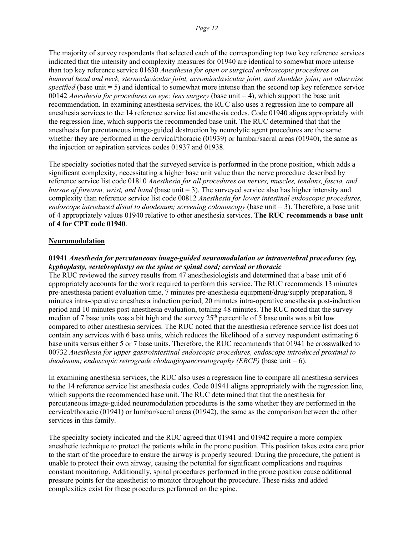The majority of survey respondents that selected each of the corresponding top two key reference services indicated that the intensity and complexity measures for 01940 are identical to somewhat more intense than top key reference service 01630 *Anesthesia for open or surgical arthroscopic procedures on humeral head and neck, sternoclavicular joint, acromioclavicular joint, and shoulder joint; not otherwise specified* (base unit = 5) and identical to somewhat more intense than the second top key reference service 00142 *Anesthesia for procedures on eye; lens surgery* (base unit = 4), which support the base unit recommendation. In examining anesthesia services, the RUC also uses a regression line to compare all anesthesia services to the 14 reference service list anesthesia codes. Code 01940 aligns appropriately with the regression line, which supports the recommended base unit. The RUC determined that that the anesthesia for percutaneous image-guided destruction by neurolytic agent procedures are the same whether they are performed in the cervical/thoracic (01939) or lumbar/sacral areas (01940), the same as the injection or aspiration services codes 01937 and 01938.

The specialty societies noted that the surveyed service is performed in the prone position, which adds a significant complexity, necessitating a higher base unit value than the nerve procedure described by reference service list code 01810 *Anesthesia for all procedures on nerves, muscles, tendons, fascia, and bursae of forearm, wrist, and hand* (base unit = 3). The surveyed service also has higher intensity and complexity than reference service list code 00812 *Anesthesia for lower intestinal endoscopic procedures, endoscope introduced distal to duodenum; screening colonoscopy* (base unit = 3). Therefore, a base unit of 4 appropriately values 01940 relative to other anesthesia services. **The RUC recommends a base unit of 4 for CPT code 01940**.

#### **Neuromodulation**

### **01941** *Anesthesia for percutaneous image-guided neuromodulation or intravertebral procedures (eg, kyphoplasty, vertebroplasty) on the spine or spinal cord; cervical or thoracic*

The RUC reviewed the survey results from 47 anesthesiologists and determined that a base unit of 6 appropriately accounts for the work required to perform this service. The RUC recommends 13 minutes pre-anesthesia patient evaluation time, 7 minutes pre-anesthesia equipment/drug/supply preparation, 8 minutes intra-operative anesthesia induction period, 20 minutes intra-operative anesthesia post-induction period and 10 minutes post-anesthesia evaluation, totaling 48 minutes. The RUC noted that the survey median of 7 base units was a bit high and the survey  $25<sup>th</sup>$  percentile of 5 base units was a bit low compared to other anesthesia services. The RUC noted that the anesthesia reference service list does not contain any services with 6 base units, which reduces the likelihood of a survey respondent estimating 6 base units versus either 5 or 7 base units. Therefore, the RUC recommends that 01941 be crosswalked to 00732 *Anesthesia for upper gastrointestinal endoscopic procedures, endoscope introduced proximal to duodenum; endoscopic retrograde cholangiopancreatography (ERCP)* (base unit = 6).

In examining anesthesia services, the RUC also uses a regression line to compare all anesthesia services to the 14 reference service list anesthesia codes. Code 01941 aligns appropriately with the regression line, which supports the recommended base unit. The RUC determined that that the anesthesia for percutaneous image-guided neuromodulation procedures is the same whether they are performed in the cervical/thoracic (01941) or lumbar/sacral areas (01942), the same as the comparison between the other services in this family.

The specialty society indicated and the RUC agreed that 01941 and 01942 require a more complex anesthetic technique to protect the patients while in the prone position. This position takes extra care prior to the start of the procedure to ensure the airway is properly secured. During the procedure, the patient is unable to protect their own airway, causing the potential for significant complications and requires constant monitoring. Additionally, spinal procedures performed in the prone position cause additional pressure points for the anesthetist to monitor throughout the procedure. These risks and added complexities exist for these procedures performed on the spine.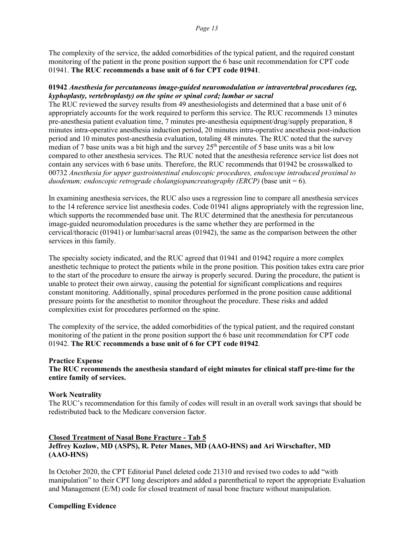The complexity of the service, the added comorbidities of the typical patient, and the required constant monitoring of the patient in the prone position support the 6 base unit recommendation for CPT code 01941. **The RUC recommends a base unit of 6 for CPT code 01941**.

#### **01942** *Anesthesia for percutaneous image-guided neuromodulation or intravertebral procedures (eg, kyphoplasty, vertebroplasty) on the spine or spinal cord; lumbar or sacral*

The RUC reviewed the survey results from 49 anesthesiologists and determined that a base unit of 6 appropriately accounts for the work required to perform this service. The RUC recommends 13 minutes pre-anesthesia patient evaluation time, 7 minutes pre-anesthesia equipment/drug/supply preparation, 8 minutes intra-operative anesthesia induction period, 20 minutes intra-operative anesthesia post-induction period and 10 minutes post-anesthesia evaluation, totaling 48 minutes. The RUC noted that the survey median of 7 base units was a bit high and the survey  $25<sup>th</sup>$  percentile of 5 base units was a bit low compared to other anesthesia services. The RUC noted that the anesthesia reference service list does not contain any services with 6 base units. Therefore, the RUC recommends that 01942 be crosswalked to 00732 *Anesthesia for upper gastrointestinal endoscopic procedures, endoscope introduced proximal to duodenum; endoscopic retrograde cholangiopancreatography (ERCP)* (base unit = 6).

In examining anesthesia services, the RUC also uses a regression line to compare all anesthesia services to the 14 reference service list anesthesia codes. Code 01941 aligns appropriately with the regression line, which supports the recommended base unit. The RUC determined that the anesthesia for percutaneous image-guided neuromodulation procedures is the same whether they are performed in the cervical/thoracic (01941) or lumbar/sacral areas (01942), the same as the comparison between the other services in this family.

The specialty society indicated, and the RUC agreed that 01941 and 01942 require a more complex anesthetic technique to protect the patients while in the prone position. This position takes extra care prior to the start of the procedure to ensure the airway is properly secured. During the procedure, the patient is unable to protect their own airway, causing the potential for significant complications and requires constant monitoring. Additionally, spinal procedures performed in the prone position cause additional pressure points for the anesthetist to monitor throughout the procedure. These risks and added complexities exist for procedures performed on the spine.

The complexity of the service, the added comorbidities of the typical patient, and the required constant monitoring of the patient in the prone position support the 6 base unit recommendation for CPT code 01942. **The RUC recommends a base unit of 6 for CPT code 01942**.

#### **Practice Expense**

**The RUC recommends the anesthesia standard of eight minutes for clinical staff pre-time for the entire family of services.** 

#### **Work Neutrality**

The RUC's recommendation for this family of codes will result in an overall work savings that should be redistributed back to the Medicare conversion factor.

### **Closed Treatment of Nasal Bone Fracture - Tab 5 Jeffrey Kozlow, MD (ASPS), R. Peter Manes, MD (AAO-HNS) and Ari Wirschafter, MD (AAO-HNS)**

In October 2020, the CPT Editorial Panel deleted code 21310 and revised two codes to add "with manipulation" to their CPT long descriptors and added a parenthetical to report the appropriate Evaluation and Management (E/M) code for closed treatment of nasal bone fracture without manipulation.

#### **Compelling Evidence**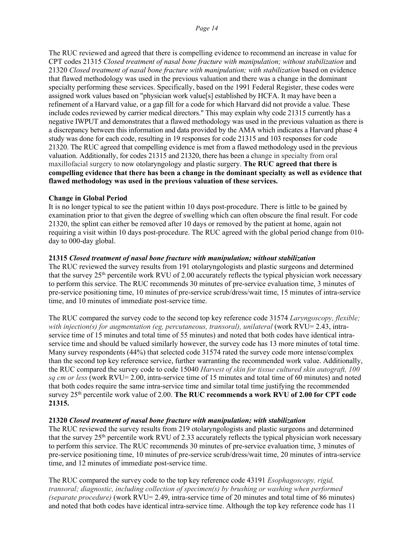The RUC reviewed and agreed that there is compelling evidence to recommend an increase in value for CPT codes 21315 *Closed treatment of nasal bone fracture with manipulation; without stabilization* and 21320 *Closed treatment of nasal bone fracture with manipulation; with stabilization* based on evidence that flawed methodology was used in the previous valuation and there was a change in the dominant specialty performing these services. Specifically, based on the 1991 Federal Register, these codes were assigned work values based on "physician work value[s] established by HCFA. It may have been a refinement of a Harvard value, or a gap fill for a code for which Harvard did not provide a value. These include codes reviewed by carrier medical directors." This may explain why code 21315 currently has a negative IWPUT and demonstrates that a flawed methodology was used in the previous valuation as there is a discrepancy between this information and data provided by the AMA which indicates a Harvard phase 4 study was done for each code, resulting in 19 responses for code 21315 and 103 responses for code 21320. The RUC agreed that compelling evidence is met from a flawed methodology used in the previous valuation. Additionally, for codes 21315 and 21320, there has been a change in specialty from oral maxillofacial surgery to now otolaryngology and plastic surgery. **The RUC agreed that there is compelling evidence that there has been a change in the dominant specialty as well as evidence that flawed methodology was used in the previous valuation of these services.**

#### **Change in Global Period**

It is no longer typical to see the patient within 10 days post-procedure. There is little to be gained by examination prior to that given the degree of swelling which can often obscure the final result. For code 21320, the splint can either be removed after 10 days or removed by the patient at home, again not requiring a visit within 10 days post-procedure. The RUC agreed with the global period change from 010 day to 000-day global.

#### **21315** *Closed treatment of nasal bone fracture with manipulation; without stabilization*

The RUC reviewed the survey results from 191 otolaryngologists and plastic surgeons and determined that the survey 25<sup>th</sup> percentile work RVU of 2.00 accurately reflects the typical physician work necessary to perform this service. The RUC recommends 30 minutes of pre-service evaluation time, 3 minutes of pre-service positioning time, 10 minutes of pre-service scrub/dress/wait time, 15 minutes of intra-service time, and 10 minutes of immediate post-service time.

The RUC compared the survey code to the second top key reference code 31574 *Laryngoscopy, flexible; with injection(s) for augmentation (eg, percutaneous, transoral), unilateral* (work RVU= 2.43, intraservice time of 15 minutes and total time of 55 minutes) and noted that both codes have identical intraservice time and should be valued similarly however, the survey code has 13 more minutes of total time. Many survey respondents (44%) that selected code 31574 rated the survey code more intense/complex than the second top key reference service, further warranting the recommended work value. Additionally, the RUC compared the survey code to code 15040 *Harvest of skin for tissue cultured skin autograft, 100 sq cm or less* (work RVU= 2.00, intra-service time of 15 minutes and total time of 60 minutes) and noted that both codes require the same intra-service time and similar total time justifying the recommended survey 25th percentile work value of 2.00. **The RUC recommends a work RVU of 2.00 for CPT code 21315.**

#### **21320** *Closed treatment of nasal bone fracture with manipulation; with stabilization*

The RUC reviewed the survey results from 219 otolaryngologists and plastic surgeons and determined that the survey  $25<sup>th</sup>$  percentile work RVU of 2.33 accurately reflects the typical physician work necessary to perform this service. The RUC recommends 30 minutes of pre-service evaluation time, 3 minutes of pre-service positioning time, 10 minutes of pre-service scrub/dress/wait time, 20 minutes of intra-service time, and 12 minutes of immediate post-service time.

The RUC compared the survey code to the top key reference code 43191 *Esophagoscopy, rigid, transoral; diagnostic, including collection of specimen(s) by brushing or washing when performed (separate procedure)* (work RVU= 2.49, intra-service time of 20 minutes and total time of 86 minutes) and noted that both codes have identical intra-service time. Although the top key reference code has 11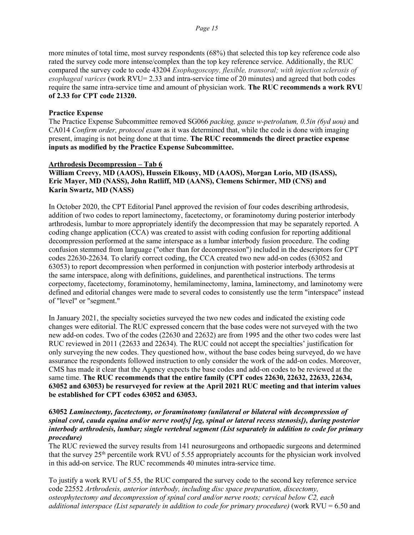more minutes of total time, most survey respondents (68%) that selected this top key reference code also rated the survey code more intense/complex than the top key reference service. Additionally, the RUC compared the survey code to code 43204 *Esophagoscopy, flexible, transoral; with injection sclerosis of esophageal varices* (work RVU= 2.33 and intra-service time of 20 minutes) and agreed that both codes require the same intra-service time and amount of physician work. **The RUC recommends a work RVU of 2.33 for CPT code 21320.**

#### **Practice Expense**

The Practice Expense Subcommittee removed SG066 *packing, gauze w-petrolatum, 0.5in (6yd uou)* and CA014 *Confirm order, protocol exam* as it was determined that, while the code is done with imaging present, imaging is not being done at that time. **The RUC recommends the direct practice expense inputs as modified by the Practice Expense Subcommittee.**

#### **Arthrodesis Decompression – Tab 6**

**William Creevy, MD (AAOS), Hussein Elkousy, MD (AAOS), Morgan Lorio, MD (ISASS), Eric Mayer, MD (NASS), John Ratliff, MD (AANS), Clemens Schirmer, MD (CNS) and Karin Swartz, MD (NASS)**

In October 2020, the CPT Editorial Panel approved the revision of four codes describing arthrodesis, addition of two codes to report laminectomy, facetectomy, or foraminotomy during posterior interbody arthrodesis, lumbar to more appropriately identify the decompression that may be separately reported. A coding change application (CCA) was created to assist with coding confusion for reporting additional decompression performed at the same interspace as a lumbar interbody fusion procedure. The coding confusion stemmed from language ("other than for decompression") included in the descriptors for CPT codes 22630-22634. To clarify correct coding, the CCA created two new add-on codes (63052 and 63053) to report decompression when performed in conjunction with posterior interbody arthrodesis at the same interspace, along with definitions, guidelines, and parenthetical instructions. The terms corpectomy, facetectomy, foraminotomy, hemilaminectomy, lamina, laminectomy, and laminotomy were defined and editorial changes were made to several codes to consistently use the term "interspace" instead of "level" or "segment."

In January 2021, the specialty societies surveyed the two new codes and indicated the existing code changes were editorial. The RUC expressed concern that the base codes were not surveyed with the two new add-on codes. Two of the codes (22630 and 22632) are from 1995 and the other two codes were last RUC reviewed in 2011 (22633 and 22634). The RUC could not accept the specialties' justification for only surveying the new codes. They questioned how, without the base codes being surveyed, do we have assurance the respondents followed instruction to only consider the work of the add-on codes. Moreover, CMS has made it clear that the Agency expects the base codes and add-on codes to be reviewed at the same time. **The RUC recommends that the entire family (CPT codes 22630, 22632, 22633, 22634, 63052 and 63053) be resurveyed for review at the April 2021 RUC meeting and that interim values be established for CPT codes 63052 and 63053.** 

#### **63052** *Laminectomy, facetectomy, or foraminotomy (unilateral or bilateral with decompression of spinal cord, cauda equina and/or nerve root[s] [eg, spinal or lateral recess stenosis]), during posterior interbody arthrodesis, lumbar; single vertebral segment (List separately in addition to code for primary procedure)*

The RUC reviewed the survey results from 141 neurosurgeons and orthopaedic surgeons and determined that the survey 25th percentile work RVU of 5.55 appropriately accounts for the physician work involved in this add-on service. The RUC recommends 40 minutes intra-service time.

To justify a work RVU of 5.55, the RUC compared the survey code to the second key reference service code 22552 *Arthrodesis, anterior interbody, including disc space preparation, discectomy, osteophytectomy and decompression of spinal cord and/or nerve roots; cervical below C2, each additional interspace (List separately in addition to code for primary procedure)* (work RVU = 6.50 and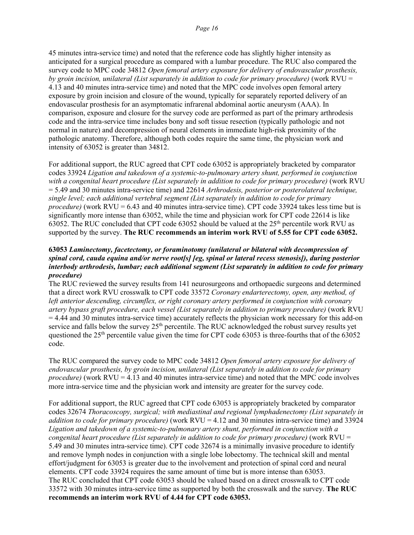45 minutes intra-service time) and noted that the reference code has slightly higher intensity as anticipated for a surgical procedure as compared with a lumbar procedure. The RUC also compared the survey code to MPC code 34812 *Open femoral artery exposure for delivery of endovascular prosthesis, by groin incision, unilateral (List separately in addition to code for primary procedure)* (work RVU = 4.13 and 40 minutes intra-service time) and noted that the MPC code involves open femoral artery exposure by groin incision and closure of the wound, typically for separately reported delivery of an endovascular prosthesis for an asymptomatic infrarenal abdominal aortic aneurysm (AAA). In comparison, exposure and closure for the survey code are performed as part of the primary arthrodesis code and the intra-service time includes bony and soft tissue resection (typically pathologic and not normal in nature) and decompression of neural elements in immediate high-risk proximity of the pathologic anatomy. Therefore, although both codes require the same time, the physician work and intensity of 63052 is greater than 34812.

For additional support, the RUC agreed that CPT code 63052 is appropriately bracketed by comparator codes 33924 *Ligation and takedown of a systemic-to-pulmonary artery shunt, performed in conjunction with a congenital heart procedure (List separately in addition to code for primary procedure)* (work RVU = 5.49 and 30 minutes intra-service time) and 22614 *Arthrodesis, posterior or posterolateral technique, single level; each additional vertebral segment (List separately in addition to code for primary procedure)* (work RVU = 6.43 and 40 minutes intra-service time). CPT code 33924 takes less time but is significantly more intense than 63052, while the time and physician work for CPT code 22614 is like 63052. The RUC concluded that CPT code 63052 should be valued at the  $25<sup>th</sup>$  percentile work RVU as supported by the survey. **The RUC recommends an interim work RVU of 5.55 for CPT code 63052.**

#### **63053** *Laminectomy, facetectomy, or foraminotomy (unilateral or bilateral with decompression of spinal cord, cauda equina and/or nerve root[s] [eg, spinal or lateral recess stenosis]), during posterior interbody arthrodesis, lumbar; each additional segment (List separately in addition to code for primary procedure)*

The RUC reviewed the survey results from 141 neurosurgeons and orthopaedic surgeons and determined that a direct work RVU crosswalk to CPT code 33572 *Coronary endarterectomy, open, any method, of left anterior descending, circumflex, or right coronary artery performed in conjunction with coronary artery bypass graft procedure, each vessel (List separately in addition to primary procedure)* (work RVU = 4.44 and 30 minutes intra-service time) accurately reflects the physician work necessary for this add-on service and falls below the survey  $25<sup>th</sup>$  percentile. The RUC acknowledged the robust survey results yet questioned the  $25<sup>th</sup>$  percentile value given the time for CPT code 63053 is three-fourths that of the 63052 code.

The RUC compared the survey code to MPC code 34812 *Open femoral artery exposure for delivery of endovascular prosthesis, by groin incision, unilateral (List separately in addition to code for primary procedure)* (work RVU = 4.13 and 40 minutes intra-service time) and noted that the MPC code involves more intra-service time and the physician work and intensity are greater for the survey code.

For additional support, the RUC agreed that CPT code 63053 is appropriately bracketed by comparator codes 32674 *Thoracoscopy, surgical; with mediastinal and regional lymphadenectomy (List separately in addition to code for primary procedure)* (work RVU = 4.12 and 30 minutes intra-service time) and 33924 *Ligation and takedown of a systemic-to-pulmonary artery shunt, performed in conjunction with a congenital heart procedure (List separately in addition to code for primary procedure)* (work RVU = 5.49 and 30 minutes intra-service time). CPT code 32674 is a minimally invasive procedure to identify and remove lymph nodes in conjunction with a single lobe lobectomy. The technical skill and mental effort/judgment for 63053 is greater due to the involvement and protection of spinal cord and neural elements. CPT code 33924 requires the same amount of time but is more intense than 63053. The RUC concluded that CPT code 63053 should be valued based on a direct crosswalk to CPT code 33572 with 30 minutes intra-service time as supported by both the crosswalk and the survey. **The RUC recommends an interim work RVU of 4.44 for CPT code 63053.**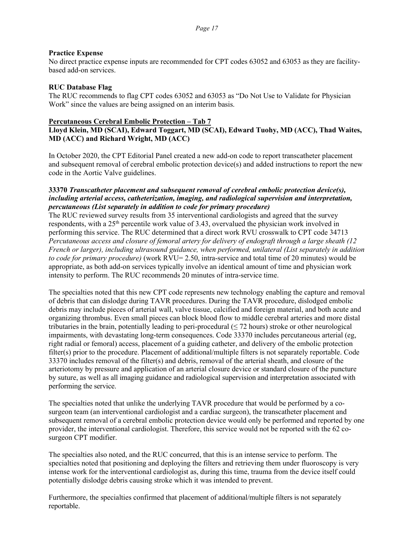#### **Practice Expense**

No direct practice expense inputs are recommended for CPT codes 63052 and 63053 as they are facilitybased add-on services.

#### **RUC Database Flag**

The RUC recommends to flag CPT codes 63052 and 63053 as "Do Not Use to Validate for Physician Work" since the values are being assigned on an interim basis.

#### **Percutaneous Cerebral Embolic Protection – Tab 7**

### **Lloyd Klein, MD (SCAI), Edward Toggart, MD (SCAI), Edward Tuohy, MD (ACC), Thad Waites, MD (ACC) and Richard Wright, MD (ACC)**

In October 2020, the CPT Editorial Panel created a new add-on code to report transcatheter placement and subsequent removal of cerebral embolic protection device(s) and added instructions to report the new code in the Aortic Valve guidelines.

#### **33370** *Transcatheter placement and subsequent removal of cerebral embolic protection device(s), including arterial access, catheterization, imaging, and radiological supervision and interpretation, percutaneous (List separately in addition to code for primary procedure)*

The RUC reviewed survey results from 35 interventional cardiologists and agreed that the survey respondents, with a 25<sup>th</sup> percentile work value of 3.43, overvalued the physician work involved in performing this service. The RUC determined that a direct work RVU crosswalk to CPT code 34713 *Percutaneous access and closure of femoral artery for delivery of endograft through a large sheath (12 French or larger), including ultrasound guidance, when performed, unilateral (List separately in addition to code for primary procedure)* (work RVU= 2.50, intra-service and total time of 20 minutes) would be appropriate, as both add-on services typically involve an identical amount of time and physician work intensity to perform. The RUC recommends 20 minutes of intra-service time.

The specialties noted that this new CPT code represents new technology enabling the capture and removal of debris that can dislodge during TAVR procedures. During the TAVR procedure, dislodged embolic debris may include pieces of arterial wall, valve tissue, calcified and foreign material, and both acute and organizing thrombus. Even small pieces can block blood flow to middle cerebral arteries and more distal tributaries in the brain, potentially leading to peri-procedural  $(\leq 72$  hours) stroke or other neurological impairments, with devastating long-term consequences. Code 33370 includes percutaneous arterial (eg, right radial or femoral) access, placement of a guiding catheter, and delivery of the embolic protection filter(s) prior to the procedure. Placement of additional/multiple filters is not separately reportable. Code 33370 includes removal of the filter(s) and debris, removal of the arterial sheath, and closure of the arteriotomy by pressure and application of an arterial closure device or standard closure of the puncture by suture, as well as all imaging guidance and radiological supervision and interpretation associated with performing the service.

The specialties noted that unlike the underlying TAVR procedure that would be performed by a cosurgeon team (an interventional cardiologist and a cardiac surgeon), the transcatheter placement and subsequent removal of a cerebral embolic protection device would only be performed and reported by one provider, the interventional cardiologist. Therefore, this service would not be reported with the 62 cosurgeon CPT modifier.

The specialties also noted, and the RUC concurred, that this is an intense service to perform. The specialties noted that positioning and deploying the filters and retrieving them under fluoroscopy is very intense work for the interventional cardiologist as, during this time, trauma from the device itself could potentially dislodge debris causing stroke which it was intended to prevent.

Furthermore, the specialties confirmed that placement of additional/multiple filters is not separately reportable.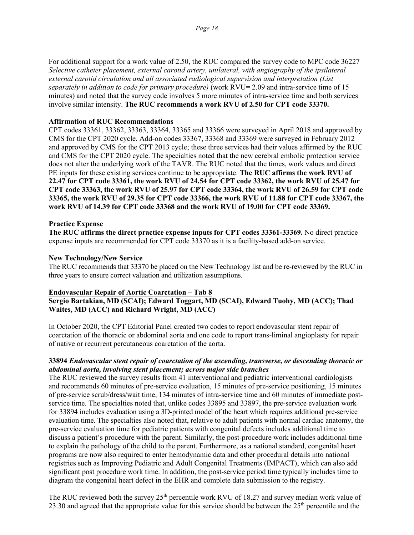For additional support for a work value of 2.50, the RUC compared the survey code to MPC code 36227 *Selective catheter placement, external carotid artery, unilateral, with angiography of the ipsilateral external carotid circulation and all associated radiological supervision and interpretation (List separately in addition to code for primary procedure)* (work RVU= 2.09 and intra-service time of 15 minutes) and noted that the survey code involves 5 more minutes of intra-service time and both services involve similar intensity. **The RUC recommends a work RVU of 2.50 for CPT code 33370.**

#### **Affirmation of RUC Recommendations**

CPT codes 33361, 33362, 33363, 33364, 33365 and 33366 were surveyed in April 2018 and approved by CMS for the CPT 2020 cycle. Add-on codes 33367, 33368 and 33369 were surveyed in February 2012 and approved by CMS for the CPT 2013 cycle; these three services had their values affirmed by the RUC and CMS for the CPT 2020 cycle. The specialties noted that the new cerebral embolic protection service does not alter the underlying work of the TAVR. The RUC noted that the times, work values and direct PE inputs for these existing services continue to be appropriate. **The RUC affirms the work RVU of 22.47 for CPT code 33361, the work RVU of 24.54 for CPT code 33362, the work RVU of 25.47 for CPT code 33363, the work RVU of 25.97 for CPT code 33364, the work RVU of 26.59 for CPT code 33365, the work RVU of 29.35 for CPT code 33366, the work RVU of 11.88 for CPT code 33367, the work RVU of 14.39 for CPT code 33368 and the work RVU of 19.00 for CPT code 33369.** 

#### **Practice Expense**

**The RUC affirms the direct practice expense inputs for CPT codes 33361-33369.** No direct practice expense inputs are recommended for CPT code 33370 as it is a facility-based add-on service.

#### **New Technology/New Service**

The RUC recommends that 33370 be placed on the New Technology list and be re-reviewed by the RUC in three years to ensure correct valuation and utilization assumptions.

#### **Endovascular Repair of Aortic Coarctation – Tab 8**

### **Sergio Bartakian, MD (SCAI); Edward Toggart, MD (SCAI), Edward Tuohy, MD (ACC); Thad Waites, MD (ACC) and Richard Wright, MD (ACC)**

In October 2020, the CPT Editorial Panel created two codes to report endovascular stent repair of coarctation of the thoracic or abdominal aorta and one code to report trans-liminal angioplasty for repair of native or recurrent percutaneous coarctation of the aorta.

#### **33894** *Endovascular stent repair of coarctation of the ascending, transverse, or descending thoracic or abdominal aorta, involving stent placement; across major side branches*

The RUC reviewed the survey results from 41 interventional and pediatric interventional cardiologists and recommends 60 minutes of pre-service evaluation, 15 minutes of pre-service positioning, 15 minutes of pre-service scrub/dress/wait time, 134 minutes of intra-service time and 60 minutes of immediate postservice time. The specialties noted that, unlike codes 33895 and 33897, the pre-service evaluation work for 33894 includes evaluation using a 3D-printed model of the heart which requires additional pre-service evaluation time. The specialties also noted that, relative to adult patients with normal cardiac anatomy, the pre-service evaluation time for pediatric patients with congenital defects includes additional time to discuss a patient's procedure with the parent. Similarly, the post-procedure work includes additional time to explain the pathology of the child to the parent. Furthermore, as a national standard, congenital heart programs are now also required to enter hemodynamic data and other procedural details into national registries such as Improving Pediatric and Adult Congenital Treatments (IMPACT), which can also add significant post procedure work time. In addition, the post-service period time typically includes time to diagram the congenital heart defect in the EHR and complete data submission to the registry.

The RUC reviewed both the survey 25<sup>th</sup> percentile work RVU of 18.27 and survey median work value of 23.30 and agreed that the appropriate value for this service should be between the  $25<sup>th</sup>$  percentile and the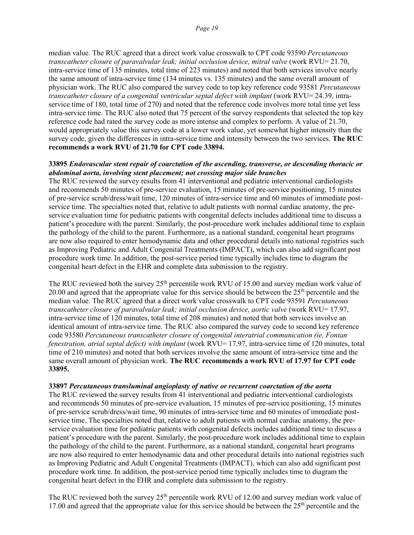median value. The RUC agreed that a direct work value crosswalk to CPT code 93590 *Percutaneous transcatheter closure of paravalvular leak; initial occlusion device, mitral valve* (work RVU= 21.70, intra-service time of 135 minutes, total time of 223 minutes) and noted that both services involve nearly the same amount of intra-service time (134 minutes vs. 135 minutes) and the same overall amount of physician work. The RUC also compared the survey code to top key reference code 93581 *Percutaneous transcatheter closure of a congenital ventricular septal defect with implant* (work RVU= 24.39, intraservice time of 180, total time of 270) and noted that the reference code involves more total time yet less intra-service time. The RUC also noted that 75 percent of the survey respondents that selected the top key reference code had rated the survey code as more intense and complex to perform. A value of 21.70, would appropriately value this survey code at a lower work value, yet somewhat higher intensity than the survey code, given the differences in intra-service time and intensity between the two services. **The RUC recommends a work RVU of 21.70 for CPT code 33894.**

#### **33895** *Endovascular stent repair of coarctation of the ascending, transverse, or descending thoracic or abdominal aorta, involving stent placement; not crossing major side branches*

The RUC reviewed the survey results from 41 interventional and pediatric interventional cardiologists and recommends 50 minutes of pre-service evaluation, 15 minutes of pre-service positioning, 15 minutes of pre-service scrub/dress/wait time, 120 minutes of intra-service time and 60 minutes of immediate postservice time. The specialties noted that, relative to adult patients with normal cardiac anatomy, the preservice evaluation time for pediatric patients with congenital defects includes additional time to discuss a patient's procedure with the parent. Similarly, the post-procedure work includes additional time to explain the pathology of the child to the parent. Furthermore, as a national standard, congenital heart programs are now also required to enter hemodynamic data and other procedural details into national registries such as Improving Pediatric and Adult Congenital Treatments (IMPACT), which can also add significant post procedure work time. In addition, the post-service period time typically includes time to diagram the congenital heart defect in the EHR and complete data submission to the registry.

The RUC reviewed both the survey  $25<sup>th</sup>$  percentile work RVU of 15.00 and survey median work value of 20.00 and agreed that the appropriate value for this service should be between the  $25<sup>th</sup>$  percentile and the median value. The RUC agreed that a direct work value crosswalk to CPT code 93591 *Percutaneous transcatheter closure of paravalvular leak; initial occlusion device, aortic valve* (work RVU= 17.97, intra-service time of 120 minutes, total time of 208 minutes) and noted that both services involve an identical amount of intra-service time. The RUC also compared the survey code to second key reference code 93580 *Percutaneous transcatheter closure of congenital interatrial communication (ie, Fontan fenestration, atrial septal defect) with implant* (work RVU= 17.97, intra-service time of 120 minutes, total time of 210 minutes) and noted that both services involve the same amount of intra-service time and the same overall amount of physician work. **The RUC recommends a work RVU of 17.97 for CPT code 33895.**

#### **33897** *Percutaneous transluminal angioplasty of native or recurrent coarctation of the aorta*

The RUC reviewed the survey results from 41 interventional and pediatric interventional cardiologists and recommends 50 minutes of pre-service evaluation, 15 minutes of pre-service positioning, 15 minutes of pre-service scrub/dress/wait time, 90 minutes of intra-service time and 60 minutes of immediate postservice time. The specialties noted that, relative to adult patients with normal cardiac anatomy, the preservice evaluation time for pediatric patients with congenital defects includes additional time to discuss a patient's procedure with the parent. Similarly, the post-procedure work includes additional time to explain the pathology of the child to the parent. Furthermore, as a national standard, congenital heart programs are now also required to enter hemodynamic data and other procedural details into national registries such as Improving Pediatric and Adult Congenital Treatments (IMPACT), which can also add significant post procedure work time. In addition, the post-service period time typically includes time to diagram the congenital heart defect in the EHR and complete data submission to the registry.

The RUC reviewed both the survey 25<sup>th</sup> percentile work RVU of 12.00 and survey median work value of 17.00 and agreed that the appropriate value for this service should be between the  $25<sup>th</sup>$  percentile and the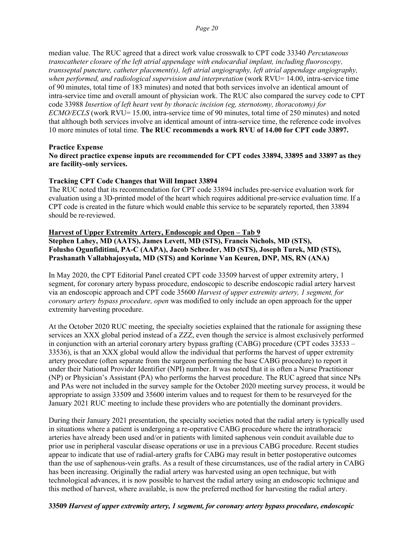median value. The RUC agreed that a direct work value crosswalk to CPT code 33340 *Percutaneous transcatheter closure of the left atrial appendage with endocardial implant, including fluoroscopy, transseptal puncture, catheter placement(s), left atrial angiography, left atrial appendage angiography, when performed, and radiological supervision and interpretation* (work RVU= 14.00, intra-service time of 90 minutes, total time of 183 minutes) and noted that both services involve an identical amount of intra-service time and overall amount of physician work. The RUC also compared the survey code to CPT code 33988 *Insertion of left heart vent by thoracic incision (eg, sternotomy, thoracotomy) for ECMO/ECLS* (work RVU= 15.00, intra-service time of 90 minutes, total time of 250 minutes) and noted that although both services involve an identical amount of intra-service time, the reference code involves 10 more minutes of total time. **The RUC recommends a work RVU of 14.00 for CPT code 33897.**

#### **Practice Expense**

#### **No direct practice expense inputs are recommended for CPT codes 33894, 33895 and 33897 as they are facility-only services.**

#### **Tracking CPT Code Changes that Will Impact 33894**

The RUC noted that its recommendation for CPT code 33894 includes pre-service evaluation work for evaluation using a 3D-printed model of the heart which requires additional pre-service evaluation time. If a CPT code is created in the future which would enable this service to be separately reported, then 33894 should be re-reviewed.

#### **Harvest of Upper Extremity Artery, Endoscopic and Open – Tab 9**

**Stephen Lahey, MD (AATS), James Levett, MD (STS), Francis Nichols, MD (STS), Folusho Ogunfiditimi, PA-C (AAPA), Jacob Schroder, MD (STS), Joseph Turek, MD (STS), Prashanath Vallabhajosyula, MD (STS) and Korinne Van Keuren, DNP, MS, RN (ANA)**

In May 2020, the CPT Editorial Panel created CPT code 33509 harvest of upper extremity artery, 1 segment, for coronary artery bypass procedure, endoscopic to describe endoscopic radial artery harvest via an endoscopic approach and CPT code 35600 *Harvest of upper extremity artery, 1 segment, for coronary artery bypass procedure, open* was modified to only include an open approach for the upper extremity harvesting procedure.

At the October 2020 RUC meeting, the specialty societies explained that the rationale for assigning these services an XXX global period instead of a ZZZ, even though the service is almost exclusively performed in conjunction with an arterial coronary artery bypass grafting (CABG) procedure (CPT codes 33533 – 33536), is that an XXX global would allow the individual that performs the harvest of upper extremity artery procedure (often separate from the surgeon performing the base CABG procedure) to report it under their National Provider Identifier (NPI) number. It was noted that it is often a Nurse Practitioner (NP) or Physician's Assistant (PA) who performs the harvest procedure. The RUC agreed that since NPs and PAs were not included in the survey sample for the October 2020 meeting survey process, it would be appropriate to assign 33509 and 35600 interim values and to request for them to be resurveyed for the January 2021 RUC meeting to include these providers who are potentially the dominant providers.

During their January 2021 presentation, the specialty societies noted that the radial artery is typically used in situations where a patient is undergoing a re-operative CABG procedure where the intrathoracic arteries have already been used and/or in patients with limited saphenous vein conduit available due to prior use in peripheral vascular disease operations or use in a previous CABG procedure. Recent studies appear to indicate that use of radial-artery grafts for CABG may result in better postoperative outcomes than the use of saphenous-vein grafts. As a result of these circumstances, use of the radial artery in CABG has been increasing. Originally the radial artery was harvested using an open technique, but with technological advances, it is now possible to harvest the radial artery using an endoscopic technique and this method of harvest, where available, is now the preferred method for harvesting the radial artery.

#### **33509** *Harvest of upper extremity artery, 1 segment, for coronary artery bypass procedure, endoscopic*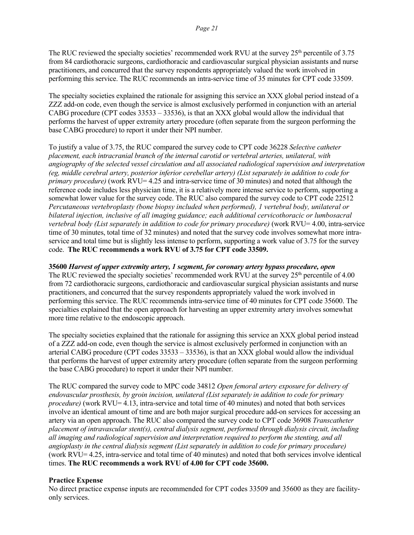The RUC reviewed the specialty societies' recommended work RVU at the survey  $25<sup>th</sup>$  percentile of 3.75 from 84 cardiothoracic surgeons, cardiothoracic and cardiovascular surgical physician assistants and nurse practitioners, and concurred that the survey respondents appropriately valued the work involved in performing this service. The RUC recommends an intra-service time of 35 minutes for CPT code 33509.

The specialty societies explained the rationale for assigning this service an XXX global period instead of a ZZZ add-on code, even though the service is almost exclusively performed in conjunction with an arterial CABG procedure (CPT codes 33533 – 33536), is that an XXX global would allow the individual that performs the harvest of upper extremity artery procedure (often separate from the surgeon performing the base CABG procedure) to report it under their NPI number.

To justify a value of 3.75, the RUC compared the survey code to CPT code 36228 *Selective catheter placement, each intracranial branch of the internal carotid or vertebral arteries, unilateral, with angiography of the selected vessel circulation and all associated radiological supervision and interpretation (eg, middle cerebral artery, posterior inferior cerebellar artery) (List separately in addition to code for primary procedure)* (work RVU= 4.25 and intra-service time of 30 minutes) and noted that although the reference code includes less physician time, it is a relatively more intense service to perform, supporting a somewhat lower value for the survey code. The RUC also compared the survey code to CPT code 22512 *Percutaneous vertebroplasty (bone biopsy included when performed), 1 vertebral body, unilateral or bilateral injection, inclusive of all imaging guidance; each additional cervicothoracic or lumbosacral vertebral body (List separately in addition to code for primary procedure)* (work RVU= 4.00, intra-service time of 30 minutes, total time of 32 minutes) and noted that the survey code involves somewhat more intraservice and total time but is slightly less intense to perform, supporting a work value of 3.75 for the survey code. **The RUC recommends a work RVU of 3.75 for CPT code 33509.**

#### **35600** *Harvest of upper extremity artery, 1 segment, for coronary artery bypass procedure, open*

The RUC reviewed the specialty societies' recommended work RVU at the survey 25<sup>th</sup> percentile of 4.00 from 72 cardiothoracic surgeons, cardiothoracic and cardiovascular surgical physician assistants and nurse practitioners, and concurred that the survey respondents appropriately valued the work involved in performing this service. The RUC recommends intra-service time of 40 minutes for CPT code 35600. The specialties explained that the open approach for harvesting an upper extremity artery involves somewhat more time relative to the endoscopic approach.

The specialty societies explained that the rationale for assigning this service an XXX global period instead of a ZZZ add-on code, even though the service is almost exclusively performed in conjunction with an arterial CABG procedure (CPT codes 33533 – 33536), is that an XXX global would allow the individual that performs the harvest of upper extremity artery procedure (often separate from the surgeon performing the base CABG procedure) to report it under their NPI number.

The RUC compared the survey code to MPC code 34812 *Open femoral artery exposure for delivery of endovascular prosthesis, by groin incision, unilateral (List separately in addition to code for primary procedure*) (work RVU= 4.13, intra-service and total time of 40 minutes) and noted that both services involve an identical amount of time and are both major surgical procedure add-on services for accessing an artery via an open approach. The RUC also compared the survey code to CPT code 36908 *Transcatheter placement of intravascular stent(s), central dialysis segment, performed through dialysis circuit, including all imaging and radiological supervision and interpretation required to perform the stenting, and all angioplasty in the central dialysis segment (List separately in addition to code for primary procedure)* (work RVU= 4.25, intra-service and total time of 40 minutes) and noted that both services involve identical times. **The RUC recommends a work RVU of 4.00 for CPT code 35600.**

#### **Practice Expense**

No direct practice expense inputs are recommended for CPT codes 33509 and 35600 as they are facilityonly services.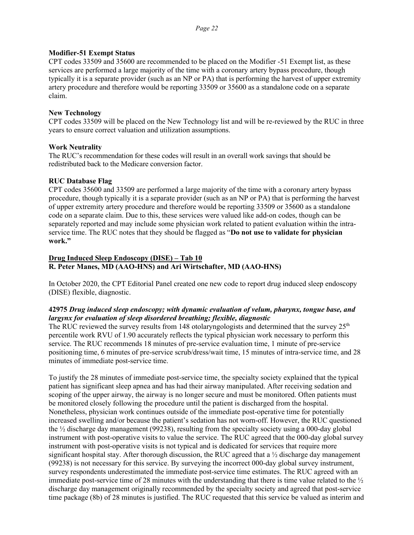#### **Modifier-51 Exempt Status**

CPT codes 33509 and 35600 are recommended to be placed on the Modifier -51 Exempt list, as these services are performed a large majority of the time with a coronary artery bypass procedure, though typically it is a separate provider (such as an NP or PA) that is performing the harvest of upper extremity artery procedure and therefore would be reporting 33509 or 35600 as a standalone code on a separate claim.

### **New Technology**

CPT codes 33509 will be placed on the New Technology list and will be re-reviewed by the RUC in three years to ensure correct valuation and utilization assumptions.

### **Work Neutrality**

The RUC's recommendation for these codes will result in an overall work savings that should be redistributed back to the Medicare conversion factor.

### **RUC Database Flag**

CPT codes 35600 and 33509 are performed a large majority of the time with a coronary artery bypass procedure, though typically it is a separate provider (such as an NP or PA) that is performing the harvest of upper extremity artery procedure and therefore would be reporting 33509 or 35600 as a standalone code on a separate claim. Due to this, these services were valued like add-on codes, though can be separately reported and may include some physician work related to patient evaluation within the intraservice time. The RUC notes that they should be flagged as "**Do not use to validate for physician work."**

# **Drug Induced Sleep Endoscopy (DISE) – Tab 10 R. Peter Manes, MD (AAO-HNS) and Ari Wirtschafter, MD (AAO-HNS)**

In October 2020, the CPT Editorial Panel created one new code to report drug induced sleep endoscopy (DISE) flexible, diagnostic.

#### **42975** *Drug induced sleep endoscopy; with dynamic evaluation of velum, pharynx, tongue base, and largynx for evaluation of sleep disordered breathing; flexible, diagnostic*

The RUC reviewed the survey results from 148 otolaryngologists and determined that the survey  $25<sup>th</sup>$ percentile work RVU of 1.90 accurately reflects the typical physician work necessary to perform this service. The RUC recommends 18 minutes of pre-service evaluation time, 1 minute of pre-service positioning time, 6 minutes of pre-service scrub/dress/wait time, 15 minutes of intra-service time, and 28 minutes of immediate post-service time.

To justify the 28 minutes of immediate post-service time, the specialty society explained that the typical patient has significant sleep apnea and has had their airway manipulated. After receiving sedation and scoping of the upper airway, the airway is no longer secure and must be monitored. Often patients must be monitored closely following the procedure until the patient is discharged from the hospital. Nonetheless, physician work continues outside of the immediate post-operative time for potentially increased swelling and/or because the patient's sedation has not worn-off. However, the RUC questioned the ½ discharge day management (99238), resulting from the specialty society using a 000-day global instrument with post-operative visits to value the service. The RUC agreed that the 000-day global survey instrument with post-operative visits is not typical and is dedicated for services that require more significant hospital stay. After thorough discussion, the RUC agreed that a  $\frac{1}{2}$  discharge day management (99238) is not necessary for this service. By surveying the incorrect 000-day global survey instrument, survey respondents underestimated the immediate post-service time estimates. The RUC agreed with an immediate post-service time of 28 minutes with the understanding that there is time value related to the ½ discharge day management originally recommended by the specialty society and agreed that post-service time package (8b) of 28 minutes is justified. The RUC requested that this service be valued as interim and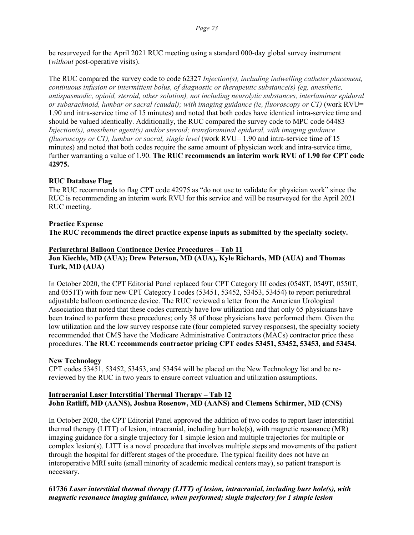be resurveyed for the April 2021 RUC meeting using a standard 000-day global survey instrument (*without* post-operative visits).

The RUC compared the survey code to code 62327 *Injection(s), including indwelling catheter placement, continuous infusion or intermittent bolus, of diagnostic or therapeutic substance(s) (eg, anesthetic, antispasmodic, opioid, steroid, other solution), not including neurolytic substances, interlaminar epidural or subarachnoid, lumbar or sacral (caudal); with imaging guidance (ie, fluoroscopy or CT)* (work RVU= 1.90 and intra-service time of 15 minutes) and noted that both codes have identical intra-service time and should be valued identically. Additionally, the RUC compared the survey code to MPC code 64483 *Injection(s), anesthetic agent(s) and/or steroid; transforaminal epidural, with imaging guidance (fluoroscopy or CT), lumbar or sacral, single level* (work RVU= 1.90 and intra-service time of 15 minutes) and noted that both codes require the same amount of physician work and intra-service time, further warranting a value of 1.90. **The RUC recommends an interim work RVU of 1.90 for CPT code 42975.** 

#### **RUC Database Flag**

The RUC recommends to flag CPT code 42975 as "do not use to validate for physician work" since the RUC is recommending an interim work RVU for this service and will be resurveyed for the April 2021 RUC meeting.

# **Practice Expense**

**The RUC recommends the direct practice expense inputs as submitted by the specialty society.**

#### **Periurethral Balloon Continence Device Procedures – Tab 11**

**Jon Kiechle, MD (AUA); Drew Peterson, MD (AUA), Kyle Richards, MD (AUA) and Thomas Turk, MD (AUA)**

In October 2020, the CPT Editorial Panel replaced four CPT Category III codes (0548T, 0549T, 0550T, and 0551T) with four new CPT Category I codes (53451, 53452, 53453, 53454) to report periurethral adjustable balloon continence device. The RUC reviewed a letter from the American Urological Association that noted that these codes currently have low utilization and that only 65 physicians have been trained to perform these procedures; only 38 of those physicians have performed them. Given the low utilization and the low survey response rate (four completed survey responses), the specialty society recommended that CMS have the Medicare Administrative Contractors (MACs) contractor price these procedures. **The RUC recommends contractor pricing CPT codes 53451, 53452, 53453, and 53454**.

#### **New Technology**

CPT codes 53451, 53452, 53453, and 53454 will be placed on the New Technology list and be rereviewed by the RUC in two years to ensure correct valuation and utilization assumptions.

#### **Intracranial Laser Interstitial Thermal Therapy – Tab 12 John Ratliff, MD (AANS), Joshua Rosenow, MD (AANS) and Clemens Schirmer, MD (CNS)**

In October 2020, the CPT Editorial Panel approved the addition of two codes to report laser interstitial thermal therapy (LITT) of lesion, intracranial, including burr hole(s), with magnetic resonance (MR) imaging guidance for a single trajectory for 1 simple lesion and multiple trajectories for multiple or complex lesion(s). LITT is a novel procedure that involves multiple steps and movements of the patient through the hospital for different stages of the procedure. The typical facility does not have an interoperative MRI suite (small minority of academic medical centers may), so patient transport is necessary.

# **61736** *Laser interstitial thermal therapy (LITT) of lesion, intracranial, including burr hole(s), with magnetic resonance imaging guidance, when performed; single trajectory for 1 simple lesion*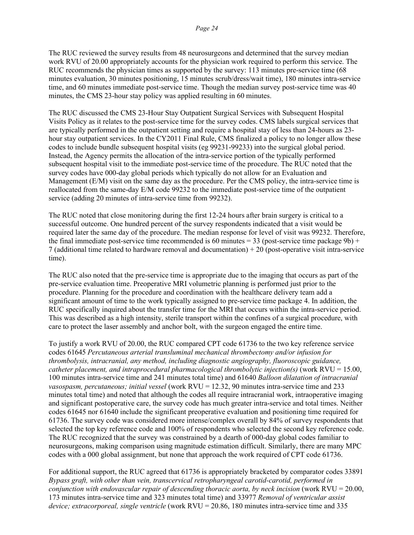The RUC reviewed the survey results from 48 neurosurgeons and determined that the survey median work RVU of 20.00 appropriately accounts for the physician work required to perform this service. The RUC recommends the physician times as supported by the survey: 113 minutes pre-service time (68 minutes evaluation, 30 minutes positioning, 15 minutes scrub/dress/wait time), 180 minutes intra-service time, and 60 minutes immediate post-service time. Though the median survey post-service time was 40 minutes, the CMS 23-hour stay policy was applied resulting in 60 minutes.

The RUC discussed the CMS 23-Hour Stay Outpatient Surgical Services with Subsequent Hospital Visits Policy as it relates to the post-service time for the survey codes. CMS labels surgical services that are typically performed in the outpatient setting and require a hospital stay of less than 24-hours as 23 hour stay outpatient services. In the CY2011 Final Rule, CMS finalized a policy to no longer allow these codes to include bundle subsequent hospital visits (eg 99231-99233) into the surgical global period. Instead, the Agency permits the allocation of the intra-service portion of the typically performed subsequent hospital visit to the immediate post-service time of the procedure. The RUC noted that the survey codes have 000-day global periods which typically do not allow for an Evaluation and Management (E/M) visit on the same day as the procedure. Per the CMS policy, the intra-service time is reallocated from the same-day E/M code 99232 to the immediate post-service time of the outpatient service (adding 20 minutes of intra-service time from 99232).

The RUC noted that close monitoring during the first 12-24 hours after brain surgery is critical to a successful outcome. One hundred percent of the survey respondents indicated that a visit would be required later the same day of the procedure. The median response for level of visit was 99232. Therefore, the final immediate post-service time recommended is 60 minutes =  $33$  (post-service time package 9b) + 7 (additional time related to hardware removal and documentation) + 20 (post-operative visit intra-service time).

The RUC also noted that the pre-service time is appropriate due to the imaging that occurs as part of the pre-service evaluation time. Preoperative MRI volumetric planning is performed just prior to the procedure. Planning for the procedure and coordination with the healthcare delivery team add a significant amount of time to the work typically assigned to pre-service time package 4. In addition, the RUC specifically inquired about the transfer time for the MRI that occurs within the intra-service period. This was described as a high intensity, sterile transport within the confines of a surgical procedure, with care to protect the laser assembly and anchor bolt, with the surgeon engaged the entire time.

To justify a work RVU of 20.00, the RUC compared CPT code 61736 to the two key reference service codes 61645 *Percutaneous arterial transluminal mechanical thrombectomy and/or infusion for thrombolysis, intracranial, any method, including diagnostic angiography, fluoroscopic guidance, catheter placement, and intraprocedural pharmacological thrombolytic injection(s)* (work RVU = 15.00, 100 minutes intra-service time and 241 minutes total time) and 61640 *Balloon dilatation of intracranial vasospasm, percutaneous; initial vessel* (work RVU = 12.32, 90 minutes intra-service time and 233 minutes total time) and noted that although the codes all require intracranial work, intraoperative imaging and significant postoperative care, the survey code has much greater intra-service and total times. Neither codes 61645 nor 61640 include the significant preoperative evaluation and positioning time required for 61736. The survey code was considered more intense/complex overall by 84% of survey respondents that selected the top key reference code and 100% of respondents who selected the second key reference code. The RUC recognized that the survey was constrained by a dearth of 000-day global codes familiar to neurosurgeons, making comparison using magnitude estimation difficult. Similarly, there are many MPC codes with a 000 global assignment, but none that approach the work required of CPT code 61736.

For additional support, the RUC agreed that 61736 is appropriately bracketed by comparator codes 33891 *Bypass graft, with other than vein, transcervical retropharyngeal carotid-carotid, performed in conjunction with endovascular repair of descending thoracic aorta, by neck incision* (work RVU = 20.00, 173 minutes intra-service time and 323 minutes total time) and 33977 *Removal of ventricular assist device; extracorporeal, single ventricle* (work RVU = 20.86, 180 minutes intra-service time and 335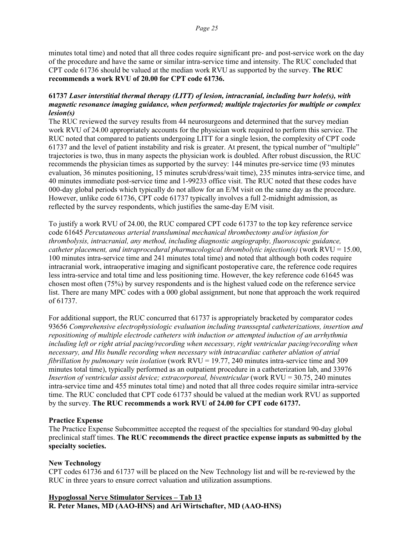minutes total time) and noted that all three codes require significant pre- and post-service work on the day of the procedure and have the same or similar intra-service time and intensity. The RUC concluded that CPT code 61736 should be valued at the median work RVU as supported by the survey. **The RUC recommends a work RVU of 20.00 for CPT code 61736.**

#### **61737** *Laser interstitial thermal therapy (LITT) of lesion, intracranial, including burr hole(s), with magnetic resonance imaging guidance, when performed; multiple trajectories for multiple or complex lesion(s)*

The RUC reviewed the survey results from 44 neurosurgeons and determined that the survey median work RVU of 24.00 appropriately accounts for the physician work required to perform this service. The RUC noted that compared to patients undergoing LITT for a single lesion, the complexity of CPT code 61737 and the level of patient instability and risk is greater. At present, the typical number of "multiple" trajectories is two, thus in many aspects the physician work is doubled. After robust discussion, the RUC recommends the physician times as supported by the survey: 144 minutes pre-service time (93 minutes evaluation, 36 minutes positioning, 15 minutes scrub/dress/wait time), 235 minutes intra-service time, and 40 minutes immediate post-service time and 1-99233 office visit. The RUC noted that these codes have 000-day global periods which typically do not allow for an E/M visit on the same day as the procedure. However, unlike code 61736, CPT code 61737 typically involves a full 2-midnight admission, as reflected by the survey respondents, which justifies the same-day E/M visit.

To justify a work RVU of 24.00, the RUC compared CPT code 61737 to the top key reference service code 61645 *Percutaneous arterial transluminal mechanical thrombectomy and/or infusion for thrombolysis, intracranial, any method, including diagnostic angiography, fluoroscopic guidance, catheter placement, and intraprocedural pharmacological thrombolytic injection(s)* (work RVU = 15.00, 100 minutes intra-service time and 241 minutes total time) and noted that although both codes require intracranial work, intraoperative imaging and significant postoperative care, the reference code requires less intra-service and total time and less positioning time. However, the key reference code 61645 was chosen most often (75%) by survey respondents and is the highest valued code on the reference service list. There are many MPC codes with a 000 global assignment, but none that approach the work required of 61737.

For additional support, the RUC concurred that 61737 is appropriately bracketed by comparator codes 93656 *Comprehensive electrophysiologic evaluation including transseptal catheterizations, insertion and repositioning of multiple electrode catheters with induction or attempted induction of an arrhythmia including left or right atrial pacing/recording when necessary, right ventricular pacing/recording when necessary, and His bundle recording when necessary with intracardiac catheter ablation of atrial fibrillation by pulmonary vein isolation* (work RVU = 19.77, 240 minutes intra-service time and 309 minutes total time), typically performed as an outpatient procedure in a catheterization lab, and 33976 *Insertion of ventricular assist device; extracorporeal, biventricular (work RVU = 30.75, 240 minutes* intra-service time and 455 minutes total time) and noted that all three codes require similar intra-service time. The RUC concluded that CPT code 61737 should be valued at the median work RVU as supported by the survey. **The RUC recommends a work RVU of 24.00 for CPT code 61737.**

#### **Practice Expense**

The Practice Expense Subcommittee accepted the request of the specialties for standard 90-day global preclinical staff times. **The RUC recommends the direct practice expense inputs as submitted by the specialty societies.**

#### **New Technology**

CPT codes 61736 and 61737 will be placed on the New Technology list and will be re-reviewed by the RUC in three years to ensure correct valuation and utilization assumptions.

# **Hypoglossal Nerve Stimulator Services – Tab 13**

**R. Peter Manes, MD (AAO-HNS) and Ari Wirtschafter, MD (AAO-HNS)**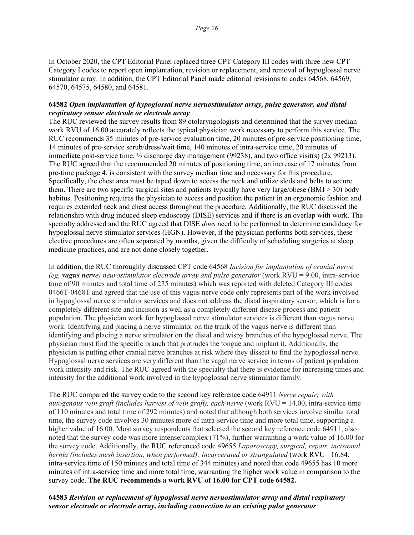In October 2020, the CPT Editorial Panel replaced three CPT Category III codes with three new CPT Category I codes to report open implantation, revision or replacement, and removal of hypoglossal nerve stimulator array. In addition, the CPT Editorial Panel made editorial revisions to codes 64568, 64569, 64570, 64575, 64580, and 64581.

#### **64582** *Open implantation of hypoglossal nerve neruostimulator array, pulse generator, and distal respiratory sensor electrode or electrode array*

The RUC reviewed the survey results from 89 otolaryngologists and determined that the survey median work RVU of 16.00 accurately reflects the typical physician work necessary to perform this service. The RUC recommends 35 minutes of pre-service evaluation time, 20 minutes of pre-service positioning time, 14 minutes of pre-service scrub/dress/wait time, 140 minutes of intra-service time, 20 minutes of immediate post-service time,  $\frac{1}{2}$  discharge day management (99238), and two office visit(s) (2x 99213). The RUC agreed that the recommended 20 minutes of positioning time, an increase of 17 minutes from pre-time package 4, is consistent with the survey median time and necessary for this procedure. Specifically, the chest area must be taped down to access the neck and utilize sleds and belts to secure them. There are two specific surgical sites and patients typically have very large/obese (BMI > 30) body habitus. Positioning requires the physician to access and position the patient in an ergonomic fashion and requires extended neck and chest access throughout the procedure. Additionally, the RUC discussed the relationship with drug induced sleep endoscopy (DISE) services and if there is an overlap with work. The specialty addressed and the RUC agreed that DISE *does* need to be performed to determine candidacy for hypoglossal nerve stimulator services (HGN). However, if the physician performs both services, these elective procedures are often separated by months, given the difficulty of scheduling surgeries at sleep medicine practices, and are not done closely together.

In addition, the RUC thoroughly discussed CPT code 64568 *Incision for implantation of cranial nerve (eg, vagus nerve) neurostimulator electrode array and pulse generator* (work RVU = 9.00, intra-service time of 90 minutes and total time of 275 minutes) which was reported with deleted Category III codes 0466T-0468T and agreed that the use of this vagus nerve code only represents part of the work involved in hypoglossal nerve stimulator services and does not address the distal inspiratory sensor, which is for a completely different site and incision as well as a completely different disease process and patient population. The physician work for hypoglossal nerve stimulator services is different than vagus nerve work. Identifying and placing a nerve stimulator on the trunk of the vagus nerve is different than identifying and placing a nerve stimulator on the distal and wispy branches of the hypoglossal nerve. The physician must find the specific branch that protrudes the tongue and implant it. Additionally, the physician is putting other cranial nerve branches at risk where they dissect to find the hypoglossal nerve. Hypoglossal nerve services are very different than the vagal nerve service in terms of patient population work intensity and risk. The RUC agreed with the specialty that there is evidence for increasing times and intensity for the additional work involved in the hypoglossal nerve stimulator family.

The RUC compared the survey code to the second key reference code 64911 *Nerve repair; with autogenous vein graft (includes harvest of vein graft), each nerve* (work RVU = 14.00, intra-service time of 110 minutes and total time of 292 minutes) and noted that although both services involve similar total time, the survey code involves 30 minutes more of intra-service time and more total time, supporting a higher value of 16.00. Most survey respondents that selected the second key reference code 64911, also noted that the survey code was more intense/complex (71%), further warranting a work value of 16.00 for the survey code. Additionally, the RUC referenced code 49655 *Laparoscopy, surgical, repair, incisional hernia (includes mesh insertion, when performed); incarcerated or strangulated* (work RVU= 16.84, intra-service time of 150 minutes and total time of 344 minutes) and noted that code 49655 has 10 more minutes of intra-service time and more total time, warranting the higher work value in comparison to the survey code. **The RUC recommends a work RVU of 16.00 for CPT code 64582.**

**64583** *Revision or replacement of hypoglossal nerve neruostimulator array and distal respiratory sensor electrode or electrode array, including connection to an existing pulse generator*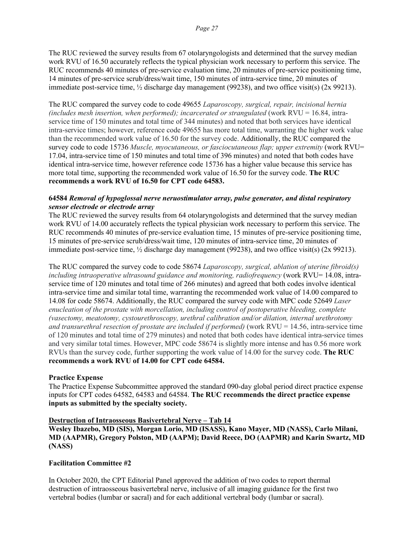The RUC reviewed the survey results from 67 otolaryngologists and determined that the survey median work RVU of 16.50 accurately reflects the typical physician work necessary to perform this service. The RUC recommends 40 minutes of pre-service evaluation time, 20 minutes of pre-service positioning time, 14 minutes of pre-service scrub/dress/wait time, 150 minutes of intra-service time, 20 minutes of immediate post-service time,  $\frac{1}{2}$  discharge day management (99238), and two office visit(s) (2x 99213).

The RUC compared the survey code to code 49655 *Laparoscopy, surgical, repair, incisional hernia (includes mesh insertion, when performed); incarcerated or strangulated* (work RVU = 16.84, intraservice time of 150 minutes and total time of 344 minutes) and noted that both services have identical intra-service times; however, reference code 49655 has more total time, warranting the higher work value than the recommended work value of 16.50 for the survey code. Additionally, the RUC compared the survey code to code 15736 *Muscle, myocutaneous, or fasciocutaneous flap; upper extremity* (work RVU= 17.04, intra-service time of 150 minutes and total time of 396 minutes) and noted that both codes have identical intra-service time, however reference code 15736 has a higher value because this service has more total time, supporting the recommended work value of 16.50 for the survey code. **The RUC recommends a work RVU of 16.50 for CPT code 64583.**

#### **64584** *Removal of hypoglossal nerve neruostimulator array, pulse generator, and distal respiratory sensor electrode or electrode array*

The RUC reviewed the survey results from 64 otolaryngologists and determined that the survey median work RVU of 14.00 accurately reflects the typical physician work necessary to perform this service. The RUC recommends 40 minutes of pre-service evaluation time, 15 minutes of pre-service positioning time, 15 minutes of pre-service scrub/dress/wait time, 120 minutes of intra-service time, 20 minutes of immediate post-service time,  $\frac{1}{2}$  discharge day management (99238), and two office visit(s) (2x 99213).

The RUC compared the survey code to code 58674 *Laparoscopy, surgical, ablation of uterine fibroid(s) including intraoperative ultrasound guidance and monitoring, radiofrequency* (work RVU= 14.08, intraservice time of 120 minutes and total time of 266 minutes) and agreed that both codes involve identical intra-service time and similar total time, warranting the recommended work value of 14.00 compared to 14.08 for code 58674. Additionally, the RUC compared the survey code with MPC code 52649 *Laser enucleation of the prostate with morcellation, including control of postoperative bleeding, complete (vasectomy, meatotomy, cystourethroscopy, urethral calibration and/or dilation, internal urethrotomy and transurethral resection of prostate are included if performed)* (work RVU = 14.56, intra-service time of 120 minutes and total time of 279 minutes) and noted that both codes have identical intra-service times and very similar total times. However, MPC code 58674 is slightly more intense and has 0.56 more work RVUs than the survey code, further supporting the work value of 14.00 for the survey code. **The RUC recommends a work RVU of 14.00 for CPT code 64584.**

#### **Practice Expense**

The Practice Expense Subcommittee approved the standard 090-day global period direct practice expense inputs for CPT codes 64582, 64583 and 64584. **The RUC recommends the direct practice expense inputs as submitted by the specialty society.**

#### **Destruction of Intraosseous Basivertebral Nerve – Tab 14**

**Wesley Ibazebo, MD (SIS), Morgan Lorio, MD (ISASS), Kano Mayer, MD (NASS), Carlo Milani, MD (AAPMR), Gregory Polston, MD (AAPM); David Reece, DO (AAPMR) and Karin Swartz, MD (NASS)**

#### **Facilitation Committee #2**

In October 2020, the CPT Editorial Panel approved the addition of two codes to report thermal destruction of intraosseous basivertebral nerve, inclusive of all imaging guidance for the first two vertebral bodies (lumbar or sacral) and for each additional vertebral body (lumbar or sacral).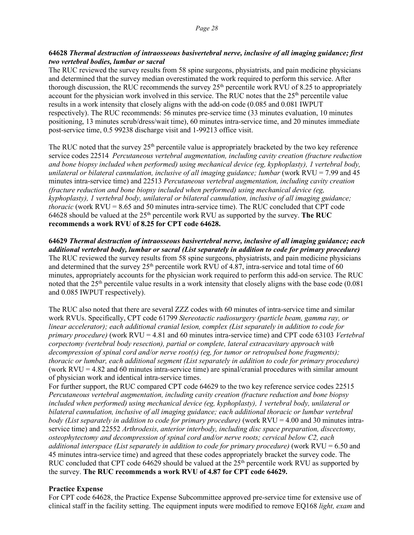### **64628** *Thermal destruction of intraosseous basivertebral nerve, inclusive of all imaging guidance; first two vertebral bodies, lumbar or sacral*

The RUC reviewed the survey results from 58 spine surgeons, physiatrists, and pain medicine physicians and determined that the survey median overestimated the work required to perform this service. After thorough discussion, the RUC recommends the survey  $25<sup>th</sup>$  percentile work RVU of 8.25 to appropriately account for the physician work involved in this service. The RUC notes that the  $25<sup>th</sup>$  percentile value results in a work intensity that closely aligns with the add-on code (0.085 and 0.081 IWPUT respectively). The RUC recommends: 56 minutes pre-service time (33 minutes evaluation, 10 minutes positioning, 13 minutes scrub/dress/wait time), 60 minutes intra-service time, and 20 minutes immediate post-service time, 0.5 99238 discharge visit and 1-99213 office visit.

The RUC noted that the survey 25<sup>th</sup> percentile value is appropriately bracketed by the two key reference service codes 22514 *Percutaneous vertebral augmentation, including cavity creation (fracture reduction and bone biopsy included when performed) using mechanical device (eg, kyphoplasty), 1 vertebral body, unilateral or bilateral cannulation, inclusive of all imaging guidance; lumbar (work RVU = 7.99 and 45)* minutes intra-service time) and 22513 *Percutaneous vertebral augmentation, including cavity creation (fracture reduction and bone biopsy included when performed) using mechanical device (eg, kyphoplasty), 1 vertebral body, unilateral or bilateral cannulation, inclusive of all imaging guidance; thoracic* (work RVU = 8.65 and 50 minutes intra-service time). The RUC concluded that CPT code 64628 should be valued at the  $25<sup>th</sup>$  percentile work RVU as supported by the survey. The RUC **recommends a work RVU of 8.25 for CPT code 64628.**

**64629** *Thermal destruction of intraosseous basivertebral nerve, inclusive of all imaging guidance; each additional vertebral body, lumbar or sacral (List separately in addition to code for primary procedure)* The RUC reviewed the survey results from 58 spine surgeons, physiatrists, and pain medicine physicians and determined that the survey 25<sup>th</sup> percentile work RVU of 4.87, intra-service and total time of 60 minutes, appropriately accounts for the physician work required to perform this add-on service. The RUC noted that the  $25<sup>th</sup>$  percentile value results in a work intensity that closely aligns with the base code (0.081) and 0.085 IWPUT respectively).

The RUC also noted that there are several ZZZ codes with 60 minutes of intra-service time and similar work RVUs. Specifically, CPT code 61799 *Stereotactic radiosurgery (particle beam, gamma ray, or linear accelerator); each additional cranial lesion, complex (List separately in addition to code for primary procedure)* (work RVU = 4.81 and 60 minutes intra-service time) and CPT code 63103 *Vertebral corpectomy (vertebral body resection), partial or complete, lateral extracavitary approach with decompression of spinal cord and/or nerve root(s) (eg, for tumor or retropulsed bone fragments); thoracic or lumbar, each additional segment (List separately in addition to code for primary procedure)* (work RVU = 4.82 and 60 minutes intra-service time) are spinal/cranial procedures with similar amount of physician work and identical intra-service times.

For further support, the RUC compared CPT code 64629 to the two key reference service codes 22515 *Percutaneous vertebral augmentation, including cavity creation (fracture reduction and bone biopsy included when performed) using mechanical device (eg, kyphoplasty), 1 vertebral body, unilateral or bilateral cannulation, inclusive of all imaging guidance; each additional thoracic or lumbar vertebral body (List separately in addition to code for primary procedure)* (work RVU = 4.00 and 30 minutes intraservice time) and 22552 *Arthrodesis, anterior interbody, including disc space preparation, discectomy, osteophytectomy and decompression of spinal cord and/or nerve roots; cervical below C2, each additional interspace (List separately in addition to code for primary procedure)* (work RVU = 6.50 and 45 minutes intra-service time) and agreed that these codes appropriately bracket the survey code. The RUC concluded that CPT code 64629 should be valued at the  $25<sup>th</sup>$  percentile work RVU as supported by the survey. **The RUC recommends a work RVU of 4.87 for CPT code 64629.**

#### **Practice Expense**

For CPT code 64628, the Practice Expense Subcommittee approved pre-service time for extensive use of clinical staff in the facility setting. The equipment inputs were modified to remove EQ168 *light, exam* and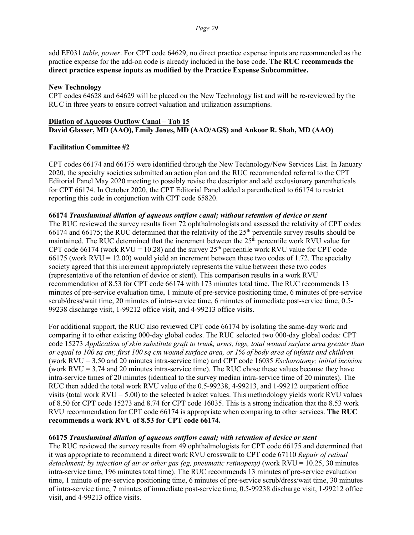add EF031 *table, power*. For CPT code 64629, no direct practice expense inputs are recommended as the practice expense for the add-on code is already included in the base code. **The RUC recommends the direct practice expense inputs as modified by the Practice Expense Subcommittee.**

#### **New Technology**

CPT codes 64628 and 64629 will be placed on the New Technology list and will be re-reviewed by the RUC in three years to ensure correct valuation and utilization assumptions.

#### **Dilation of Aqueous Outflow Canal – Tab 15 David Glasser, MD (AAO), Emily Jones, MD (AAO/AGS) and Ankoor R. Shah, MD (AAO)**

#### **Facilitation Committee #2**

CPT codes 66174 and 66175 were identified through the New Technology/New Services List. In January 2020, the specialty societies submitted an action plan and the RUC recommended referral to the CPT Editorial Panel May 2020 meeting to possibly revise the descriptor and add exclusionary parentheticals for CPT 66174. In October 2020, the CPT Editorial Panel added a parenthetical to 66174 to restrict reporting this code in conjunction with CPT code 65820.

#### **66174** *Transluminal dilation of aqueous outflow canal; without retention of device or stent*

The RUC reviewed the survey results from 72 ophthalmologists and assessed the relativity of CPT codes 66174 and 66175; the RUC determined that the relativity of the 25<sup>th</sup> percentile survey results should be maintained. The RUC determined that the increment between the  $25<sup>th</sup>$  percentile work RVU value for CPT code 66174 (work RVU = 10.28) and the survey  $25<sup>th</sup>$  percentile work RVU value for CPT code 66175 (work  $\text{RVU} = 12.00$ ) would yield an increment between these two codes of 1.72. The specialty society agreed that this increment appropriately represents the value between these two codes (representative of the retention of device or stent). This comparison results in a work RVU recommendation of 8.53 for CPT code 66174 with 173 minutes total time. The RUC recommends 13 minutes of pre-service evaluation time, 1 minute of pre-service positioning time, 6 minutes of pre-service scrub/dress/wait time, 20 minutes of intra-service time, 6 minutes of immediate post-service time, 0.5- 99238 discharge visit, 1-99212 office visit, and 4-99213 office visits.

For additional support, the RUC also reviewed CPT code 66174 by isolating the same-day work and comparing it to other existing 000-day global codes. The RUC selected two 000-day global codes: CPT code 15273 *Application of skin substitute graft to trunk, arms, legs, total wound surface area greater than or equal to 100 sq cm; first 100 sq cm wound surface area, or 1% of body area of infants and children*  (work RVU = 3.50 and 20 minutes intra-service time) and CPT code 16035 *Escharotomy; initial incision*  (work  $RVU = 3.74$  and 20 minutes intra-service time). The RUC chose these values because they have intra-service times of 20 minutes (identical to the survey median intra-service time of 20 minutes). The RUC then added the total work RVU value of the 0.5-99238, 4-99213, and 1-99212 outpatient office visits (total work  $R VU = 5.00$ ) to the selected bracket values. This methodology yields work RVU values of 8.50 for CPT code 15273 and 8.74 for CPT code 16035. This is a strong indication that the 8.53 work RVU recommendation for CPT code 66174 is appropriate when comparing to other services. **The RUC recommends a work RVU of 8.53 for CPT code 66174.** 

#### **66175** *Transluminal dilation of aqueous outflow canal; with retention of device or stent*

The RUC reviewed the survey results from 49 ophthalmologists for CPT code 66175 and determined that it was appropriate to recommend a direct work RVU crosswalk to CPT code 67110 *Repair of retinal detachment; by injection of air or other gas (eg, pneumatic retinopexy)* (work RVU = 10.25, 30 minutes intra-service time, 196 minutes total time). The RUC recommends 13 minutes of pre-service evaluation time, 1 minute of pre-service positioning time, 6 minutes of pre-service scrub/dress/wait time, 30 minutes of intra-service time, 7 minutes of immediate post-service time, 0.5-99238 discharge visit, 1-99212 office visit, and 4-99213 office visits.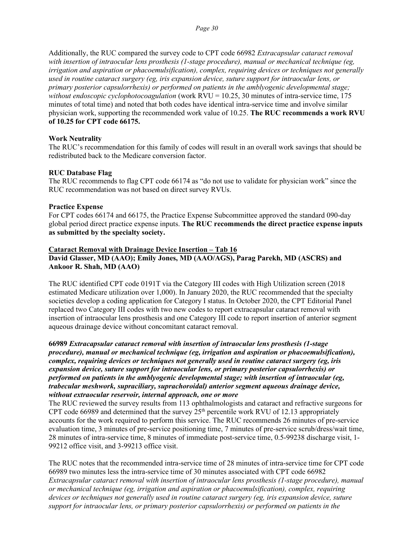Additionally, the RUC compared the survey code to CPT code 66982 *Extracapsular cataract removal with insertion of intraocular lens prosthesis (1-stage procedure), manual or mechanical technique (eg, irrigation and aspiration or phacoemulsification), complex, requiring devices or techniques not generally used in routine cataract surgery (eg, iris expansion device, suture support for intraocular lens, or primary posterior capsulorrhexis) or performed on patients in the amblyogenic developmental stage; without endoscopic cyclophotocoagulation* (work RVU = 10.25, 30 minutes of intra-service time, 175 minutes of total time) and noted that both codes have identical intra-service time and involve similar physician work, supporting the recommended work value of 10.25. **The RUC recommends a work RVU of 10.25 for CPT code 66175.**

#### **Work Neutrality**

The RUC's recommendation for this family of codes will result in an overall work savings that should be redistributed back to the Medicare conversion factor.

#### **RUC Database Flag**

The RUC recommends to flag CPT code 66174 as "do not use to validate for physician work" since the RUC recommendation was not based on direct survey RVUs.

#### **Practice Expense**

For CPT codes 66174 and 66175, the Practice Expense Subcommittee approved the standard 090-day global period direct practice expense inputs. **The RUC recommends the direct practice expense inputs as submitted by the specialty society.**

### **Cataract Removal with Drainage Device Insertion – Tab 16 David Glasser, MD (AAO); Emily Jones, MD (AAO/AGS), Parag Parekh, MD (ASCRS) and Ankoor R. Shah, MD (AAO)**

The RUC identified CPT code 0191T via the Category III codes with High Utilization screen (2018 estimated Medicare utilization over 1,000). In January 2020, the RUC recommended that the specialty societies develop a coding application for Category I status. In October 2020, the CPT Editorial Panel replaced two Category III codes with two new codes to report extracapsular cataract removal with insertion of intraocular lens prosthesis and one Category III code to report insertion of anterior segment aqueous drainage device without concomitant cataract removal.

**66989** *Extracapsular cataract removal with insertion of intraocular lens prosthesis (1-stage procedure), manual or mechanical technique (eg, irrigation and aspiration or phacoemulsification), complex, requiring devices or techniques not generally used in routine cataract surgery (eg, iris expansion device, suture support for intraocular lens, or primary posterior capsulorrhexis) or performed on patients in the amblyogenic developmental stage; with insertion of intraocular (eg, trabecular meshwork, supraciliary, suprachoroidal) anterior segment aqueous drainage device, without extraocular reservoir, internal approach, one or more*

The RUC reviewed the survey results from 113 ophthalmologists and cataract and refractive surgeons for CPT code 66989 and determined that the survey  $25<sup>th</sup>$  percentile work RVU of 12.13 appropriately accounts for the work required to perform this service. The RUC recommends 26 minutes of pre-service evaluation time, 3 minutes of pre-service positioning time, 7 minutes of pre-service scrub/dress/wait time, 28 minutes of intra-service time, 8 minutes of immediate post-service time, 0.5-99238 discharge visit, 1- 99212 office visit, and 3-99213 office visit.

The RUC notes that the recommended intra-service time of 28 minutes of intra-service time for CPT code 66989 two minutes less the intra-service time of 30 minutes associated with CPT code 66982 *Extracapsular cataract removal with insertion of intraocular lens prosthesis (1-stage procedure), manual or mechanical technique (eg, irrigation and aspiration or phacoemulsification), complex, requiring devices or techniques not generally used in routine cataract surgery (eg, iris expansion device, suture support for intraocular lens, or primary posterior capsulorrhexis) or performed on patients in the*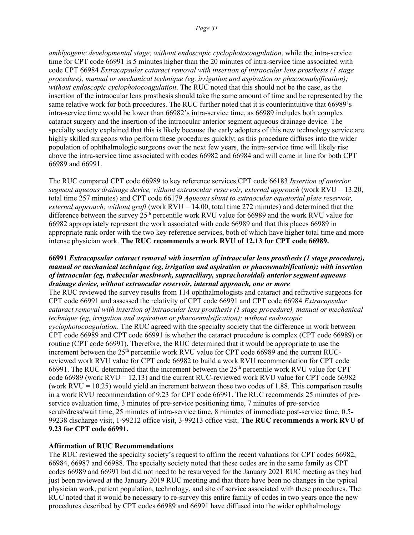*amblyogenic developmental stage; without endoscopic cyclophotocoagulation*, while the intra-service time for CPT code 66991 is 5 minutes higher than the 20 minutes of intra-service time associated with code CPT 66984 *Extracapsular cataract removal with insertion of intraocular lens prosthesis (1 stage procedure), manual or mechanical technique (eg, irrigation and aspiration or phacoemulsification); without endoscopic cyclophotocoagulation*. The RUC noted that this should not be the case, as the insertion of the intraocular lens prosthesis should take the same amount of time and be represented by the same relative work for both procedures. The RUC further noted that it is counterintuitive that 66989's intra-service time would be lower than 66982's intra-service time, as 66989 includes both complex cataract surgery and the insertion of the intraocular anterior segment aqueous drainage device. The specialty society explained that this is likely because the early adopters of this new technology service are highly skilled surgeons who perform these procedures quickly; as this procedure diffuses into the wider population of ophthalmologic surgeons over the next few years, the intra-service time will likely rise above the intra-service time associated with codes 66982 and 66984 and will come in line for both CPT 66989 and 66991.

The RUC compared CPT code 66989 to key reference services CPT code 66183 *Insertion of anterior segment aqueous drainage device, without extraocular reservoir, external approach* (work RVU = 13.20, total time 257 minutes) and CPT code 66179 *Aqueous shunt to extraocular equatorial plate reservoir, external approach; without graft* (work RVU = 14.00, total time 272 minutes) and determined that the difference between the survey  $25<sup>th</sup>$  percentile work RVU value for 66989 and the work RVU value for 66982 appropriately represent the work associated with code 66989 and that this places 66989 in appropriate rank order with the two key reference services, both of which have higher total time and more intense physician work. **The RUC recommends a work RVU of 12.13 for CPT code 66989.**

#### **66991** *Extracapsular cataract removal with insertion of intraocular lens prosthesis (1 stage procedure), manual or mechanical technique (eg, irrigation and aspiration or phacoemulsification); with insertion of intraocular (eg, trabecular meshwork, supraciliary, suprachoroidal) anterior segment aqueous drainage device, without extraocular reservoir, internal approach, one or more*

The RUC reviewed the survey results from 114 ophthalmologists and cataract and refractive surgeons for CPT code 66991 and assessed the relativity of CPT code 66991 and CPT code 66984 *Extracapsular cataract removal with insertion of intraocular lens prosthesis (1 stage procedure), manual or mechanical technique (eg, irrigation and aspiration or phacoemulsification); without endoscopic cyclophotocoagulation*. The RUC agreed with the specialty society that the difference in work between CPT code 66989 and CPT code 66991 is whether the cataract procedure is complex (CPT code 66989) or routine (CPT code 66991). Therefore, the RUC determined that it would be appropriate to use the increment between the  $25<sup>th</sup>$  percentile work RVU value for CPT code 66989 and the current RUCreviewed work RVU value for CPT code 66982 to build a work RVU recommendation for CPT code 66991. The RUC determined that the increment between the  $25<sup>th</sup>$  percentile work RVU value for CPT code 66989 (work RVU = 12.13) and the current RUC-reviewed work RVU value for CPT code 66982 (work  $RVU = 10.25$ ) would yield an increment between those two codes of 1.88. This comparison results in a work RVU recommendation of 9.23 for CPT code 66991. The RUC recommends 25 minutes of preservice evaluation time, 3 minutes of pre-service positioning time, 7 minutes of pre-service scrub/dress/wait time, 25 minutes of intra-service time, 8 minutes of immediate post-service time, 0.5- 99238 discharge visit, 1-99212 office visit, 3-99213 office visit. **The RUC recommends a work RVU of 9.23 for CPT code 66991.**

#### **Affirmation of RUC Recommendations**

The RUC reviewed the specialty society's request to affirm the recent valuations for CPT codes 66982, 66984, 66987 and 66988. The specialty society noted that these codes are in the same family as CPT codes 66989 and 66991 but did not need to be resurveyed for the January 2021 RUC meeting as they had just been reviewed at the January 2019 RUC meeting and that there have been no changes in the typical physician work, patient population, technology, and site of service associated with these procedures. The RUC noted that it would be necessary to re-survey this entire family of codes in two years once the new procedures described by CPT codes 66989 and 66991 have diffused into the wider ophthalmology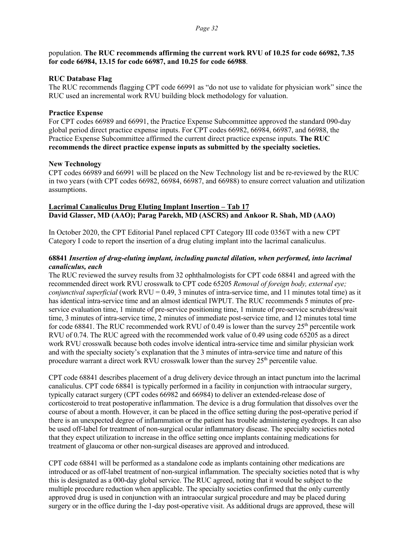population. **The RUC recommends affirming the current work RVU of 10.25 for code 66982, 7.35 for code 66984, 13.15 for code 66987, and 10.25 for code 66988**.

#### **RUC Database Flag**

The RUC recommends flagging CPT code 66991 as "do not use to validate for physician work" since the RUC used an incremental work RVU building block methodology for valuation.

#### **Practice Expense**

For CPT codes 66989 and 66991, the Practice Expense Subcommittee approved the standard 090-day global period direct practice expense inputs. For CPT codes 66982, 66984, 66987, and 66988, the Practice Expense Subcommittee affirmed the current direct practice expense inputs. **The RUC recommends the direct practice expense inputs as submitted by the specialty societies.**

#### **New Technology**

CPT codes 66989 and 66991 will be placed on the New Technology list and be re-reviewed by the RUC in two years (with CPT codes 66982, 66984, 66987, and 66988) to ensure correct valuation and utilization assumptions.

#### **Lacrimal Canaliculus Drug Eluting Implant Insertion – Tab 17 David Glasser, MD (AAO); Parag Parekh, MD (ASCRS) and Ankoor R. Shah, MD (AAO)**

In October 2020, the CPT Editorial Panel replaced CPT Category III code 0356T with a new CPT Category I code to report the insertion of a drug eluting implant into the lacrimal canaliculus.

### **68841** *Insertion of drug-eluting implant, including punctal dilation, when performed, into lacrimal canaliculus, each*

The RUC reviewed the survey results from 32 ophthalmologists for CPT code 68841 and agreed with the recommended direct work RVU crosswalk to CPT code 65205 *Removal of foreign body, external eye; conjunctival superficial* (work RVU = 0.49, 3 minutes of intra-service time, and 11 minutes total time) as it has identical intra-service time and an almost identical IWPUT. The RUC recommends 5 minutes of preservice evaluation time, 1 minute of pre-service positioning time, 1 minute of pre-service scrub/dress/wait time, 3 minutes of intra-service time, 2 minutes of immediate post-service time, and 12 minutes total time for code 68841. The RUC recommended work RVU of 0.49 is lower than the survey  $25<sup>th</sup>$  percentile work RVU of 0.74. The RUC agreed with the recommended work value of 0.49 using code 65205 as a direct work RVU crosswalk because both codes involve identical intra-service time and similar physician work and with the specialty society's explanation that the 3 minutes of intra-service time and nature of this procedure warrant a direct work RVU crosswalk lower than the survey 25<sup>th</sup> percentile value.

CPT code 68841 describes placement of a drug delivery device through an intact punctum into the lacrimal canaliculus. CPT code 68841 is typically performed in a facility in conjunction with intraocular surgery, typically cataract surgery (CPT codes 66982 and 66984) to deliver an extended-release dose of corticosteroid to treat postoperative inflammation. The device is a drug formulation that dissolves over the course of about a month. However, it can be placed in the office setting during the post-operative period if there is an unexpected degree of inflammation or the patient has trouble administering eyedrops. It can also be used off-label for treatment of non-surgical ocular inflammatory disease. The specialty societies noted that they expect utilization to increase in the office setting once implants containing medications for treatment of glaucoma or other non-surgical diseases are approved and introduced.

CPT code 68841 will be performed as a standalone code as implants containing other medications are introduced or as off-label treatment of non-surgical inflammation. The specialty societies noted that is why this is designated as a 000-day global service. The RUC agreed, noting that it would be subject to the multiple procedure reduction when applicable. The specialty societies confirmed that the only currently approved drug is used in conjunction with an intraocular surgical procedure and may be placed during surgery or in the office during the 1-day post-operative visit. As additional drugs are approved, these will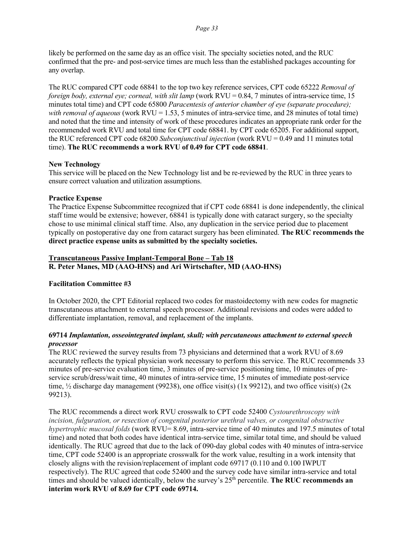#### *Page 33*

likely be performed on the same day as an office visit. The specialty societies noted, and the RUC confirmed that the pre- and post-service times are much less than the established packages accounting for any overlap.

The RUC compared CPT code 68841 to the top two key reference services, CPT code 65222 *Removal of foreign body, external eye; corneal, with slit lamp* (work RVU = 0.84, 7 minutes of intra-service time, 15 minutes total time) and CPT code 65800 *Paracentesis of anterior chamber of eye (separate procedure); with removal of aqueous* (work RVU = 1.53, 5 minutes of intra-service time, and 28 minutes of total time) and noted that the time and intensity of work of these procedures indicates an appropriate rank order for the recommended work RVU and total time for CPT code 68841. by CPT code 65205. For additional support, the RUC referenced CPT code 68200 *Subconjunctival injection* (work RVU = 0.49 and 11 minutes total time). **The RUC recommends a work RVU of 0.49 for CPT code 68841**.

#### **New Technology**

This service will be placed on the New Technology list and be re-reviewed by the RUC in three years to ensure correct valuation and utilization assumptions.

#### **Practice Expense**

The Practice Expense Subcommittee recognized that if CPT code 68841 is done independently, the clinical staff time would be extensive; however, 68841 is typically done with cataract surgery, so the specialty chose to use minimal clinical staff time. Also, any duplication in the service period due to placement typically on postoperative day one from cataract surgery has been eliminated. **The RUC recommends the direct practice expense units as submitted by the specialty societies.**

#### **Transcutaneous Passive Implant-Temporal Bone – Tab 18 R. Peter Manes, MD (AAO-HNS) and Ari Wirtschafter, MD (AAO-HNS)**

#### **Facilitation Committee #3**

In October 2020, the CPT Editorial replaced two codes for mastoidectomy with new codes for magnetic transcutaneous attachment to external speech processor. Additional revisions and codes were added to differentiate implantation, removal, and replacement of the implants.

### **69714** *Implantation, osseointegrated implant, skull; with percutaneous attachment to external speech processor*

The RUC reviewed the survey results from 73 physicians and determined that a work RVU of 8.69 accurately reflects the typical physician work necessary to perform this service. The RUC recommends 33 minutes of pre-service evaluation time, 3 minutes of pre-service positioning time, 10 minutes of preservice scrub/dress/wait time, 40 minutes of intra-service time, 15 minutes of immediate post-service time, ½ discharge day management (99238), one office visit(s) (1x 99212), and two office visit(s) (2x 99213).

The RUC recommends a direct work RVU crosswalk to CPT code 52400 *Cystourethroscopy with incision, fulguration, or resection of congenital posterior urethral valves, or congenital obstructive hypertrophic mucosal folds* (work RVU= 8.69, intra-service time of 40 minutes and 197.5 minutes of total time) and noted that both codes have identical intra-service time, similar total time, and should be valued identically. The RUC agreed that due to the lack of 090-day global codes with 40 minutes of intra-service time, CPT code 52400 is an appropriate crosswalk for the work value, resulting in a work intensity that closely aligns with the revision/replacement of implant code 69717 (0.110 and 0.100 IWPUT respectively). The RUC agreed that code 52400 and the survey code have similar intra-service and total times and should be valued identically, below the survey's  $25<sup>th</sup>$  percentile. The RUC recommends an **interim work RVU of 8.69 for CPT code 69714.**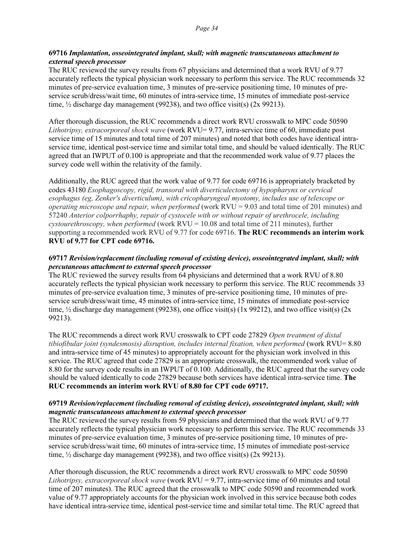#### **69716** *Implantation, osseointegrated implant, skull; with magnetic transcutaneous attachment to external speech processor*

The RUC reviewed the survey results from 67 physicians and determined that a work RVU of 9.77 accurately reflects the typical physician work necessary to perform this service. The RUC recommends 32 minutes of pre-service evaluation time, 3 minutes of pre-service positioning time, 10 minutes of preservice scrub/dress/wait time, 60 minutes of intra-service time, 15 minutes of immediate post-service time,  $\frac{1}{2}$  discharge day management (99238), and two office visit(s) (2x 99213).

After thorough discussion, the RUC recommends a direct work RVU crosswalk to MPC code 50590 *Lithotripsy, extracorporeal shock wave* (work RVU= 9.77, intra-service time of 60, immediate post service time of 15 minutes and total time of 207 minutes) and noted that both codes have identical intraservice time, identical post-service time and similar total time, and should be valued identically. The RUC agreed that an IWPUT of 0.100 is appropriate and that the recommended work value of 9.77 places the survey code well within the relativity of the family.

Additionally, the RUC agreed that the work value of 9.77 for code 69716 is appropriately bracketed by codes 43180 *Esophagoscopy, rigid, transoral with diverticulectomy of hypopharynx or cervical esophagus (eg, Zenker's diverticulum), with cricopharyngeal myotomy, includes use of telescope or operating microscope and repair, when performed* (work RVU = 9.03 and total time of 201 minutes) and 57240 *Anterior colporrhaphy, repair of cystocele with or without repair of urethrocele, including cystourethroscopy, when performed* (work RVU = 10.08 and total time of 211 minutes), further supporting a recommended work RVU of 9.77 for code 69716. **The RUC recommends an interim work RVU of 9.77 for CPT code 69716.**

# **69717** *Revision/replacement (including removal of existing device), osseointegrated implant, skull; with percutaneous attachment to external speech processor*

The RUC reviewed the survey results from 64 physicians and determined that a work RVU of 8.80 accurately reflects the typical physician work necessary to perform this service. The RUC recommends 33 minutes of pre-service evaluation time, 3 minutes of pre-service positioning time, 10 minutes of preservice scrub/dress/wait time, 45 minutes of intra-service time, 15 minutes of immediate post-service time, ½ discharge day management (99238), one office visit(s) (1x 99212), and two office visit(s) (2x 99213).

The RUC recommends a direct work RVU crosswalk to CPT code 27829 *Open treatment of distal tibiofibular joint (syndesmosis) disruption, includes internal fixation, when performed* (work RVU= 8.80 and intra-service time of 45 minutes) to appropriately account for the physician work involved in this service. The RUC agreed that code 27829 is an appropriate crosswalk, the recommended work value of 8.80 for the survey code results in an IWPUT of 0.100. Additionally, the RUC agreed that the survey code should be valued identically to code 27829 because both services have identical intra-service time. **The RUC recommends an interim work RVU of 8.80 for CPT code 69717.**

### **69719** *Revision/replacement (including removal of existing device), osseointegrated implant, skull; with magnetic transcutaneous attachment to external speech processor*

The RUC reviewed the survey results from 59 physicians and determined that the work RVU of 9.77 accurately reflects the typical physician work necessary to perform this service. The RUC recommends 33 minutes of pre-service evaluation time, 3 minutes of pre-service positioning time, 10 minutes of preservice scrub/dress/wait time, 60 minutes of intra-service time, 15 minutes of immediate post-service time,  $\frac{1}{2}$  discharge day management (99238), and two office visit(s) (2x 99213).

After thorough discussion, the RUC recommends a direct work RVU crosswalk to MPC code 50590 *Lithotripsy, extracorporeal shock wave* (work RVU = 9.77, intra-service time of 60 minutes and total time of 207 minutes). The RUC agreed that the crosswalk to MPC code 50590 and recommended work value of 9.77 appropriately accounts for the physician work involved in this service because both codes have identical intra-service time, identical post-service time and similar total time. The RUC agreed that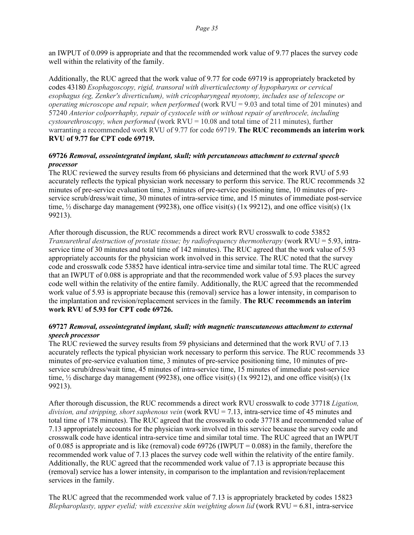an IWPUT of 0.099 is appropriate and that the recommended work value of 9.77 places the survey code well within the relativity of the family.

Additionally, the RUC agreed that the work value of 9.77 for code 69719 is appropriately bracketed by codes 43180 *Esophagoscopy, rigid, transoral with diverticulectomy of hypopharynx or cervical esophagus (eg, Zenker's diverticulum), with cricopharyngeal myotomy, includes use of telescope or operating microscope and repair, when performed* (work RVU = 9.03 and total time of 201 minutes) and 57240 *Anterior colporrhaphy, repair of cystocele with or without repair of urethrocele, including cystourethroscopy, when performed* (work RVU = 10.08 and total time of 211 minutes), further warranting a recommended work RVU of 9.77 for code 69719. **The RUC recommends an interim work RVU of 9.77 for CPT code 69719.**

#### **69726** *Removal, osseointegrated implant, skull; with percutaneous attachment to external speech processor*

The RUC reviewed the survey results from 66 physicians and determined that the work RVU of 5.93 accurately reflects the typical physician work necessary to perform this service. The RUC recommends 32 minutes of pre-service evaluation time, 3 minutes of pre-service positioning time, 10 minutes of preservice scrub/dress/wait time, 30 minutes of intra-service time, and 15 minutes of immediate post-service time, ½ discharge day management (99238), one office visit(s) (1x 99212), and one office visit(s) (1x 99213).

After thorough discussion, the RUC recommends a direct work RVU crosswalk to code 53852 *Transurethral destruction of prostate tissue; by radiofrequency thermotherapy* (work RVU = 5.93, intraservice time of 30 minutes and total time of 142 minutes). The RUC agreed that the work value of 5.93 appropriately accounts for the physician work involved in this service. The RUC noted that the survey code and crosswalk code 53852 have identical intra-service time and similar total time. The RUC agreed that an IWPUT of 0.088 is appropriate and that the recommended work value of 5.93 places the survey code well within the relativity of the entire family. Additionally, the RUC agreed that the recommended work value of 5.93 is appropriate because this (removal) service has a lower intensity, in comparison to the implantation and revision/replacement services in the family. **The RUC recommends an interim work RVU of 5.93 for CPT code 69726.**

### **69727** *Removal, osseointegrated implant, skull; with magnetic transcutaneous attachment to external speech processor*

The RUC reviewed the survey results from 59 physicians and determined that the work RVU of 7.13 accurately reflects the typical physician work necessary to perform this service. The RUC recommends 33 minutes of pre-service evaluation time, 3 minutes of pre-service positioning time, 10 minutes of preservice scrub/dress/wait time, 45 minutes of intra-service time, 15 minutes of immediate post-service time, ½ discharge day management (99238), one office visit(s) (1x 99212), and one office visit(s) (1x 99213).

After thorough discussion, the RUC recommends a direct work RVU crosswalk to code 37718 *Ligation, division, and stripping, short saphenous vein* (work RVU = 7.13, intra-service time of 45 minutes and total time of 178 minutes). The RUC agreed that the crosswalk to code 37718 and recommended value of 7.13 appropriately accounts for the physician work involved in this service because the survey code and crosswalk code have identical intra-service time and similar total time. The RUC agreed that an IWPUT of 0.085 is appropriate and is like (removal) code  $69726$  (IWPUT = 0.088) in the family, therefore the recommended work value of 7.13 places the survey code well within the relativity of the entire family. Additionally, the RUC agreed that the recommended work value of 7.13 is appropriate because this (removal) service has a lower intensity, in comparison to the implantation and revision/replacement services in the family.

The RUC agreed that the recommended work value of 7.13 is appropriately bracketed by codes 15823 *Blepharoplasty, upper eyelid; with excessive skin weighting down lid* (work RVU = 6.81, intra-service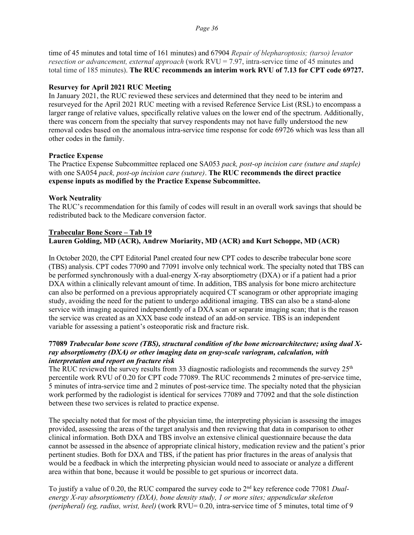time of 45 minutes and total time of 161 minutes) and 67904 *Repair of blepharoptosis; (tarso) levator resection or advancement, external approach* (work RVU = 7.97, intra-service time of 45 minutes and total time of 185 minutes). **The RUC recommends an interim work RVU of 7.13 for CPT code 69727.**

#### **Resurvey for April 2021 RUC Meeting**

In January 2021, the RUC reviewed these services and determined that they need to be interim and resurveyed for the April 2021 RUC meeting with a revised Reference Service List (RSL) to encompass a larger range of relative values, specifically relative values on the lower end of the spectrum. Additionally, there was concern from the specialty that survey respondents may not have fully understood the new removal codes based on the anomalous intra-service time response for code 69726 which was less than all other codes in the family.

#### **Practice Expense**

The Practice Expense Subcommittee replaced one SA053 *pack, post-op incision care (suture and staple)*  with one SA054 *pack, post-op incision care (suture)*. **The RUC recommends the direct practice expense inputs as modified by the Practice Expense Subcommittee.**

#### **Work Neutrality**

The RUC's recommendation for this family of codes will result in an overall work savings that should be redistributed back to the Medicare conversion factor.

#### **Trabecular Bone Score – Tab 19 Lauren Golding, MD (ACR), Andrew Moriarity, MD (ACR) and Kurt Schoppe, MD (ACR)**

In October 2020, the CPT Editorial Panel created four new CPT codes to describe trabecular bone score (TBS) analysis. CPT codes 77090 and 77091 involve only technical work. The specialty noted that TBS can be performed synchronously with a dual-energy X-ray absorptiometry (DXA) or if a patient had a prior DXA within a clinically relevant amount of time. In addition, TBS analysis for bone micro architecture can also be performed on a previous appropriately acquired CT scanogram or other appropriate imaging study, avoiding the need for the patient to undergo additional imaging. TBS can also be a stand-alone service with imaging acquired independently of a DXA scan or separate imaging scan; that is the reason the service was created as an XXX base code instead of an add-on service. TBS is an independent variable for assessing a patient's osteoporatic risk and fracture risk.

#### **77089** *Trabecular bone score (TBS), structural condition of the bone microarchitecture; using dual Xray absorptiometry (DXA) or other imaging data on gray-scale variogram, calculation, with interpretation and report on fracture risk*

The RUC reviewed the survey results from 33 diagnostic radiologists and recommends the survey  $25<sup>th</sup>$ percentile work RVU of 0.20 for CPT code 77089. The RUC recommends 2 minutes of pre-service time, 5 minutes of intra-service time and 2 minutes of post-service time. The specialty noted that the physician work performed by the radiologist is identical for services 77089 and 77092 and that the sole distinction between these two services is related to practice expense.

The specialty noted that for most of the physician time, the interpreting physician is assessing the images provided, assessing the areas of the target analysis and then reviewing that data in comparison to other clinical information. Both DXA and TBS involve an extensive clinical questionnaire because the data cannot be assessed in the absence of appropriate clinical history, medication review and the patient's prior pertinent studies. Both for DXA and TBS, if the patient has prior fractures in the areas of analysis that would be a feedback in which the interpreting physician would need to associate or analyze a different area within that bone, because it would be possible to get spurious or incorrect data.

To justify a value of 0.20, the RUC compared the survey code to 2nd key reference code 77081 *Dualenergy X-ray absorptiometry (DXA), bone density study, 1 or more sites; appendicular skeleton (peripheral) (eg, radius, wrist, heel)* (work RVU= 0.20, intra-service time of 5 minutes, total time of 9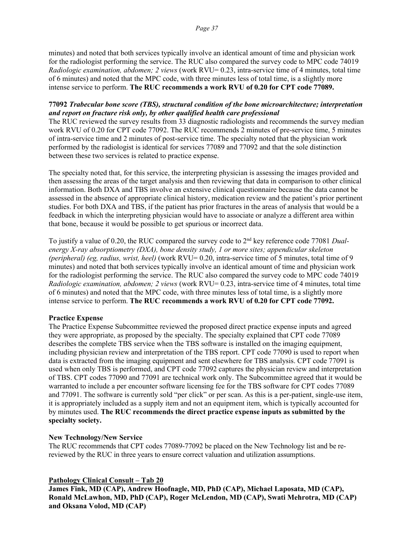minutes) and noted that both services typically involve an identical amount of time and physician work for the radiologist performing the service. The RUC also compared the survey code to MPC code 74019 *Radiologic examination, abdomen; 2 views* (work RVU= 0.23, intra-service time of 4 minutes, total time of 6 minutes) and noted that the MPC code, with three minutes less of total time, is a slightly more intense service to perform. **The RUC recommends a work RVU of 0.20 for CPT code 77089.**

### **77092** *Trabecular bone score (TBS), structural condition of the bone microarchitecture; interpretation and report on fracture risk only, by other qualified health care professional*

The RUC reviewed the survey results from 33 diagnostic radiologists and recommends the survey median work RVU of 0.20 for CPT code 77092. The RUC recommends 2 minutes of pre-service time, 5 minutes of intra-service time and 2 minutes of post-service time. The specialty noted that the physician work performed by the radiologist is identical for services 77089 and 77092 and that the sole distinction between these two services is related to practice expense.

The specialty noted that, for this service, the interpreting physician is assessing the images provided and then assessing the areas of the target analysis and then reviewing that data in comparison to other clinical information. Both DXA and TBS involve an extensive clinical questionnaire because the data cannot be assessed in the absence of appropriate clinical history, medication review and the patient's prior pertinent studies. For both DXA and TBS, if the patient has prior fractures in the areas of analysis that would be a feedback in which the interpreting physician would have to associate or analyze a different area within that bone, because it would be possible to get spurious or incorrect data.

To justify a value of 0.20, the RUC compared the survey code to 2nd key reference code 77081 *Dualenergy X-ray absorptiometry (DXA), bone density study, 1 or more sites; appendicular skeleton (peripheral) (eg, radius, wrist, heel)* (work RVU= 0.20, intra-service time of 5 minutes, total time of 9 minutes) and noted that both services typically involve an identical amount of time and physician work for the radiologist performing the service. The RUC also compared the survey code to MPC code 74019 *Radiologic examination, abdomen; 2 views* (work RVU= 0.23, intra-service time of 4 minutes, total time of 6 minutes) and noted that the MPC code, with three minutes less of total time, is a slightly more intense service to perform. **The RUC recommends a work RVU of 0.20 for CPT code 77092.**

#### **Practice Expense**

The Practice Expense Subcommittee reviewed the proposed direct practice expense inputs and agreed they were appropriate, as proposed by the specialty. The specialty explained that CPT code 77089 describes the complete TBS service when the TBS software is installed on the imaging equipment, including physician review and interpretation of the TBS report. CPT code 77090 is used to report when data is extracted from the imaging equipment and sent elsewhere for TBS analysis. CPT code 77091 is used when only TBS is performed, and CPT code 77092 captures the physician review and interpretation of TBS. CPT codes 77090 and 77091 are technical work only. The Subcommittee agreed that it would be warranted to include a per encounter software licensing fee for the TBS software for CPT codes 77089 and 77091. The software is currently sold "per click" or per scan. As this is a per-patient, single-use item, it is appropriately included as a supply item and not an equipment item, which is typically accounted for by minutes used. **The RUC recommends the direct practice expense inputs as submitted by the specialty society.**

#### **New Technology/New Service**

The RUC recommends that CPT codes 77089-77092 be placed on the New Technology list and be rereviewed by the RUC in three years to ensure correct valuation and utilization assumptions.

#### **Pathology Clinical Consult – Tab 20**

**James Fink, MD (CAP), Andrew Hoofnagle, MD, PhD (CAP), Michael Laposata, MD (CAP), Ronald McLawhon, MD, PhD (CAP), Roger McLendon, MD (CAP), Swati Mehrotra, MD (CAP) and Oksana Volod, MD (CAP)**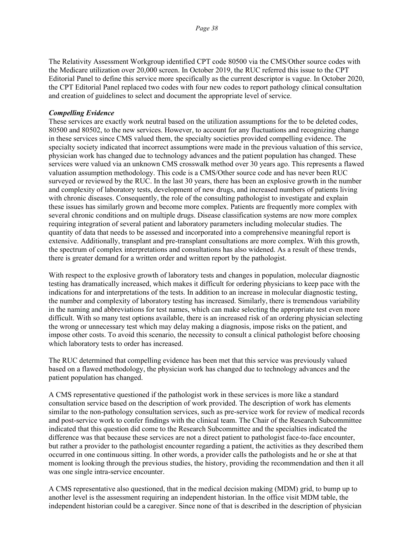The Relativity Assessment Workgroup identified CPT code 80500 via the CMS/Other source codes with the Medicare utilization over 20,000 screen. In October 2019, the RUC referred this issue to the CPT Editorial Panel to define this service more specifically as the current descriptor is vague. In October 2020, the CPT Editorial Panel replaced two codes with four new codes to report pathology clinical consultation and creation of guidelines to select and document the appropriate level of service.

#### *Compelling Evidence*

These services are exactly work neutral based on the utilization assumptions for the to be deleted codes, 80500 and 80502, to the new services. However, to account for any fluctuations and recognizing change in these services since CMS valued them, the specialty societies provided compelling evidence. The specialty society indicated that incorrect assumptions were made in the previous valuation of this service, physician work has changed due to technology advances and the patient population has changed. These services were valued via an unknown CMS crosswalk method over 30 years ago. This represents a flawed valuation assumption methodology. This code is a CMS/Other source code and has never been RUC surveyed or reviewed by the RUC. In the last 30 years, there has been an explosive growth in the number and complexity of laboratory tests, development of new drugs, and increased numbers of patients living with chronic diseases. Consequently, the role of the consulting pathologist to investigate and explain these issues has similarly grown and become more complex. Patients are frequently more complex with several chronic conditions and on multiple drugs. Disease classification systems are now more complex requiring integration of several patient and laboratory parameters including molecular studies. The quantity of data that needs to be assessed and incorporated into a comprehensive meaningful report is extensive. Additionally, transplant and pre-transplant consultations are more complex. With this growth, the spectrum of complex interpretations and consultations has also widened. As a result of these trends, there is greater demand for a written order and written report by the pathologist.

With respect to the explosive growth of laboratory tests and changes in population, molecular diagnostic testing has dramatically increased, which makes it difficult for ordering physicians to keep pace with the indications for and interpretations of the tests. In addition to an increase in molecular diagnostic testing, the number and complexity of laboratory testing has increased. Similarly, there is tremendous variability in the naming and abbreviations for test names, which can make selecting the appropriate test even more difficult. With so many test options available, there is an increased risk of an ordering physician selecting the wrong or unnecessary test which may delay making a diagnosis, impose risks on the patient, and impose other costs. To avoid this scenario, the necessity to consult a clinical pathologist before choosing which laboratory tests to order has increased.

The RUC determined that compelling evidence has been met that this service was previously valued based on a flawed methodology, the physician work has changed due to technology advances and the patient population has changed.

A CMS representative questioned if the pathologist work in these services is more like a standard consultation service based on the description of work provided. The description of work has elements similar to the non-pathology consultation services, such as pre-service work for review of medical records and post-service work to confer findings with the clinical team. The Chair of the Research Subcommittee indicated that this question did come to the Research Subcommittee and the specialties indicated the difference was that because these services are not a direct patient to pathologist face-to-face encounter, but rather a provider to the pathologist encounter regarding a patient, the activities as they described them occurred in one continuous sitting. In other words, a provider calls the pathologists and he or she at that moment is looking through the previous studies, the history, providing the recommendation and then it all was one single intra-service encounter.

A CMS representative also questioned, that in the medical decision making (MDM) grid, to bump up to another level is the assessment requiring an independent historian. In the office visit MDM table, the independent historian could be a caregiver. Since none of that is described in the description of physician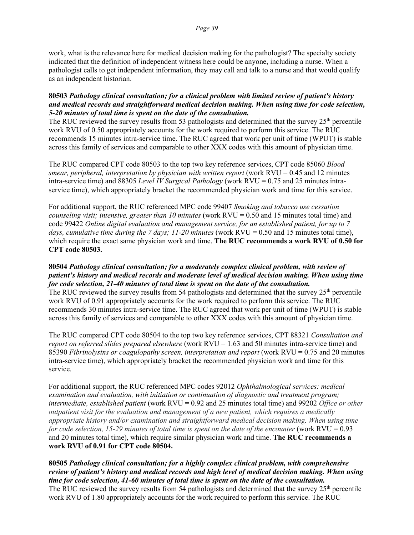work, what is the relevance here for medical decision making for the pathologist? The specialty society indicated that the definition of independent witness here could be anyone, including a nurse. When a pathologist calls to get independent information, they may call and talk to a nurse and that would qualify as an independent historian.

#### **80503** *Pathology clinical consultation; for a clinical problem with limited review of patient's history and medical records and straightforward medical decision making. When using time for code selection, 5-20 minutes of total time is spent on the date of the consultation.*

The RUC reviewed the survey results from 53 pathologists and determined that the survey 25<sup>th</sup> percentile work RVU of 0.50 appropriately accounts for the work required to perform this service. The RUC recommends 15 minutes intra-service time. The RUC agreed that work per unit of time (WPUT) is stable across this family of services and comparable to other XXX codes with this amount of physician time.

The RUC compared CPT code 80503 to the top two key reference services, CPT code 85060 *Blood smear, peripheral, interpretation by physician with written report* (work RVU = 0.45 and 12 minutes intra-service time) and 88305 *Level IV Surgical Pathology* (work RVU = 0.75 and 25 minutes intraservice time), which appropriately bracket the recommended physician work and time for this service.

For additional support, the RUC referenced MPC code 99407 *Smoking and tobacco use cessation counseling visit; intensive, greater than 10 minutes* (work RVU = 0.50 and 15 minutes total time) and code 99422 *Online digital evaluation and management service, for an established patient, for up to 7 days, cumulative time during the 7 days; 11-20 minutes* (work RVU = 0.50 and 15 minutes total time), which require the exact same physician work and time. **The RUC recommends a work RVU of 0.50 for CPT code 80503.**

#### **80504** *Pathology clinical consultation; for a moderately complex clinical problem, with review of patient's history and medical records and moderate level of medical decision making. When using time for code selection, 21-40 minutes of total time is spent on the date of the consultation.*

The RUC reviewed the survey results from 54 pathologists and determined that the survey 25<sup>th</sup> percentile work RVU of 0.91 appropriately accounts for the work required to perform this service. The RUC recommends 30 minutes intra-service time. The RUC agreed that work per unit of time (WPUT) is stable across this family of services and comparable to other XXX codes with this amount of physician time.

The RUC compared CPT code 80504 to the top two key reference services, CPT 88321 *Consultation and report on referred slides prepared elsewhere* (work RVU = 1.63 and 50 minutes intra-service time) and 85390 *Fibrinolysins or coagulopathy screen, interpretation and report* (work RVU = 0.75 and 20 minutes intra-service time), which appropriately bracket the recommended physician work and time for this service.

For additional support, the RUC referenced MPC codes 92012 *Ophthalmological services: medical examination and evaluation, with initiation or continuation of diagnostic and treatment program; intermediate, established patient* (work RVU = 0.92 and 25 minutes total time) and 99202 *Office or other outpatient visit for the evaluation and management of a new patient, which requires a medically appropriate history and/or examination and straightforward medical decision making. When using time for code selection, 15-29 minutes of total time is spent on the date of the encounter* (work  $RVU = 0.93$ and 20 minutes total time), which require similar physician work and time. **The RUC recommends a work RVU of 0.91 for CPT code 80504.**

# **80505** *Pathology clinical consultation; for a highly complex clinical problem, with comprehensive review of patient's history and medical records and high level of medical decision making. When using time for code selection, 41-60 minutes of total time is spent on the date of the consultation.*

The RUC reviewed the survey results from 54 pathologists and determined that the survey  $25<sup>th</sup>$  percentile work RVU of 1.80 appropriately accounts for the work required to perform this service. The RUC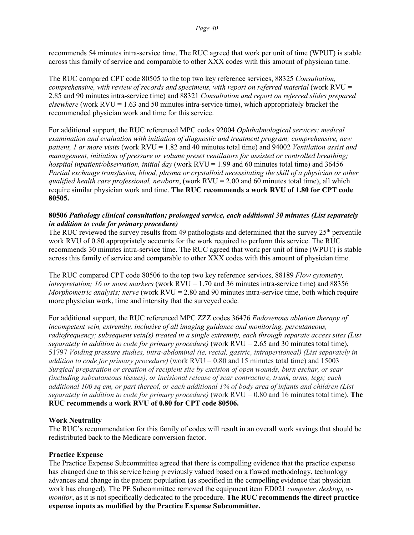recommends 54 minutes intra-service time. The RUC agreed that work per unit of time (WPUT) is stable across this family of service and comparable to other XXX codes with this amount of physician time.

The RUC compared CPT code 80505 to the top two key reference services, 88325 *Consultation, comprehensive, with review of records and specimens, with report on referred material (work RVU =* 2.85 and 90 minutes intra-service time) and 88321 *Consultation and report on referred slides prepared elsewhere* (work RVU = 1.63 and 50 minutes intra-service time), which appropriately bracket the recommended physician work and time for this service.

For additional support, the RUC referenced MPC codes 92004 *Ophthalmological services: medical examination and evaluation with initiation of diagnostic and treatment program; comprehensive, new patient, 1 or more visits* (work RVU = 1.82 and 40 minutes total time) and 94002 *Ventilation assist and management, initiation of pressure or volume preset ventilators for assisted or controlled breathing; hospital inpatient/observation, initial day* (work RVU = 1.99 and 60 minutes total time) and 36456 *Partial exchange transfusion, blood, plasma or crystalloid necessitating the skill of a physician or other qualified health care professional, newborn*, (work RVU = 2.00 and 60 minutes total time), all which require similar physician work and time. **The RUC recommends a work RVU of 1.80 for CPT code 80505.**

### **80506** *Pathology clinical consultation; prolonged service, each additional 30 minutes (List separately in addition to code for primary procedure)*

The RUC reviewed the survey results from 49 pathologists and determined that the survey  $25<sup>th</sup>$  percentile work RVU of 0.80 appropriately accounts for the work required to perform this service. The RUC recommends 30 minutes intra-service time. The RUC agreed that work per unit of time (WPUT) is stable across this family of service and comparable to other XXX codes with this amount of physician time.

The RUC compared CPT code 80506 to the top two key reference services, 88189 *Flow cytometry, interpretation; 16 or more markers* (work RVU = 1.70 and 36 minutes intra-service time) and 88356 *Morphometric analysis; nerve* (work RVU = 2.80 and 90 minutes intra-service time, both which require more physician work, time and intensity that the surveyed code.

For additional support, the RUC referenced MPC ZZZ codes 36476 *Endovenous ablation therapy of incompetent vein, extremity, inclusive of all imaging guidance and monitoring, percutaneous, radiofrequency; subsequent vein(s) treated in a single extremity, each through separate access sites (List separately in addition to code for primary procedure)* (work RVU = 2.65 and 30 minutes total time), 51797 *Voiding pressure studies, intra-abdominal (ie, rectal, gastric, intraperitoneal) (List separately in addition to code for primary procedure)* (work RVU = 0.80 and 15 minutes total time) and 15003 *Surgical preparation or creation of recipient site by excision of open wounds, burn eschar, or scar (including subcutaneous tissues), or incisional release of scar contracture, trunk, arms, legs; each additional 100 sq cm, or part thereof, or each additional 1% of body area of infants and children (List separately in addition to code for primary procedure)* (work RVU = 0.80 and 16 minutes total time). **The RUC recommends a work RVU of 0.80 for CPT code 80506.**

# **Work Neutrality**

The RUC's recommendation for this family of codes will result in an overall work savings that should be redistributed back to the Medicare conversion factor.

#### **Practice Expense**

The Practice Expense Subcommittee agreed that there is compelling evidence that the practice expense has changed due to this service being previously valued based on a flawed methodology, technology advances and change in the patient population (as specified in the compelling evidence that physician work has changed). The PE Subcommittee removed the equipment item ED021 *computer, desktop, wmonitor*, as it is not specifically dedicated to the procedure. **The RUC recommends the direct practice expense inputs as modified by the Practice Expense Subcommittee.**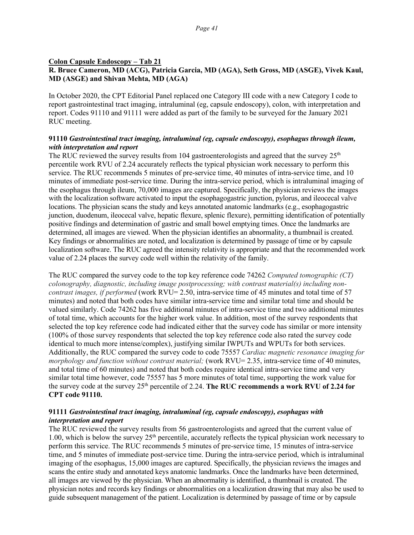#### **Colon Capsule Endoscopy – Tab 21 R. Bruce Cameron, MD (ACG), Patricia Garcia, MD (AGA), Seth Gross, MD (ASGE), Vivek Kaul, MD (ASGE) and Shivan Mehta, MD (AGA)**

In October 2020, the CPT Editorial Panel replaced one Category III code with a new Category I code to report gastrointestinal tract imaging, intraluminal (eg, capsule endoscopy), colon, with interpretation and report. Codes 91110 and 91111 were added as part of the family to be surveyed for the January 2021 RUC meeting.

#### **91110** *Gastrointestinal tract imaging, intraluminal (eg, capsule endoscopy), esophagus through ileum, with interpretation and report*

The RUC reviewed the survey results from 104 gastroenterologists and agreed that the survey  $25<sup>th</sup>$ percentile work RVU of 2.24 accurately reflects the typical physician work necessary to perform this service. The RUC recommends 5 minutes of pre-service time, 40 minutes of intra-service time, and 10 minutes of immediate post-service time. During the intra-service period, which is intraluminal imaging of the esophagus through ileum, 70,000 images are captured. Specifically, the physician reviews the images with the localization software activated to input the esophagogastric junction, pylorus, and ileocecal valve locations. The physician scans the study and keys annotated anatomic landmarks (e.g., esophagogastric junction, duodenum, ileocecal valve, hepatic flexure, splenic flexure), permitting identification of potentially positive findings and determination of gastric and small bowel emptying times. Once the landmarks are determined, all images are viewed. When the physician identifies an abnormality, a thumbnail is created. Key findings or abnormalities are noted, and localization is determined by passage of time or by capsule localization software. The RUC agreed the intensity relativity is appropriate and that the recommended work value of 2.24 places the survey code well within the relativity of the family.

The RUC compared the survey code to the top key reference code 74262 *Computed tomographic (CT) colonography, diagnostic, including image postprocessing; with contrast material(s) including noncontrast images, if performed* (work RVU= 2.50, intra-service time of 45 minutes and total time of 57 minutes) and noted that both codes have similar intra-service time and similar total time and should be valued similarly. Code 74262 has five additional minutes of intra-service time and two additional minutes of total time, which accounts for the higher work value. In addition, most of the survey respondents that selected the top key reference code had indicated either that the survey code has similar or more intensity (100% of those survey respondents that selected the top key reference code also rated the survey code identical to much more intense/complex), justifying similar IWPUTs and WPUTs for both services. Additionally, the RUC compared the survey code to code 75557 *Cardiac magnetic resonance imaging for morphology and function without contrast material;* (work RVU= 2.35, intra-service time of 40 minutes, and total time of 60 minutes) and noted that both codes require identical intra-service time and very similar total time however, code 75557 has 5 more minutes of total time, supporting the work value for the survey code at the survey 25<sup>th</sup> percentile of 2.24. The RUC **recommends a work RVU of 2.24 for CPT code 91110.**

#### **91111** *Gastrointestinal tract imaging, intraluminal (eg, capsule endoscopy), esophagus with interpretation and report*

The RUC reviewed the survey results from 56 gastroenterologists and agreed that the current value of 1.00, which is below the survey 25th percentile, accurately reflects the typical physician work necessary to perform this service. The RUC recommends 5 minutes of pre-service time, 15 minutes of intra-service time, and 5 minutes of immediate post-service time. During the intra-service period, which is intraluminal imaging of the esophagus, 15,000 images are captured. Specifically, the physician reviews the images and scans the entire study and annotated keys anatomic landmarks. Once the landmarks have been determined, all images are viewed by the physician. When an abnormality is identified, a thumbnail is created. The physician notes and records key findings or abnormalities on a localization drawing that may also be used to guide subsequent management of the patient. Localization is determined by passage of time or by capsule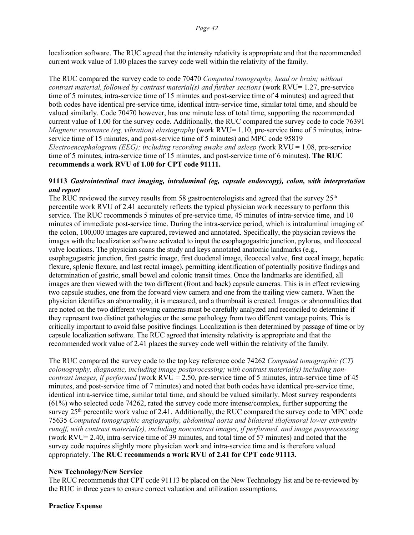localization software. The RUC agreed that the intensity relativity is appropriate and that the recommended current work value of 1.00 places the survey code well within the relativity of the family.

The RUC compared the survey code to code 70470 *Computed tomography, head or brain; without contrast material, followed by contrast material(s) and further sections* (work RVU= 1.27, pre-service time of 5 minutes, intra-service time of 15 minutes and post-service time of 4 minutes) and agreed that both codes have identical pre-service time, identical intra-service time, similar total time, and should be valued similarly. Code 70470 however, has one minute less of total time, supporting the recommended current value of 1.00 for the survey code. Additionally, the RUC compared the survey code to code 76391 *Magnetic resonance (eg, vibration) elastography* (work RVU= 1.10, pre-service time of 5 minutes, intraservice time of 15 minutes, and post-service time of 5 minutes) and MPC code 95819 *Electroencephalogram (EEG); including recording awake and asleep (*work RVU = 1.08, pre-service time of 5 minutes, intra-service time of 15 minutes, and post-service time of 6 minutes). **The RUC recommends a work RVU of 1.00 for CPT code 91111.**

#### **91113** *Gastrointestinal tract imaging, intraluminal (eg, capsule endoscopy), colon, with interpretation and report*

The RUC reviewed the survey results from 58 gastroenterologists and agreed that the survey  $25<sup>th</sup>$ percentile work RVU of 2.41 accurately reflects the typical physician work necessary to perform this service. The RUC recommends 5 minutes of pre-service time, 45 minutes of intra-service time, and 10 minutes of immediate post-service time. During the intra-service period, which is intraluminal imaging of the colon, 100,000 images are captured, reviewed and annotated. Specifically, the physician reviews the images with the localization software activated to input the esophagogastric junction, pylorus, and ileocecal valve locations. The physician scans the study and keys annotated anatomic landmarks (e.g., esophagogastric junction, first gastric image, first duodenal image, ileocecal valve, first cecal image, hepatic flexure, splenic flexure, and last rectal image), permitting identification of potentially positive findings and determination of gastric, small bowel and colonic transit times. Once the landmarks are identified, all images are then viewed with the two different (front and back) capsule cameras. This is in effect reviewing two capsule studies, one from the forward view camera and one from the trailing view camera. When the physician identifies an abnormality, it is measured, and a thumbnail is created. Images or abnormalities that are noted on the two different viewing cameras must be carefully analyzed and reconciled to determine if they represent two distinct pathologies or the same pathology from two different vantage points. This is critically important to avoid false positive findings. Localization is then determined by passage of time or by capsule localization software. The RUC agreed that intensity relativity is appropriate and that the recommended work value of 2.41 places the survey code well within the relativity of the family.

The RUC compared the survey code to the top key reference code 74262 *Computed tomographic (CT) colonography, diagnostic, including image postprocessing; with contrast material(s) including noncontrast images, if performed* (work RVU = 2.50, pre-service time of 5 minutes, intra-service time of 45 minutes, and post-service time of 7 minutes) and noted that both codes have identical pre-service time, identical intra-service time, similar total time, and should be valued similarly. Most survey respondents (61%) who selected code 74262, rated the survey code more intense/complex, further supporting the survey  $25<sup>th</sup>$  percentile work value of 2.41. Additionally, the RUC compared the survey code to MPC code 75635 *Computed tomographic angiography, abdominal aorta and bilateral iliofemoral lower extremity runoff, with contrast material(s), including noncontrast images, if performed, and image postprocessing* (work RVU= 2.40, intra-service time of 39 minutes, and total time of 57 minutes) and noted that the survey code requires slightly more physician work and intra-service time and is therefore valued appropriately. **The RUC recommends a work RVU of 2.41 for CPT code 91113.**

# **New Technology/New Service**

The RUC recommends that CPT code 91113 be placed on the New Technology list and be re-reviewed by the RUC in three years to ensure correct valuation and utilization assumptions.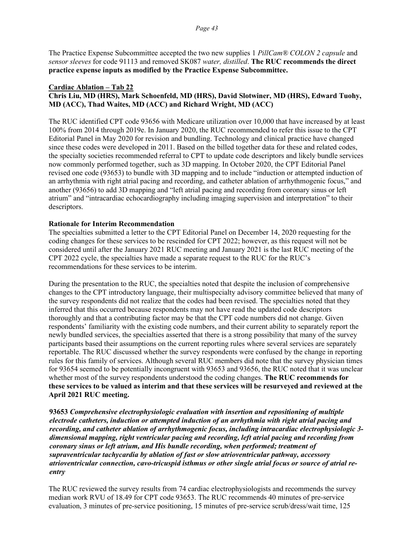The Practice Expense Subcommittee accepted the two new supplies 1 *PillCam® COLON 2 capsule* and *sensor sleeves* for code 91113 and removed SK087 *water, distilled*. **The RUC recommends the direct practice expense inputs as modified by the Practice Expense Subcommittee.**

#### **Cardiac Ablation – Tab 22 Chris Liu, MD (HRS), Mark Schoenfeld, MD (HRS), David Slotwiner, MD (HRS), Edward Tuohy, MD (ACC), Thad Waites, MD (ACC) and Richard Wright, MD (ACC)**

The RUC identified CPT code 93656 with Medicare utilization over 10,000 that have increased by at least 100% from 2014 through 2019e. In January 2020, the RUC recommended to refer this issue to the CPT Editorial Panel in May 2020 for revision and bundling. Technology and clinical practice have changed since these codes were developed in 2011. Based on the billed together data for these and related codes, the specialty societies recommended referral to CPT to update code descriptors and likely bundle services now commonly performed together, such as 3D mapping. In October 2020, the CPT Editorial Panel revised one code (93653) to bundle with 3D mapping and to include "induction or attempted induction of an arrhythmia with right atrial pacing and recording, and catheter ablation of arrhythmogenic focus," and another (93656) to add 3D mapping and "left atrial pacing and recording from coronary sinus or left atrium" and "intracardiac echocardiography including imaging supervision and interpretation" to their descriptors.

#### **Rationale for Interim Recommendation**

The specialties submitted a letter to the CPT Editorial Panel on December 14, 2020 requesting for the coding changes for these services to be rescinded for CPT 2022; however, as this request will not be considered until after the January 2021 RUC meeting and January 2021 is the last RUC meeting of the CPT 2022 cycle, the specialties have made a separate request to the RUC for the RUC's recommendations for these services to be interim.

During the presentation to the RUC, the specialties noted that despite the inclusion of comprehensive changes to the CPT introductory language, their multispecialty advisory committee believed that many of the survey respondents did not realize that the codes had been revised. The specialties noted that they inferred that this occurred because respondents may not have read the updated code descriptors thoroughly and that a contributing factor may be that the CPT code numbers did not change. Given respondents' familiarity with the existing code numbers, and their current ability to separately report the newly bundled services, the specialties asserted that there is a strong possibility that many of the survey participants based their assumptions on the current reporting rules where several services are separately reportable. The RUC discussed whether the survey respondents were confused by the change in reporting rules for this family of services. Although several RUC members did note that the survey physician times for 93654 seemed to be potentially incongruent with 93653 and 93656, the RUC noted that it was unclear whether most of the survey respondents understood the coding changes. **The RUC recommends for these services to be valued as interim and that these services will be resurveyed and reviewed at the April 2021 RUC meeting.** 

**93653** *Comprehensive electrophysiologic evaluation with insertion and repositioning of multiple electrode catheters, induction or attempted induction of an arrhythmia with right atrial pacing and recording, and catheter ablation of arrhythmogenic focus, including intracardiac electrophysiologic 3 dimensional mapping, right ventricular pacing and recording, left atrial pacing and recording from coronary sinus or left atrium, and His bundle recording, when performed; treatment of supraventricular tachycardia by ablation of fast or slow atrioventricular pathway, accessory atrioventricular connection, cavo-tricuspid isthmus or other single atrial focus or source of atrial reentry*

The RUC reviewed the survey results from 74 cardiac electrophysiologists and recommends the survey median work RVU of 18.49 for CPT code 93653. The RUC recommends 40 minutes of pre-service evaluation, 3 minutes of pre-service positioning, 15 minutes of pre-service scrub/dress/wait time, 125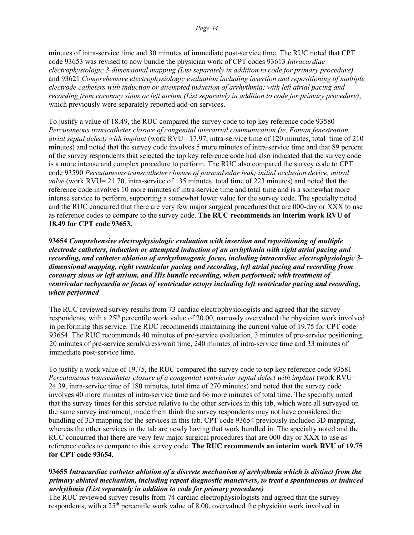minutes of intra-service time and 30 minutes of immediate post-service time. The RUC noted that CPT code 93653 was revised to now bundle the physician work of CPT codes 93613 *Intracardiac electrophysiologic 3-dimensional mapping (List separately in addition to code for primary procedure)* and 93621 *Comprehensive electrophysiologic evaluation including insertion and repositioning of multiple electrode catheters with induction or attempted induction of arrhythmia; with left atrial pacing and recording from coronary sinus or left atrium (List separately in addition to code for primary procedure)*, which previously were separately reported add-on services.

To justify a value of 18.49, the RUC compared the survey code to top key reference code 93580 *Percutaneous transcatheter closure of congenital interatrial communication (ie, Fontan fenestration, atrial septal defect) with implant* (work RVU= 17.97, intra-service time of 120 minutes, total time of 210 minutes) and noted that the survey code involves 5 more minutes of intra-service time and that 89 percent of the survey respondents that selected the top key reference code had also indicated that the survey code is a more intense and complex procedure to perform. The RUC also compared the survey code to CPT code 93590 *Percutaneous transcatheter closure of paravalvular leak; initial occlusion device, mitral valve* (work RVU= 21.70, intra-service of 135 minutes, total time of 223 minutes) and noted that the reference code involves 10 more minutes of intra-service time and total time and is a somewhat more intense service to perform, supporting a somewhat lower value for the survey code. The specialty noted and the RUC concurred that there are very few major surgical procedures that are 000-day or XXX to use as reference codes to compare to the survey code. **The RUC recommends an interim work RVU of 18.49 for CPT code 93653.**

**93654** *Comprehensive electrophysiologic evaluation with insertion and repositioning of multiple electrode catheters, induction or attempted induction of an arrhythmia with right atrial pacing and recording, and catheter ablation of arrhythmogenic focus, including intracardiac electrophysiologic 3 dimensional mapping, right ventricular pacing and recording, left atrial pacing and recording from coronary sinus or left atrium, and His bundle recording, when performed; with treatment of ventricular tachycardia or focus of ventricular ectopy including left ventricular pacing and recording, when performed*

The RUC reviewed survey results from 73 cardiac electrophysiologists and agreed that the survey respondents, with a 25th percentile work value of 20.00, narrowly overvalued the physician work involved in performing this service. The RUC recommends maintaining the current value of 19.75 for CPT code 93654. The RUC recommends 40 minutes of pre-service evaluation, 3 minutes of pre-service positioning, 20 minutes of pre-service scrub/dress/wait time, 240 minutes of intra-service time and 33 minutes of immediate post-service time.

To justify a work value of 19.75, the RUC compared the survey code to top key reference code 93581 *Percutaneous transcatheter closure of a congenital ventricular septal defect with implant* (work RVU= 24.39, intra-service time of 180 minutes, total time of 270 minutes) and noted that the survey code involves 40 more minutes of intra-service time and 66 more minutes of total time. The specialty noted that the survey times for this service relative to the other services in this tab, which were all surveyed on the same survey instrument, made them think the survey respondents may not have considered the bundling of 3D mapping for the services in this tab. CPT code 93654 previously included 3D mapping, whereas the other services in the tab are newly having that work bundled in. The specialty noted and the RUC concurred that there are very few major surgical procedures that are 000-day or XXX to use as reference codes to compare to this survey code. **The RUC recommends an interim work RVU of 19.75 for CPT code 93654.**

### **93655** *Intracardiac catheter ablation of a discrete mechanism of arrhythmia which is distinct from the primary ablated mechanism, including repeat diagnostic maneuvers, to treat a spontaneous or induced arrhythmia (List separately in addition to code for primary procedure)*

The RUC reviewed survey results from 74 cardiac electrophysiologists and agreed that the survey respondents, with a 25<sup>th</sup> percentile work value of 8.00, overvalued the physician work involved in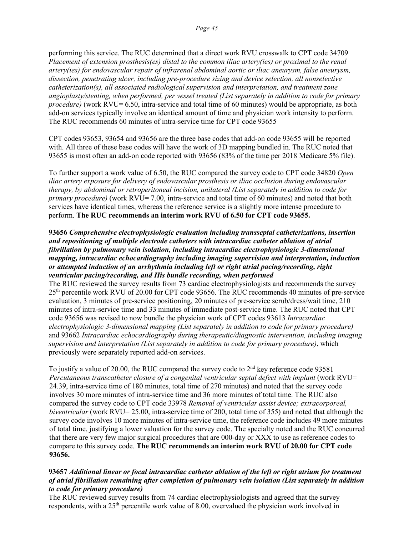performing this service. The RUC determined that a direct work RVU crosswalk to CPT code 34709 *Placement of extension prosthesis(es) distal to the common iliac artery(ies) or proximal to the renal artery(ies) for endovascular repair of infrarenal abdominal aortic or iliac aneurysm, false aneurysm, dissection, penetrating ulcer, including pre-procedure sizing and device selection, all nonselective catheterization(s), all associated radiological supervision and interpretation, and treatment zone angioplasty/stenting, when performed, per vessel treated (List separately in addition to code for primary procedure*) (work RVU= 6.50, intra-service and total time of 60 minutes) would be appropriate, as both add-on services typically involve an identical amount of time and physician work intensity to perform. The RUC recommends 60 minutes of intra-service time for CPT code 93655

CPT codes 93653, 93654 and 93656 are the three base codes that add-on code 93655 will be reported with. All three of these base codes will have the work of 3D mapping bundled in. The RUC noted that 93655 is most often an add-on code reported with 93656 (83% of the time per 2018 Medicare 5% file).

To further support a work value of 6.50, the RUC compared the survey code to CPT code 34820 *Open iliac artery exposure for delivery of endovascular prosthesis or iliac occlusion during endovascular therapy, by abdominal or retroperitoneal incision, unilateral (List separately in addition to code for primary procedure*) (work RVU= 7.00, intra-service and total time of 60 minutes) and noted that both services have identical times, whereas the reference service is a slightly more intense procedure to perform. **The RUC recommends an interim work RVU of 6.50 for CPT code 93655.**

#### **93656** *Comprehensive electrophysiologic evaluation including transseptal catheterizations, insertion and repositioning of multiple electrode catheters with intracardiac catheter ablation of atrial fibrillation by pulmonary vein isolation, including intracardiac electrophysiologic 3-dimensional mapping, intracardiac echocardiography including imaging supervision and interpretation, induction or attempted induction of an arrhythmia including left or right atrial pacing/recording, right ventricular pacing/recording, and His bundle recording, when performed*

The RUC reviewed the survey results from 73 cardiac electrophysiologists and recommends the survey 25th percentile work RVU of 20.00 for CPT code 93656. The RUC recommends 40 minutes of pre-service evaluation, 3 minutes of pre-service positioning, 20 minutes of pre-service scrub/dress/wait time, 210 minutes of intra-service time and 33 minutes of immediate post-service time. The RUC noted that CPT code 93656 was revised to now bundle the physician work of CPT codes 93613 *Intracardiac electrophysiologic 3-dimensional mapping (List separately in addition to code for primary procedure)* and 93662 *Intracardiac echocardiography during therapeutic/diagnostic intervention, including imaging supervision and interpretation (List separately in addition to code for primary procedure)*, which previously were separately reported add-on services.

To justify a value of 20.00, the RUC compared the survey code to 2nd key reference code 93581 *Percutaneous transcatheter closure of a congenital ventricular septal defect with implant* (work RVU= 24.39, intra-service time of 180 minutes, total time of 270 minutes) and noted that the survey code involves 30 more minutes of intra-service time and 36 more minutes of total time. The RUC also compared the survey code to CPT code 33978 *Removal of ventricular assist device; extracorporeal, biventricular* (work RVU= 25.00, intra-service time of 200, total time of 355) and noted that although the survey code involves 10 more minutes of intra-service time, the reference code includes 49 more minutes of total time, justifying a lower valuation for the survey code. The specialty noted and the RUC concurred that there are very few major surgical procedures that are 000-day or XXX to use as reference codes to compare to this survey code. **The RUC recommends an interim work RVU of 20.00 for CPT code 93656.**

#### **93657** *Additional linear or focal intracardiac catheter ablation of the left or right atrium for treatment of atrial fibrillation remaining after completion of pulmonary vein isolation (List separately in addition to code for primary procedure)*

The RUC reviewed survey results from 74 cardiac electrophysiologists and agreed that the survey respondents, with a 25th percentile work value of 8.00, overvalued the physician work involved in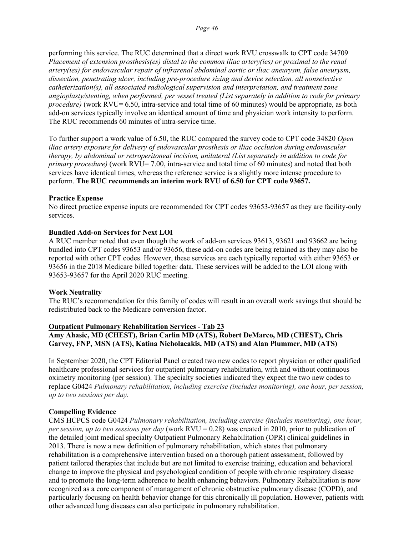performing this service. The RUC determined that a direct work RVU crosswalk to CPT code 34709 *Placement of extension prosthesis(es) distal to the common iliac artery(ies) or proximal to the renal artery(ies) for endovascular repair of infrarenal abdominal aortic or iliac aneurysm, false aneurysm, dissection, penetrating ulcer, including pre-procedure sizing and device selection, all nonselective catheterization(s), all associated radiological supervision and interpretation, and treatment zone angioplasty/stenting, when performed, per vessel treated (List separately in addition to code for primary procedure*) (work RVU= 6.50, intra-service and total time of 60 minutes) would be appropriate, as both add-on services typically involve an identical amount of time and physician work intensity to perform. The RUC recommends 60 minutes of intra-service time.

To further support a work value of 6.50, the RUC compared the survey code to CPT code 34820 *Open iliac artery exposure for delivery of endovascular prosthesis or iliac occlusion during endovascular therapy, by abdominal or retroperitoneal incision, unilateral (List separately in addition to code for primary procedure*) (work RVU= 7.00, intra-service and total time of 60 minutes) and noted that both services have identical times, whereas the reference service is a slightly more intense procedure to perform. **The RUC recommends an interim work RVU of 6.50 for CPT code 93657.**

#### **Practice Expense**

No direct practice expense inputs are recommended for CPT codes 93653-93657 as they are facility-only services.

### **Bundled Add-on Services for Next LOI**

A RUC member noted that even though the work of add-on services 93613, 93621 and 93662 are being bundled into CPT codes 93653 and/or 93656, these add-on codes are being retained as they may also be reported with other CPT codes. However, these services are each typically reported with either 93653 or 93656 in the 2018 Medicare billed together data. These services will be added to the LOI along with 93653-93657 for the April 2020 RUC meeting.

#### **Work Neutrality**

The RUC's recommendation for this family of codes will result in an overall work savings that should be redistributed back to the Medicare conversion factor.

#### **Outpatient Pulmonary Rehabilitation Services - Tab 23 Amy Ahasic, MD (CHEST), Brian Carlin MD (ATS), Robert DeMarco, MD (CHEST), Chris Garvey, FNP, MSN (ATS), Katina Nicholacakis, MD (ATS) and Alan Plummer, MD (ATS)**

In September 2020, the CPT Editorial Panel created two new codes to report physician or other qualified healthcare professional services for outpatient pulmonary rehabilitation, with and without continuous oximetry monitoring (per session). The specialty societies indicated they expect the two new codes to replace G0424 *Pulmonary rehabilitation, including exercise (includes monitoring), one hour, per session, up to two sessions per day.*

# **Compelling Evidence**

CMS HCPCS code G0424 *Pulmonary rehabilitation, including exercise (includes monitoring), one hour, per session, up to two sessions per day* (work RVU = 0.28) was created in 2010, prior to publication of the detailed joint medical specialty Outpatient Pulmonary Rehabilitation (OPR) clinical guidelines in 2013. There is now a new definition of pulmonary rehabilitation, which states that pulmonary rehabilitation is a comprehensive intervention based on a thorough patient assessment, followed by patient tailored therapies that include but are not limited to exercise training, education and behavioral change to improve the physical and psychological condition of people with chronic respiratory disease and to promote the long-term adherence to health enhancing behaviors. Pulmonary Rehabilitation is now recognized as a core component of management of chronic obstructive pulmonary disease (COPD), and particularly focusing on health behavior change for this chronically ill population. However, patients with other advanced lung diseases can also participate in pulmonary rehabilitation.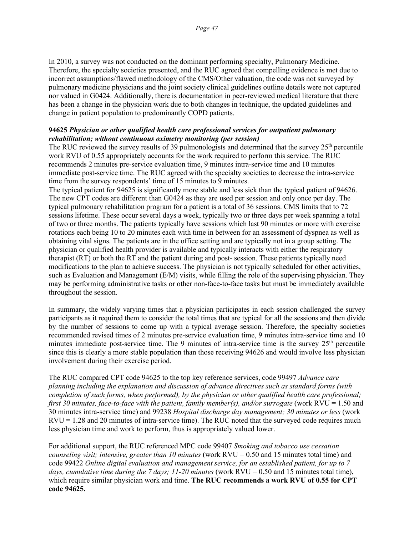In 2010, a survey was not conducted on the dominant performing specialty, Pulmonary Medicine. Therefore, the specialty societies presented, and the RUC agreed that compelling evidence is met due to incorrect assumptions/flawed methodology of the CMS/Other valuation, the code was not surveyed by pulmonary medicine physicians and the joint society clinical guidelines outline details were not captured nor valued in G0424. Additionally, there is documentation in peer-reviewed medical literature that there has been a change in the physician work due to both changes in technique, the updated guidelines and change in patient population to predominantly COPD patients.

#### **94625** *Physician or other qualified health care professional services for outpatient pulmonary rehabilitation; without continuous oximetry monitoring (per session)*

The RUC reviewed the survey results of 39 pulmonologists and determined that the survey  $25<sup>th</sup>$  percentile work RVU of 0.55 appropriately accounts for the work required to perform this service. The RUC recommends 2 minutes pre-service evaluation time, 9 minutes intra-service time and 10 minutes immediate post-service time. The RUC agreed with the specialty societies to decrease the intra-service time from the survey respondents' time of 15 minutes to 9 minutes.

The typical patient for 94625 is significantly more stable and less sick than the typical patient of 94626. The new CPT codes are different than G0424 as they are used per session and only once per day. The typical pulmonary rehabilitation program for a patient is a total of 36 sessions. CMS limits that to 72 sessions lifetime. These occur several days a week, typically two or three days per week spanning a total of two or three months. The patients typically have sessions which last 90 minutes or more with exercise rotations each being 10 to 20 minutes each with time in between for an assessment of dyspnea as well as obtaining vital signs. The patients are in the office setting and are typically not in a group setting. The physician or qualified health provider is available and typically interacts with either the respiratory therapist (RT) or both the RT and the patient during and post- session. These patients typically need modifications to the plan to achieve success. The physician is not typically scheduled for other activities, such as Evaluation and Management (E/M) visits, while filling the role of the supervising physician. They may be performing administrative tasks or other non-face-to-face tasks but must be immediately available throughout the session.

In summary, the widely varying times that a physician participates in each session challenged the survey participants as it required them to consider the total times that are typical for all the sessions and then divide by the number of sessions to come up with a typical average session. Therefore, the specialty societies recommended revised times of 2 minutes pre-service evaluation time, 9 minutes intra-service time and 10 minutes immediate post-service time. The 9 minutes of intra-service time is the survey  $25<sup>th</sup>$  percentile since this is clearly a more stable population than those receiving 94626 and would involve less physician involvement during their exercise period.

The RUC compared CPT code 94625 to the top key reference services, code 99497 *Advance care planning including the explanation and discussion of advance directives such as standard forms (with completion of such forms, when performed), by the physician or other qualified health care professional; first 30 minutes, face-to-face with the patient, family member(s), and/or surrogate* (work RVU = 1.50 and 30 minutes intra-service time) and 99238 *Hospital discharge day management; 30 minutes or less* (work RVU = 1.28 and 20 minutes of intra-service time). The RUC noted that the surveyed code requires much less physician time and work to perform, thus is appropriately valued lower.

For additional support, the RUC referenced MPC code 99407 *Smoking and tobacco use cessation counseling visit; intensive, greater than 10 minutes* (work RVU = 0.50 and 15 minutes total time) and code 99422 *Online digital evaluation and management service, for an established patient, for up to 7 days, cumulative time during the 7 days; 11-20 minutes* (work RVU = 0.50 and 15 minutes total time), which require similar physician work and time. **The RUC recommends a work RVU of 0.55 for CPT code 94625.**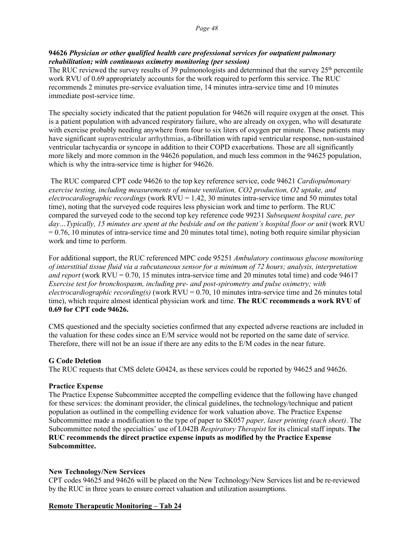### **94626** *Physician or other qualified health care professional services for outpatient pulmonary rehabilitation; with continuous oximetry monitoring (per session)*

The RUC reviewed the survey results of 39 pulmonologists and determined that the survey  $25<sup>th</sup>$  percentile work RVU of 0.69 appropriately accounts for the work required to perform this service. The RUC recommends 2 minutes pre-service evaluation time, 14 minutes intra-service time and 10 minutes immediate post-service time.

The specialty society indicated that the patient population for 94626 will require oxygen at the onset. This is a patient population with advanced respiratory failure, who are already on oxygen, who will desaturate with exercise probably needing anywhere from four to six liters of oxygen per minute. These patients may have significant supraventricular arrhythmias, a-fibrillation with rapid ventricular response, non-sustained ventricular tachycardia or syncope in addition to their COPD exacerbations. Those are all significantly more likely and more common in the 94626 population, and much less common in the 94625 population, which is why the intra-service time is higher for 94626.

The RUC compared CPT code 94626 to the top key reference service, code 94621 *Cardiopulmonary exercise testing, including measurements of minute ventilation, CO2 production, O2 uptake, and electrocardiographic recordings* (work RVU = 1.42, 30 minutes intra-service time and 50 minutes total time), noting that the surveyed code requires less physician work and time to perform. The RUC compared the surveyed code to the second top key reference code 99231 *Subsequent hospital care, per*  day…Typically, 15 minutes are spent at the bedside and on the patient's hospital floor or unit (work RVU)  $= 0.76$ , 10 minutes of intra-service time and 20 minutes total time), noting both require similar physician work and time to perform.

For additional support, the RUC referenced MPC code 95251 *Ambulatory continuous glucose monitoring of interstitial tissue fluid via a subcutaneous sensor for a minimum of 72 hours; analysis, interpretation and report* (work RVU = 0.70, 15 minutes intra-service time and 20 minutes total time) and code 94617 *Exercise test for bronchospasm, including pre- and post-spirometry and pulse oximetry; with electrocardiographic recording(s)* (work RVU = 0.70, 10 minutes intra-service time and 26 minutes total time), which require almost identical physician work and time. **The RUC recommends a work RVU of 0.69 for CPT code 94626.**

CMS questioned and the specialty societies confirmed that any expected adverse reactions are included in the valuation for these codes since an E/M service would not be reported on the same date of service. Therefore, there will not be an issue if there are any edits to the E/M codes in the near future.

# **G Code Deletion**

The RUC requests that CMS delete G0424, as these services could be reported by 94625 and 94626.

#### **Practice Expense**

The Practice Expense Subcommittee accepted the compelling evidence that the following have changed for these services: the dominant provider, the clinical guidelines, the technology/technique and patient population as outlined in the compelling evidence for work valuation above. The Practice Expense Subcommittee made a modification to the type of paper to SK057 *paper, laser printing (each sheet)*. The Subcommittee noted the specialties' use of L042B *Respiratory Therapist* for its clinical staff inputs. **The RUC recommends the direct practice expense inputs as modified by the Practice Expense Subcommittee.** 

#### **New Technology/New Services**

CPT codes 94625 and 94626 will be placed on the New Technology/New Services list and be re-reviewed by the RUC in three years to ensure correct valuation and utilization assumptions.

#### **Remote Therapeutic Monitoring – Tab 24**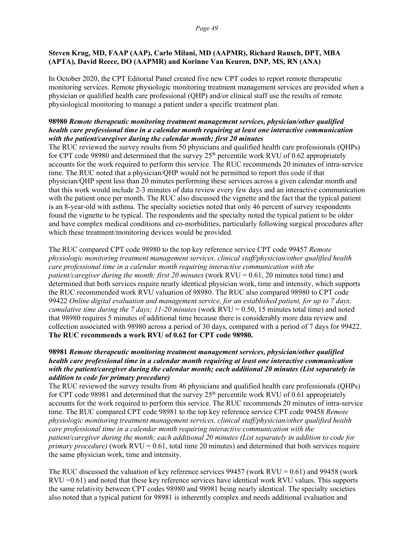#### **Steven Krug, MD, FAAP (AAP), Carlo Milani, MD (AAPMR), Richard Rausch, DPT, MBA (APTA), David Reece, DO (AAPMR) and Korinne Van Keuren, DNP, MS, RN (ANA)**

In October 2020, the CPT Editorial Panel created five new CPT codes to report remote therapeutic monitoring services. Remote physiologic monitoring treatment management services are provided when a physician or qualified health care professional (QHP) and/or clinical staff use the results of remote physiological monitoring to manage a patient under a specific treatment plan.

### **98980** *Remote therapeutic monitoring treatment management services, physician/other qualified health care professional time in a calendar month requiring at least one interactive communication with the patient/caregiver during the calendar month; first 20 minutes*

The RUC reviewed the survey results from 50 physicians and qualified health care professionals (QHPs) for CPT code 98980 and determined that the survey  $25<sup>th</sup>$  percentile work RVU of 0.62 appropriately accounts for the work required to perform this service. The RUC recommends 20 minutes of intra-service time. The RUC noted that a physician/QHP would not be permitted to report this code if that physician/QHP spent less than 20 minutes performing these services across a given calendar month and that this work would include 2-3 minutes of data review every few days and an interactive communication with the patient once per month. The RUC also discussed the vignette and the fact that the typical patient is an 8-year-old with asthma. The specialty societies noted that only 46 percent of survey respondents found the vignette to be typical. The respondents and the specialty noted the typical patient to be older and have complex medical conditions and co-morbidities, particularly following surgical procedures after which these treatment/monitoring devices would be provided.

The RUC compared CPT code 98980 to the top key reference service CPT code 99457 *Remote physiologic monitoring treatment management services, clinical staff/physician/other qualified health care professional time in a calendar month requiring interactive communication with the patient/caregiver during the month; first 20 minutes* (work RVU = 0.61, 20 minutes total time) and determined that both services require nearly identical physician work, time and intensity, which supports the RUC recommended work RVU valuation of 98980. The RUC also compared 98980 to CPT code 99422 *Online digital evaluation and management service, for an established patient, for up to 7 days, cumulative time during the 7 days; 11-20 minutes* (work  $RVU = 0.50$ , 15 minutes total time) and noted that 98980 requires 5 minutes of additional time because there is considerably more data review and collection associated with 98980 across a period of 30 days, compared with a period of 7 days for 99422. **The RUC recommends a work RVU of 0.62 for CPT code 98980.**

#### **98981** *Remote therapeutic monitoring treatment management services, physician/other qualified health care professional time in a calendar month requiring at least one interactive communication with the patient/caregiver during the calendar month; each additional 20 minutes (List separately in addition to code for primary procedure)*

The RUC reviewed the survey results from 46 physicians and qualified health care professionals (QHPs) for CPT code 98981 and determined that the survey  $25<sup>th</sup>$  percentile work RVU of 0.61 appropriately accounts for the work required to perform this service. The RUC recommends 20 minutes of intra-service time. The RUC compared CPT code 98981 to the top key reference service CPT code 99458 *Remote physiologic monitoring treatment management services, clinical staff/physician/other qualified health care professional time in a calendar month requiring interactive communication with the patient/caregiver during the month; each additional 20 minutes (List separately in addition to code for primary procedure)* (work RVU = 0.61, total time 20 minutes) and determined that both services require the same physician work, time and intensity.

The RUC discussed the valuation of key reference services  $99457$  (work RVU = 0.61) and  $99458$  (work RVU =0.61) and noted that these key reference services have identical work RVU values. This supports the same relativity between CPT codes 98980 and 98981 being nearly identical. The specialty societies also noted that a typical patient for 98981 is inherently complex and needs additional evaluation and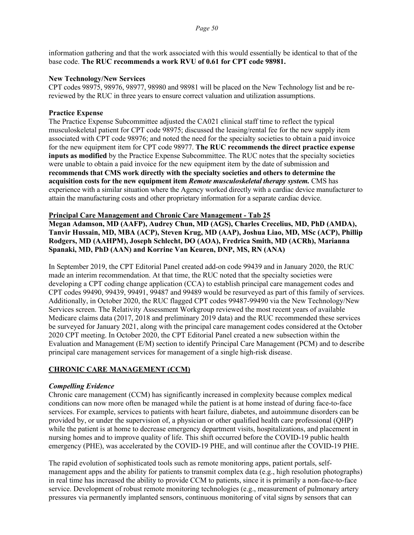information gathering and that the work associated with this would essentially be identical to that of the base code. **The RUC recommends a work RVU of 0.61 for CPT code 98981.**

#### **New Technology/New Services**

CPT codes 98975, 98976, 98977, 98980 and 98981 will be placed on the New Technology list and be rereviewed by the RUC in three years to ensure correct valuation and utilization assumptions.

#### **Practice Expense**

The Practice Expense Subcommittee adjusted the CA021 clinical staff time to reflect the typical musculoskeletal patient for CPT code 98975; discussed the leasing/rental fee for the new supply item associated with CPT code 98976; and noted the need for the specialty societies to obtain a paid invoice for the new equipment item for CPT code 98977. **The RUC recommends the direct practice expense inputs as modified** by the Practice Expense Subcommittee. The RUC notes that the specialty societies were unable to obtain a paid invoice for the new equipment item by the date of submission and **recommends that CMS work directly with the specialty societies and others to determine the acquisition costs for the new equipment item** *Remote musculoskeletal therapy system.* CMS has experience with a similar situation where the Agency worked directly with a cardiac device manufacturer to attain the manufacturing costs and other proprietary information for a separate cardiac device.

#### **Principal Care Management and Chronic Care Management - Tab 25**

**Megan Adamson, MD (AAFP), Audrey Chun, MD (AGS), Charles Crecelius, MD, PhD (AMDA), Tanvir Hussain, MD, MBA (ACP), Steven Krug, MD (AAP), Joshua Liao, MD, MSc (ACP), Phillip Rodgers, MD (AAHPM), Joseph Schlecht, DO (AOA), Fredrica Smith, MD (ACRh), Marianna Spanaki, MD, PhD (AAN) and Korrine Van Keuren, DNP, MS, RN (ANA)**

In September 2019, the CPT Editorial Panel created add-on code 99439 and in January 2020, the RUC made an interim recommendation. At that time, the RUC noted that the specialty societies were developing a CPT coding change application (CCA) to establish principal care management codes and CPT codes 99490, 99439, 99491, 99487 and 99489 would be resurveyed as part of this family of services. Additionally, in October 2020, the RUC flagged CPT codes 99487-99490 via the New Technology/New Services screen. The Relativity Assessment Workgroup reviewed the most recent years of available Medicare claims data (2017, 2018 and preliminary 2019 data) and the RUC recommended these services be surveyed for January 2021, along with the principal care management codes considered at the October 2020 CPT meeting. In October 2020, the CPT Editorial Panel created a new subsection within the Evaluation and Management (E/M) section to identify Principal Care Management (PCM) and to describe principal care management services for management of a single high-risk disease.

# **CHRONIC CARE MANAGEMENT (CCM)**

#### *Compelling Evidence*

Chronic care management (CCM) has significantly increased in complexity because complex medical conditions can now more often be managed while the patient is at home instead of during face-to-face services. For example, services to patients with heart failure, diabetes, and autoimmune disorders can be provided by, or under the supervision of, a physician or other qualified health care professional (QHP) while the patient is at home to decrease emergency department visits, hospitalizations, and placement in nursing homes and to improve quality of life. This shift occurred before the COVID-19 public health emergency (PHE), was accelerated by the COVID-19 PHE, and will continue after the COVID-19 PHE.

The rapid evolution of sophisticated tools such as remote monitoring apps, patient portals, selfmanagement apps and the ability for patients to transmit complex data (e.g., high resolution photographs) in real time has increased the ability to provide CCM to patients, since it is primarily a non-face-to-face service. Development of robust remote monitoring technologies (e.g., measurement of pulmonary artery pressures via permanently implanted sensors, continuous monitoring of vital signs by sensors that can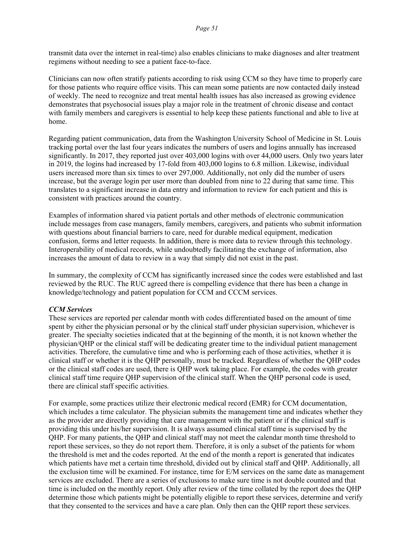transmit data over the internet in real-time) also enables clinicians to make diagnoses and alter treatment regimens without needing to see a patient face-to-face.

Clinicians can now often stratify patients according to risk using CCM so they have time to properly care for those patients who require office visits. This can mean some patients are now contacted daily instead of weekly. The need to recognize and treat mental health issues has also increased as growing evidence demonstrates that psychosocial issues play a major role in the treatment of chronic disease and contact with family members and caregivers is essential to help keep these patients functional and able to live at home.

Regarding patient communication, data from the Washington University School of Medicine in St. Louis tracking portal over the last four years indicates the numbers of users and logins annually has increased significantly. In 2017, they reported just over 403,000 logins with over 44,000 users. Only two years later in 2019, the logins had increased by 17-fold from 403,000 logins to 6.8 million. Likewise, individual users increased more than six times to over 297,000. Additionally, not only did the number of users increase, but the average login per user more than doubled from nine to 22 during that same time. This translates to a significant increase in data entry and information to review for each patient and this is consistent with practices around the country.

Examples of information shared via patient portals and other methods of electronic communication include messages from case managers, family members, caregivers, and patients who submit information with questions about financial barriers to care, need for durable medical equipment, medication confusion, forms and letter requests. In addition, there is more data to review through this technology. Interoperability of medical records, while undoubtedly facilitating the exchange of information, also increases the amount of data to review in a way that simply did not exist in the past.

In summary, the complexity of CCM has significantly increased since the codes were established and last reviewed by the RUC. The RUC agreed there is compelling evidence that there has been a change in knowledge/technology and patient population for CCM and CCCM services.

#### *CCM Services*

These services are reported per calendar month with codes differentiated based on the amount of time spent by either the physician personal or by the clinical staff under physician supervision, whichever is greater. The specialty societies indicated that at the beginning of the month, it is not known whether the physician/QHP or the clinical staff will be dedicating greater time to the individual patient management activities. Therefore, the cumulative time and who is performing each of those activities, whether it is clinical staff or whether it is the QHP personally, must be tracked. Regardless of whether the QHP codes or the clinical staff codes are used, there is QHP work taking place. For example, the codes with greater clinical staff time require QHP supervision of the clinical staff. When the QHP personal code is used, there are clinical staff specific activities.

For example, some practices utilize their electronic medical record (EMR) for CCM documentation, which includes a time calculator. The physician submits the management time and indicates whether they as the provider are directly providing that care management with the patient or if the clinical staff is providing this under his/her supervision. It is always assumed clinical staff time is supervised by the QHP. For many patients, the QHP and clinical staff may not meet the calendar month time threshold to report these services, so they do not report them. Therefore, it is only a subset of the patients for whom the threshold is met and the codes reported. At the end of the month a report is generated that indicates which patients have met a certain time threshold, divided out by clinical staff and QHP. Additionally, all the exclusion time will be examined. For instance, time for E/M services on the same date as management services are excluded. There are a series of exclusions to make sure time is not double counted and that time is included on the monthly report. Only after review of the time collated by the report does the QHP determine those which patients might be potentially eligible to report these services, determine and verify that they consented to the services and have a care plan. Only then can the QHP report these services.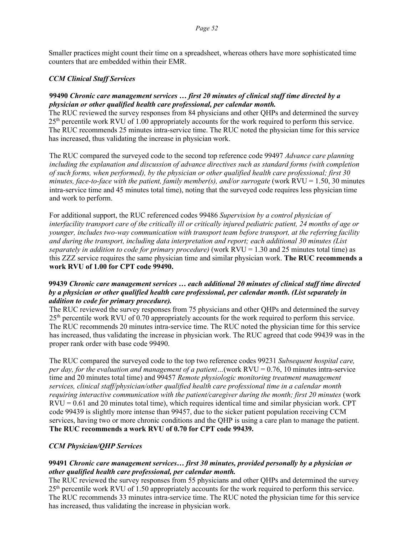Smaller practices might count their time on a spreadsheet, whereas others have more sophisticated time counters that are embedded within their EMR.

#### *CCM Clinical Staff Services*

#### **99490** *Chronic care management services … first 20 minutes of clinical staff time directed by a physician or other qualified health care professional, per calendar month.*

The RUC reviewed the survey responses from 84 physicians and other QHPs and determined the survey  $25<sup>th</sup>$  percentile work RVU of 1.00 appropriately accounts for the work required to perform this service. The RUC recommends 25 minutes intra-service time. The RUC noted the physician time for this service has increased, thus validating the increase in physician work.

The RUC compared the surveyed code to the second top reference code 99497 *Advance care planning including the explanation and discussion of advance directives such as standard forms (with completion of such forms, when performed), by the physician or other qualified health care professional; first 30 minutes, face-to-face with the patient, family member(s), and/or surrogate* (work  $RVU = 1.50$ , 30 minutes intra-service time and 45 minutes total time), noting that the surveyed code requires less physician time and work to perform.

For additional support, the RUC referenced codes 99486 *Supervision by a control physician of interfacility transport care of the critically ill or critically injured pediatric patient, 24 months of age or younger, includes two-way communication with transport team before transport, at the referring facility and during the transport, including data interpretation and report; each additional 30 minutes (List separately in addition to code for primary procedure)* (work RVU = 1.30 and 25 minutes total time) as this ZZZ service requires the same physician time and similar physician work. **The RUC recommends a work RVU of 1.00 for CPT code 99490.**

#### **99439** *Chronic care management services … each additional 20 minutes of clinical staff time directed by a physician or other qualified health care professional, per calendar month. (List separately in addition to code for primary procedure).*

The RUC reviewed the survey responses from 75 physicians and other QHPs and determined the survey  $25<sup>th</sup>$  percentile work RVU of 0.70 appropriately accounts for the work required to perform this service. The RUC recommends 20 minutes intra-service time. The RUC noted the physician time for this service has increased, thus validating the increase in physician work. The RUC agreed that code 99439 was in the proper rank order with base code 99490.

The RUC compared the surveyed code to the top two reference codes 99231 *Subsequent hospital care, per day, for the evaluation and management of a patient…*(work RVU = 0.76, 10 minutes intra-service time and 20 minutes total time) and 99457 *Remote physiologic monitoring treatment management services, clinical staff/physician/other qualified health care professional time in a calendar month requiring interactive communication with the patient/caregiver during the month; first 20 minutes (work*  $RVU = 0.61$  and 20 minutes total time), which requires identical time and similar physician work. CPT code 99439 is slightly more intense than 99457, due to the sicker patient population receiving CCM services, having two or more chronic conditions and the QHP is using a care plan to manage the patient. **The RUC recommends a work RVU of 0.70 for CPT code 99439.**

# *CCM Physician/QHP Services*

### **99491** *Chronic care management services… first 30 minutes, provided personally by a physician or other qualified health care professional, per calendar month.*

The RUC reviewed the survey responses from 55 physicians and other QHPs and determined the survey 25th percentile work RVU of 1.50 appropriately accounts for the work required to perform this service. The RUC recommends 33 minutes intra-service time. The RUC noted the physician time for this service has increased, thus validating the increase in physician work.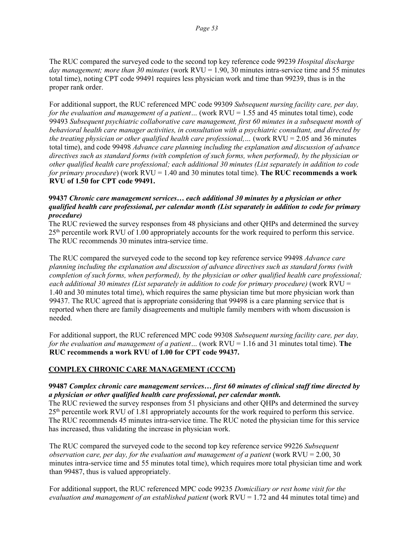The RUC compared the surveyed code to the second top key reference code 99239 *Hospital discharge*  day management; more than 30 minutes (work RVU = 1.90, 30 minutes intra-service time and 55 minutes total time), noting CPT code 99491 requires less physician work and time than 99239, thus is in the proper rank order.

For additional support, the RUC referenced MPC code 99309 *Subsequent nursing facility care, per day, for the evaluation and management of a patient...* (work RVU = 1.55 and 45 minutes total time), code 99493 *Subsequent psychiatric collaborative care management, first 60 minutes in a subsequent month of behavioral health care manager activities, in consultation with a psychiatric consultant, and directed by the treating physician or other qualified health care professional,…* (work RVU = 2.05 and 36 minutes total time), and code 99498 *Advance care planning including the explanation and discussion of advance directives such as standard forms (with completion of such forms, when performed), by the physician or other qualified health care professional; each additional 30 minutes (List separately in addition to code for primary procedure*) (work RVU = 1.40 and 30 minutes total time). **The RUC recommends a work RVU of 1.50 for CPT code 99491.**

### **99437** *Chronic care management services… each additional 30 minutes by a physician or other qualified health care professional, per calendar month (List separately in addition to code for primary procedure)*

The RUC reviewed the survey responses from 48 physicians and other QHPs and determined the survey 25th percentile work RVU of 1.00 appropriately accounts for the work required to perform this service. The RUC recommends 30 minutes intra-service time.

The RUC compared the surveyed code to the second top key reference service 99498 *Advance care planning including the explanation and discussion of advance directives such as standard forms (with completion of such forms, when performed), by the physician or other qualified health care professional; each additional 30 minutes (List separately in addition to code for primary procedure)* (work RVU = 1.40 and 30 minutes total time), which requires the same physician time but more physician work than 99437. The RUC agreed that is appropriate considering that 99498 is a care planning service that is reported when there are family disagreements and multiple family members with whom discussion is needed.

For additional support, the RUC referenced MPC code 99308 *Subsequent nursing facility care, per day, for the evaluation and management of a patient...* (work RVU = 1.16 and 31 minutes total time). **The RUC recommends a work RVU of 1.00 for CPT code 99437.**

# **COMPLEX CHRONIC CARE MANAGEMENT (CCCM)**

# **99487** *Complex chronic care management services… first 60 minutes of clinical staff time directed by a physician or other qualified health care professional, per calendar month.*

The RUC reviewed the survey responses from 51 physicians and other QHPs and determined the survey 25<sup>th</sup> percentile work RVU of 1.81 appropriately accounts for the work required to perform this service. The RUC recommends 45 minutes intra-service time. The RUC noted the physician time for this service has increased, thus validating the increase in physician work.

The RUC compared the surveyed code to the second top key reference service 99226 *Subsequent observation care, per day, for the evaluation and management of a patient (work RVU = 2.00, 30)* minutes intra-service time and 55 minutes total time), which requires more total physician time and work than 99487, thus is valued appropriately.

For additional support, the RUC referenced MPC code 99235 *Domiciliary or rest home visit for the evaluation and management of an established patient* (work RVU = 1.72 and 44 minutes total time) and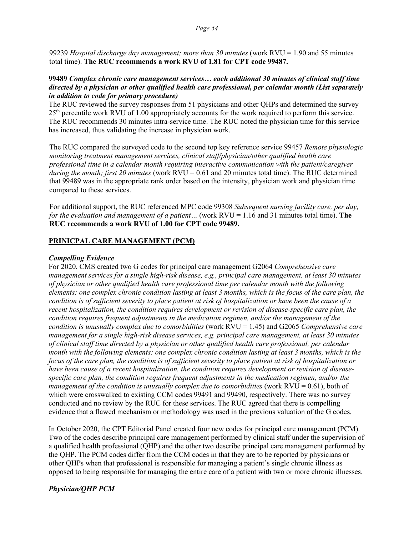99239 *Hospital discharge day management; more than 30 minutes* (work RVU = 1.90 and 55 minutes total time). **The RUC recommends a work RVU of 1.81 for CPT code 99487.**

#### **99489** *Complex chronic care management services… each additional 30 minutes of clinical staff time directed by a physician or other qualified health care professional, per calendar month (List separately in addition to code for primary procedure)*

The RUC reviewed the survey responses from 51 physicians and other QHPs and determined the survey 25th percentile work RVU of 1.00 appropriately accounts for the work required to perform this service. The RUC recommends 30 minutes intra-service time. The RUC noted the physician time for this service has increased, thus validating the increase in physician work.

The RUC compared the surveyed code to the second top key reference service 99457 *Remote physiologic monitoring treatment management services, clinical staff/physician/other qualified health care professional time in a calendar month requiring interactive communication with the patient/caregiver during the month; first 20 minutes* (work RVU = 0.61 and 20 minutes total time). The RUC determined that 99489 was in the appropriate rank order based on the intensity, physician work and physician time compared to these services.

For additional support, the RUC referenced MPC code 99308 *Subsequent nursing facility care, per day, for the evaluation and management of a patient...* (work RVU = 1.16 and 31 minutes total time). The **RUC recommends a work RVU of 1.00 for CPT code 99489.**

#### **PRINICPAL CARE MANAGEMENT (PCM)**

#### *Compelling Evidence*

For 2020, CMS created two G codes for principal care management G2064 *Comprehensive care management services for a single high-risk disease, e.g., principal care management, at least 30 minutes of physician or other qualified health care professional time per calendar month with the following elements: one complex chronic condition lasting at least 3 months, which is the focus of the care plan, the condition is of sufficient severity to place patient at risk of hospitalization or have been the cause of a recent hospitalization, the condition requires development or revision of disease-specific care plan, the condition requires frequent adjustments in the medication regimen, and/or the management of the condition is unusually complex due to comorbidities* (work RVU = 1.45) and G2065 *Comprehensive care management for a single high-risk disease services, e.g. principal care management, at least 30 minutes of clinical staff time directed by a physician or other qualified health care professional, per calendar month with the following elements: one complex chronic condition lasting at least 3 months, which is the focus of the care plan, the condition is of sufficient severity to place patient at risk of hospitalization or have been cause of a recent hospitalization, the condition requires development or revision of diseasespecific care plan, the condition requires frequent adjustments in the medication regimen, and/or the management of the condition is unusually complex due to comorbidities* (work RVU = 0.61), both of which were crosswalked to existing CCM codes 99491 and 99490, respectively. There was no survey conducted and no review by the RUC for these services. The RUC agreed that there is compelling evidence that a flawed mechanism or methodology was used in the previous valuation of the G codes.

In October 2020, the CPT Editorial Panel created four new codes for principal care management (PCM). Two of the codes describe principal care management performed by clinical staff under the supervision of a qualified health professional (QHP) and the other two describe principal care management performed by the QHP. The PCM codes differ from the CCM codes in that they are to be reported by physicians or other QHPs when that professional is responsible for managing a patient's single chronic illness as opposed to being responsible for managing the entire care of a patient with two or more chronic illnesses.

#### *Physician/QHP PCM*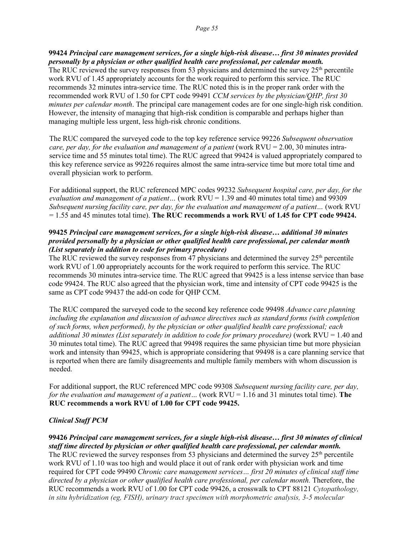**99424** *Principal care management services, for a single high-risk disease… first 30 minutes provided personally by a physician or other qualified health care professional, per calendar month.* The RUC reviewed the survey responses from 53 physicians and determined the survey  $25<sup>th</sup>$  percentile work RVU of 1.45 appropriately accounts for the work required to perform this service. The RUC recommends 32 minutes intra-service time. The RUC noted this is in the proper rank order with the recommended work RVU of 1.50 for CPT code 99491 *CCM services by the physician/QHP, first 30 minutes per calendar month*. The principal care management codes are for one single-high risk condition. However, the intensity of managing that high-risk condition is comparable and perhaps higher than managing multiple less urgent, less high-risk chronic conditions.

The RUC compared the surveyed code to the top key reference service 99226 *Subsequent observation care, per day, for the evaluation and management of a patient* (work RVU = 2.00, 30 minutes intraservice time and 55 minutes total time). The RUC agreed that 99424 is valued appropriately compared to this key reference service as 99226 requires almost the same intra-service time but more total time and overall physician work to perform.

For additional support, the RUC referenced MPC codes 99232 *Subsequent hospital care, per day, for the evaluation and management of a patient…* (work RVU = 1.39 and 40 minutes total time) and 99309 *Subsequent nursing facility care, per day, for the evaluation and management of a patient…* (work RVU = 1.55 and 45 minutes total time). **The RUC recommends a work RVU of 1.45 for CPT code 99424.**

#### **99425** *Principal care management services, for a single high-risk disease… additional 30 minutes provided personally by a physician or other qualified health care professional, per calendar month (List separately in addition to code for primary procedure)*

The RUC reviewed the survey responses from 47 physicians and determined the survey  $25<sup>th</sup>$  percentile work RVU of 1.00 appropriately accounts for the work required to perform this service. The RUC recommends 30 minutes intra-service time. The RUC agreed that 99425 is a less intense service than base code 99424. The RUC also agreed that the physician work, time and intensity of CPT code 99425 is the same as CPT code 99437 the add-on code for QHP CCM.

The RUC compared the surveyed code to the second key reference code 99498 *Advance care planning including the explanation and discussion of advance directives such as standard forms (with completion of such forms, when performed), by the physician or other qualified health care professional; each additional 30 minutes (List separately in addition to code for primary procedure)* (work RVU = 1.40 and 30 minutes total time). The RUC agreed that 99498 requires the same physician time but more physician work and intensity than 99425, which is appropriate considering that 99498 is a care planning service that is reported when there are family disagreements and multiple family members with whom discussion is needed.

For additional support, the RUC referenced MPC code 99308 *Subsequent nursing facility care, per day, for the evaluation and management of a patient...* (work RVU = 1.16 and 31 minutes total time). **The RUC recommends a work RVU of 1.00 for CPT code 99425.**

# *Clinical Staff PCM*

**99426** *Principal care management services, for a single high-risk disease… first 30 minutes of clinical staff time directed by physician or other qualified health care professional, per calendar month.* The RUC reviewed the survey responses from 53 physicians and determined the survey  $25<sup>th</sup>$  percentile work RVU of 1.10 was too high and would place it out of rank order with physician work and time required for CPT code 99490 *Chronic care management services… first 20 minutes of clinical staff time directed by a physician or other qualified health care professional, per calendar month.* Therefore, the RUC recommends a work RVU of 1.00 for CPT code 99426, a crosswalk to CPT 88121 *Cytopathology, in situ hybridization (eg, FISH), urinary tract specimen with morphometric analysis, 3-5 molecular*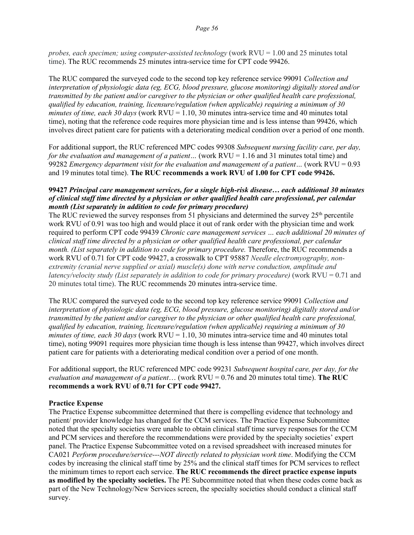*probes, each specimen; using computer-assisted technology* (work RVU = 1.00 and 25 minutes total time). The RUC recommends 25 minutes intra-service time for CPT code 99426.

The RUC compared the surveyed code to the second top key reference service 99091 *Collection and interpretation of physiologic data (eg, ECG, blood pressure, glucose monitoring) digitally stored and/or transmitted by the patient and/or caregiver to the physician or other qualified health care professional, qualified by education, training, licensure/regulation (when applicable) requiring a minimum of 30 minutes of time, each 30 days* (work RVU = 1.10, 30 minutes intra-service time and 40 minutes total time), noting that the reference code requires more physician time and is less intense than 99426, which involves direct patient care for patients with a deteriorating medical condition over a period of one month.

For additional support, the RUC referenced MPC codes 99308 *Subsequent nursing facility care, per day, for the evaluation and management of a patient...* (work RVU = 1.16 and 31 minutes total time) and 99282 *Emergency department visit for the evaluation and management of a patient…* (work RVU = 0.93 and 19 minutes total time). **The RUC recommends a work RVU of 1.00 for CPT code 99426.** 

#### **99427** *Principal care management services, for a single high-risk disease… each additional 30 minutes of clinical staff time directed by a physician or other qualified health care professional, per calendar month (List separately in addition to code for primary procedure)*

The RUC reviewed the survey responses from 51 physicians and determined the survey  $25<sup>th</sup>$  percentile work RVU of 0.91 was too high and would place it out of rank order with the physician time and work required to perform CPT code 99439 *Chronic care management services … each additional 20 minutes of clinical staff time directed by a physician or other qualified health care professional, per calendar month. (List separately in addition to code for primary procedure.* Therefore, the RUC recommends a work RVU of 0.71 for CPT code 99427, a crosswalk to CPT 95887 *Needle electromyography, nonextremity (cranial nerve supplied or axial) muscle(s) done with nerve conduction, amplitude and latency/velocity study (List separately in addition to code for primary procedure)* (work RVU = 0.71 and 20 minutes total time). The RUC recommends 20 minutes intra-service time.

The RUC compared the surveyed code to the second top key reference service 99091 *Collection and interpretation of physiologic data (eg, ECG, blood pressure, glucose monitoring) digitally stored and/or transmitted by the patient and/or caregiver to the physician or other qualified health care professional, qualified by education, training, licensure/regulation (when applicable) requiring a minimum of 30 minutes of time, each 30 days* (work RVU = 1.10, 30 minutes intra-service time and 40 minutes total time), noting 99091 requires more physician time though is less intense than 99427, which involves direct patient care for patients with a deteriorating medical condition over a period of one month.

For additional support, the RUC referenced MPC code 99231 *Subsequent hospital care, per day, for the evaluation and management of a patient*… (work RVU = 0.76 and 20 minutes total time). **The RUC recommends a work RVU of 0.71 for CPT code 99427.** 

#### **Practice Expense**

The Practice Expense subcommittee determined that there is compelling evidence that technology and patient/ provider knowledge has changed for the CCM services. The Practice Expense Subcommittee noted that the specialty societies were unable to obtain clinical staff time survey responses for the CCM and PCM services and therefore the recommendations were provided by the specialty societies' expert panel. The Practice Expense Subcommittee voted on a revised spreadsheet with increased minutes for CA021 *Perform procedure/service---NOT directly related to physician work time*. Modifying the CCM codes by increasing the clinical staff time by 25% and the clinical staff times for PCM services to reflect the minimum times to report each service. **The RUC recommends the direct practice expense inputs as modified by the specialty societies.** The PE Subcommittee noted that when these codes come back as part of the New Technology/New Services screen, the specialty societies should conduct a clinical staff survey.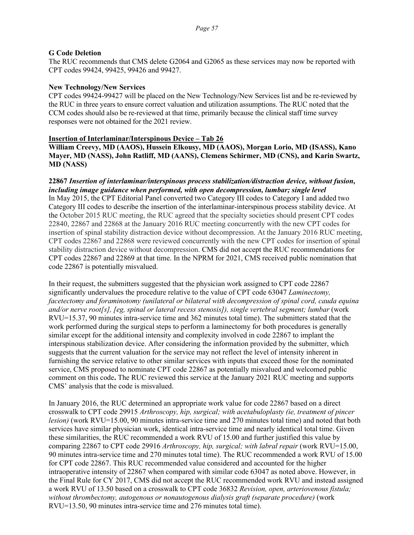#### **G Code Deletion**

The RUC recommends that CMS delete G2064 and G2065 as these services may now be reported with CPT codes 99424, 99425, 99426 and 99427.

#### **New Technology/New Services**

CPT codes 99424-99427 will be placed on the New Technology/New Services list and be re-reviewed by the RUC in three years to ensure correct valuation and utilization assumptions. The RUC noted that the CCM codes should also be re-reviewed at that time, primarily because the clinical staff time survey responses were not obtained for the 2021 review.

#### **Insertion of Interlaminar/Interspinous Device – Tab 26**

**William Creevy, MD (AAOS), Hussein Elkousy, MD (AAOS), Morgan Lorio, MD (ISASS), Kano Mayer, MD (NASS), John Ratliff, MD (AANS), Clemens Schirmer, MD (CNS), and Karin Swartz, MD (NASS)**

**22867** *Insertion of interlaminar/interspinous process stabilization/distraction device, without fusion, including image guidance when performed, with open decompression, lumbar; single level* In May 2015, the CPT Editorial Panel converted two Category III codes to Category I and added two Category III codes to describe the insertion of the interlaminar-interspinous process stability device. At the October 2015 RUC meeting, the RUC agreed that the specialty societies should present CPT codes 22840, 22867 and 22868 at the January 2016 RUC meeting concurrently with the new CPT codes for insertion of spinal stability distraction device without decompression. At the January 2016 RUC meeting, CPT codes 22867 and 22868 were reviewed concurrently with the new CPT codes for insertion of spinal stability distraction device without decompression. CMS did not accept the RUC recommendations for CPT codes 22867 and 22869 at that time. In the NPRM for 2021, CMS received public nomination that code 22867 is potentially misvalued.

In their request, the submitters suggested that the physician work assigned to CPT code 22867 significantly undervalues the procedure relative to the value of CPT code 63047 *Laminectomy, facetectomy and foraminotomy (unilateral or bilateral with decompression of spinal cord, cauda equina and/or nerve root[s], [eg, spinal or lateral recess stenosis]), single vertebral segment; lumbar* (work RVU=15.37, 90 minutes intra-service time and 362 minutes total time). The submitters stated that the work performed during the surgical steps to perform a laminectomy for both procedures is generally similar except for the additional intensity and complexity involved in code 22867 to implant the interspinous stabilization device. After considering the information provided by the submitter, which suggests that the current valuation for the service may not reflect the level of intensity inherent in furnishing the service relative to other similar services with inputs that exceed those for the nominated service, CMS proposed to nominate CPT code 22867 as potentially misvalued and welcomed public comment on this code**.** The RUC reviewed this service at the January 2021 RUC meeting and supports CMS' analysis that the code is misvalued.

In January 2016, the RUC determined an appropriate work value for code 22867 based on a direct crosswalk to CPT code 29915 *Arthroscopy, hip, surgical; with acetabuloplasty (ie, treatment of pincer lesion*) (work RVU=15.00, 90 minutes intra-service time and 270 minutes total time) and noted that both services have similar physician work, identical intra-service time and nearly identical total time. Given these similarities, the RUC recommended a work RVU of 15.00 and further justified this value by comparing 22867 to CPT code 29916 *Arthroscopy, hip, surgical; with labral repair* (work RVU=15.00, 90 minutes intra-service time and 270 minutes total time). The RUC recommended a work RVU of 15.00 for CPT code 22867. This RUC recommended value considered and accounted for the higher intraoperative intensity of 22867 when compared with similar code 63047 as noted above. However, in the Final Rule for CY 2017, CMS did not accept the RUC recommended work RVU and instead assigned a work RVU of 13.50 based on a crosswalk to CPT code 36832 *Revision, open, arteriovenous fistula; without thrombectomy, autogenous or nonautogenous dialysis graft (separate procedure)* (work RVU=13.50, 90 minutes intra-service time and 276 minutes total time).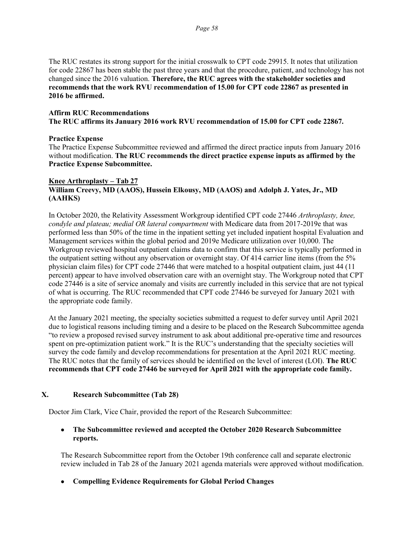The RUC restates its strong support for the initial crosswalk to CPT code 29915. It notes that utilization for code 22867 has been stable the past three years and that the procedure, patient, and technology has not changed since the 2016 valuation. **Therefore, the RUC agrees with the stakeholder societies and recommends that the work RVU recommendation of 15.00 for CPT code 22867 as presented in 2016 be affirmed.**

#### **Affirm RUC Recommendations**

**The RUC affirms its January 2016 work RVU recommendation of 15.00 for CPT code 22867.** 

#### **Practice Expense**

The Practice Expense Subcommittee reviewed and affirmed the direct practice inputs from January 2016 without modification. **The RUC recommends the direct practice expense inputs as affirmed by the Practice Expense Subcommittee.**

#### **Knee Arthroplasty – Tab 27 William Creevy, MD (AAOS), Hussein Elkousy, MD (AAOS) and Adolph J. Yates, Jr., MD (AAHKS)**

In October 2020, the Relativity Assessment Workgroup identified CPT code 27446 *Arthroplasty, knee, condyle and plateau; medial OR lateral compartment* with Medicare data from 2017-2019e that was performed less than 50% of the time in the inpatient setting yet included inpatient hospital Evaluation and Management services within the global period and 2019e Medicare utilization over 10,000. The Workgroup reviewed hospital outpatient claims data to confirm that this service is typically performed in the outpatient setting without any observation or overnight stay. Of 414 carrier line items (from the 5% physician claim files) for CPT code 27446 that were matched to a hospital outpatient claim, just 44 (11 percent) appear to have involved observation care with an overnight stay. The Workgroup noted that CPT code 27446 is a site of service anomaly and visits are currently included in this service that are not typical of what is occurring. The RUC recommended that CPT code 27446 be surveyed for January 2021 with the appropriate code family.

At the January 2021 meeting, the specialty societies submitted a request to defer survey until April 2021 due to logistical reasons including timing and a desire to be placed on the Research Subcommittee agenda "to review a proposed revised survey instrument to ask about additional pre-operative time and resources spent on pre-optimization patient work." It is the RUC's understanding that the specialty societies will survey the code family and develop recommendations for presentation at the April 2021 RUC meeting. The RUC notes that the family of services should be identified on the level of interest (LOI). **The RUC recommends that CPT code 27446 be surveyed for April 2021 with the appropriate code family.** 

#### **X. Research Subcommittee (Tab 28)**

Doctor Jim Clark, Vice Chair, provided the report of the Research Subcommittee:

### • **The Subcommittee reviewed and accepted the October 2020 Research Subcommittee reports.**

The Research Subcommittee report from the October 19th conference call and separate electronic review included in Tab 28 of the January 2021 agenda materials were approved without modification.

• **Compelling Evidence Requirements for Global Period Changes**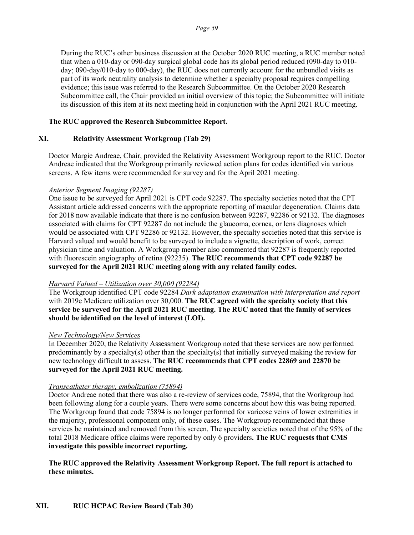During the RUC's other business discussion at the October 2020 RUC meeting, a RUC member noted that when a 010-day or 090-day surgical global code has its global period reduced (090-day to 010 day; 090-day/010-day to 000-day), the RUC does not currently account for the unbundled visits as part of its work neutrality analysis to determine whether a specialty proposal requires compelling evidence; this issue was referred to the Research Subcommittee. On the October 2020 Research Subcommittee call, the Chair provided an initial overview of this topic; the Subcommittee will initiate its discussion of this item at its next meeting held in conjunction with the April 2021 RUC meeting.

### **The RUC approved the Research Subcommittee Report.**

#### **XI. Relativity Assessment Workgroup (Tab 29)**

Doctor Margie Andreae, Chair, provided the Relativity Assessment Workgroup report to the RUC. Doctor Andreae indicated that the Workgroup primarily reviewed action plans for codes identified via various screens. A few items were recommended for survey and for the April 2021 meeting.

#### *Anterior Segment Imaging (92287)*

One issue to be surveyed for April 2021 is CPT code 92287. The specialty societies noted that the CPT Assistant article addressed concerns with the appropriate reporting of macular degeneration. Claims data for 2018 now available indicate that there is no confusion between 92287, 92286 or 92132. The diagnoses associated with claims for CPT 92287 do not include the glaucoma, cornea, or lens diagnoses which would be associated with CPT 92286 or 92132. However, the specialty societies noted that this service is Harvard valued and would benefit to be surveyed to include a vignette, description of work, correct physician time and valuation. A Workgroup member also commented that 92287 is frequently reported with fluorescein angiography of retina (92235). **The RUC recommends that CPT code 92287 be surveyed for the April 2021 RUC meeting along with any related family codes.**

#### *Harvard Valued – Utilization over 30,000 (92284)*

The Workgroup identified CPT code 92284 *Dark adaptation examination with interpretation and report*  with 2019e Medicare utilization over 30,000. **The RUC agreed with the specialty society that this service be surveyed for the April 2021 RUC meeting. The RUC noted that the family of services should be identified on the level of interest (LOI).**

#### *New Technology/New Services*

In December 2020, the Relativity Assessment Workgroup noted that these services are now performed predominantly by a specialty(s) other than the specialty(s) that initially surveyed making the review for new technology difficult to assess. **The RUC recommends that CPT codes 22869 and 22870 be surveyed for the April 2021 RUC meeting.** 

#### *Transcatheter therapy, embolization (75894)*

Doctor Andreae noted that there was also a re-review of services code, 75894, that the Workgroup had been following along for a couple years. There were some concerns about how this was being reported. The Workgroup found that code 75894 is no longer performed for varicose veins of lower extremities in the majority, professional component only, of these cases. The Workgroup recommended that these services be maintained and removed from this screen. The specialty societies noted that of the 95% of the total 2018 Medicare office claims were reported by only 6 providers**. The RUC requests that CMS investigate this possible incorrect reporting.**

### **The RUC approved the Relativity Assessment Workgroup Report. The full report is attached to these minutes.**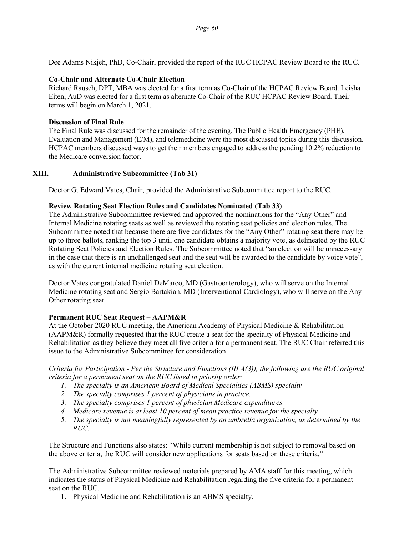Dee Adams Nikjeh, PhD, Co-Chair, provided the report of the RUC HCPAC Review Board to the RUC.

#### **Co-Chair and Alternate Co-Chair Election**

Richard Rausch, DPT, MBA was elected for a first term as Co-Chair of the HCPAC Review Board. Leisha Eiten, AuD was elected for a first term as alternate Co-Chair of the RUC HCPAC Review Board. Their terms will begin on March 1, 2021.

#### **Discussion of Final Rule**

The Final Rule was discussed for the remainder of the evening. The Public Health Emergency (PHE), Evaluation and Management (E/M), and telemedicine were the most discussed topics during this discussion. HCPAC members discussed ways to get their members engaged to address the pending 10.2% reduction to the Medicare conversion factor.

#### **XIII. Administrative Subcommittee (Tab 31)**

Doctor G. Edward Vates, Chair, provided the Administrative Subcommittee report to the RUC.

#### **Review Rotating Seat Election Rules and Candidates Nominated (Tab 33)**

The Administrative Subcommittee reviewed and approved the nominations for the "Any Other" and Internal Medicine rotating seats as well as reviewed the rotating seat policies and election rules. The Subcommittee noted that because there are five candidates for the "Any Other" rotating seat there may be up to three ballots, ranking the top 3 until one candidate obtains a majority vote, as delineated by the RUC Rotating Seat Policies and Election Rules. The Subcommittee noted that "an election will be unnecessary in the case that there is an unchallenged seat and the seat will be awarded to the candidate by voice vote", as with the current internal medicine rotating seat election.

Doctor Vates congratulated Daniel DeMarco, MD (Gastroenterology), who will serve on the Internal Medicine rotating seat and Sergio Bartakian, MD (Interventional Cardiology), who will serve on the Any Other rotating seat.

#### **Permanent RUC Seat Request – AAPM&R**

At the October 2020 RUC meeting, the American Academy of Physical Medicine & Rehabilitation (AAPM&R) formally requested that the RUC create a seat for the specialty of Physical Medicine and Rehabilitation as they believe they meet all five criteria for a permanent seat. The RUC Chair referred this issue to the Administrative Subcommittee for consideration.

#### *Criteria for Participation - Per the Structure and Functions (III.A(3)), the following are the RUC original criteria for a permanent seat on the RUC listed in priority order:*

- *1. The specialty is an American Board of Medical Specialties (ABMS) specialty*
- *2. The specialty comprises 1 percent of physicians in practice.*
- *3. The specialty comprises 1 percent of physician Medicare expenditures.*
- *4. Medicare revenue is at least 10 percent of mean practice revenue for the specialty.*
- *5. The specialty is not meaningfully represented by an umbrella organization, as determined by the RUC.*

The Structure and Functions also states: "While current membership is not subject to removal based on the above criteria, the RUC will consider new applications for seats based on these criteria."

The Administrative Subcommittee reviewed materials prepared by AMA staff for this meeting, which indicates the status of Physical Medicine and Rehabilitation regarding the five criteria for a permanent seat on the RUC.

1. Physical Medicine and Rehabilitation is an ABMS specialty.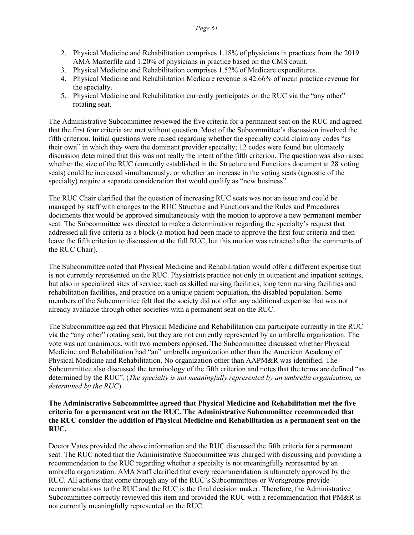- 2. Physical Medicine and Rehabilitation comprises 1.18% of physicians in practices from the 2019 AMA Masterfile and 1.20% of physicians in practice based on the CMS count.
- 3. Physical Medicine and Rehabilitation comprises 1.52% of Medicare expenditures.
- 4. Physical Medicine and Rehabilitation Medicare revenue is 42.66% of mean practice revenue for the specialty.
- 5. Physical Medicine and Rehabilitation currently participates on the RUC via the "any other" rotating seat.

The Administrative Subcommittee reviewed the five criteria for a permanent seat on the RUC and agreed that the first four criteria are met without question. Most of the Subcommittee's discussion involved the fifth criterion. Initial questions were raised regarding whether the specialty could claim any codes "as their own" in which they were the dominant provider specialty; 12 codes were found but ultimately discussion determined that this was not really the intent of the fifth criterion. The question was also raised whether the size of the RUC (currently established in the Structure and Functions document at 28 voting seats) could be increased simultaneously, or whether an increase in the voting seats (agnostic of the specialty) require a separate consideration that would qualify as "new business".

The RUC Chair clarified that the question of increasing RUC seats was not an issue and could be managed by staff with changes to the RUC Structure and Functions and the Rules and Procedures documents that would be approved simultaneously with the motion to approve a new permanent member seat. The Subcommittee was directed to make a determination regarding the specialty's request that addressed all five criteria as a block (a motion had been made to approve the first four criteria and then leave the fifth criterion to discussion at the full RUC, but this motion was retracted after the comments of the RUC Chair).

The Subcommittee noted that Physical Medicine and Rehabilitation would offer a different expertise that is not currently represented on the RUC. Physiatrists practice not only in outpatient and inpatient settings, but also in specialized sites of service, such as skilled nursing facilities, long term nursing facilities and rehabilitation facilities, and practice on a unique patient population, the disabled population. Some members of the Subcommittee felt that the society did not offer any additional expertise that was not already available through other societies with a permanent seat on the RUC.

The Subcommittee agreed that Physical Medicine and Rehabilitation can participate currently in the RUC via the "any other" rotating seat, but they are not currently represented by an umbrella organization. The vote was not unanimous, with two members opposed. The Subcommittee discussed whether Physical Medicine and Rehabilitation had "an" umbrella organization other than the American Academy of Physical Medicine and Rehabilitation. No organization other than AAPM&R was identified. The Subcommittee also discussed the terminology of the fifth criterion and notes that the terms are defined "as determined by the RUC". (*The specialty is not meaningfully represented by an umbrella organization, as determined by the RUC*).

#### **The Administrative Subcommittee agreed that Physical Medicine and Rehabilitation met the five criteria for a permanent seat on the RUC. The Administrative Subcommittee recommended that the RUC consider the addition of Physical Medicine and Rehabilitation as a permanent seat on the RUC.**

Doctor Vates provided the above information and the RUC discussed the fifth criteria for a permanent seat. The RUC noted that the Administrative Subcommittee was charged with discussing and providing a recommendation to the RUC regarding whether a specialty is not meaningfully represented by an umbrella organization. AMA Staff clarified that every recommendation is ultimately approved by the RUC. All actions that come through any of the RUC's Subcommittees or Workgroups provide recommendations to the RUC and the RUC is the final decision maker. Therefore, the Administrative Subcommittee correctly reviewed this item and provided the RUC with a recommendation that PM&R is not currently meaningfully represented on the RUC.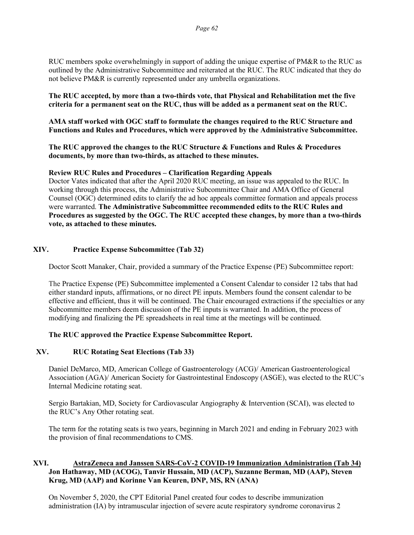RUC members spoke overwhelmingly in support of adding the unique expertise of PM&R to the RUC as outlined by the Administrative Subcommittee and reiterated at the RUC. The RUC indicated that they do not believe PM&R is currently represented under any umbrella organizations.

**The RUC accepted, by more than a two-thirds vote, that Physical and Rehabilitation met the five criteria for a permanent seat on the RUC, thus will be added as a permanent seat on the RUC.** 

**AMA staff worked with OGC staff to formulate the changes required to the RUC Structure and Functions and Rules and Procedures, which were approved by the Administrative Subcommittee.** 

**The RUC approved the changes to the RUC Structure & Functions and Rules & Procedures documents, by more than two-thirds, as attached to these minutes.**

#### **Review RUC Rules and Procedures – Clarification Regarding Appeals**

Doctor Vates indicated that after the April 2020 RUC meeting, an issue was appealed to the RUC. In working through this process, the Administrative Subcommittee Chair and AMA Office of General Counsel (OGC) determined edits to clarify the ad hoc appeals committee formation and appeals process were warranted. **The Administrative Subcommittee recommended edits to the RUC Rules and Procedures as suggested by the OGC. The RUC accepted these changes, by more than a two-thirds vote, as attached to these minutes.** 

### **XIV. Practice Expense Subcommittee (Tab 32)**

Doctor Scott Manaker, Chair, provided a summary of the Practice Expense (PE) Subcommittee report:

The Practice Expense (PE) Subcommittee implemented a Consent Calendar to consider 12 tabs that had either standard inputs, affirmations, or no direct PE inputs. Members found the consent calendar to be effective and efficient, thus it will be continued. The Chair encouraged extractions if the specialties or any Subcommittee members deem discussion of the PE inputs is warranted. In addition, the process of modifying and finalizing the PE spreadsheets in real time at the meetings will be continued.

#### **The RUC approved the Practice Expense Subcommittee Report.**

#### **XV. RUC Rotating Seat Elections (Tab 33)**

Daniel DeMarco, MD, American College of Gastroenterology (ACG)/ American Gastroenterological Association (AGA)/ American Society for Gastrointestinal Endoscopy (ASGE), was elected to the RUC's Internal Medicine rotating seat.

Sergio Bartakian, MD, Society for Cardiovascular Angiography & Intervention (SCAI), was elected to the RUC's Any Other rotating seat.

The term for the rotating seats is two years, beginning in March 2021 and ending in February 2023 with the provision of final recommendations to CMS.

#### **XVI. AstraZeneca and Janssen SARS-CoV-2 COVID-19 Immunization Administration (Tab 34) Jon Hathaway, MD (ACOG), Tanvir Hussain, MD (ACP), Suzanne Berman, MD (AAP), Steven Krug, MD (AAP) and Korinne Van Keuren, DNP, MS, RN (ANA)**

On November 5, 2020, the CPT Editorial Panel created four codes to describe immunization administration (IA) by intramuscular injection of severe acute respiratory syndrome coronavirus 2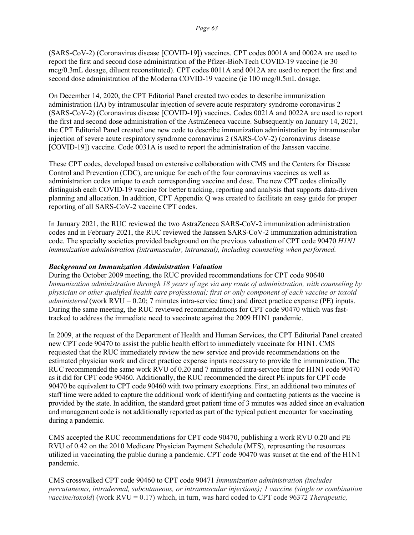(SARS-CoV-2) (Coronavirus disease [COVID-19]) vaccines. CPT codes 0001A and 0002A are used to report the first and second dose administration of the Pfizer-BioNTech COVID-19 vaccine (ie 30 mcg/0.3mL dosage, diluent reconstituted). CPT codes 0011A and 0012A are used to report the first and second dose administration of the Moderna COVID-19 vaccine (ie 100 mcg/0.5mL dosage.

On December 14, 2020, the CPT Editorial Panel created two codes to describe immunization administration (IA) by intramuscular injection of severe acute respiratory syndrome coronavirus 2 (SARS-CoV-2) (Coronavirus disease [COVID-19]) vaccines. Codes 0021A and 0022A are used to report the first and second dose administration of the AstraZeneca vaccine. Subsequently on January 14, 2021, the CPT Editorial Panel created one new code to describe immunization administration by intramuscular injection of severe acute respiratory syndrome coronavirus 2 (SARS-CoV-2) (coronavirus disease [COVID-19]) vaccine. Code 0031A is used to report the administration of the Janssen vaccine.

These CPT codes, developed based on extensive collaboration with CMS and the Centers for Disease Control and Prevention (CDC), are unique for each of the four coronavirus vaccines as well as administration codes unique to each corresponding vaccine and dose. The new CPT codes clinically distinguish each COVID-19 vaccine for better tracking, reporting and analysis that supports data-driven planning and allocation. In addition, CPT Appendix Q was created to facilitate an easy guide for proper reporting of all SARS-CoV-2 vaccine CPT codes.

In January 2021, the RUC reviewed the two AstraZeneca SARS-CoV-2 immunization administration codes and in February 2021, the RUC reviewed the Janssen SARS-CoV-2 immunization administration code. The specialty societies provided background on the previous valuation of CPT code 90470 *H1N1 immunization administration (intramuscular, intranasal), including counseling when performed.* 

#### *Background on Immunization Administration Valuation*

During the October 2009 meeting, the RUC provided recommendations for CPT code 90640 *Immunization administration through 18 years of age via any route of administration, with counseling by physician or other qualified health care professional; first or only component of each vaccine or toxoid administered* (work RVU = 0.20; 7 minutes intra-service time) and direct practice expense (PE) inputs. During the same meeting, the RUC reviewed recommendations for CPT code 90470 which was fasttracked to address the immediate need to vaccinate against the 2009 H1N1 pandemic.

In 2009, at the request of the Department of Health and Human Services, the CPT Editorial Panel created new CPT code 90470 to assist the public health effort to immediately vaccinate for H1N1. CMS requested that the RUC immediately review the new service and provide recommendations on the estimated physician work and direct practice expense inputs necessary to provide the immunization. The RUC recommended the same work RVU of 0.20 and 7 minutes of intra-service time for H1N1 code 90470 as it did for CPT code 90460. Additionally, the RUC recommended the direct PE inputs for CPT code 90470 be equivalent to CPT code 90460 with two primary exceptions. First, an additional two minutes of staff time were added to capture the additional work of identifying and contacting patients as the vaccine is provided by the state. In addition, the standard greet patient time of 3 minutes was added since an evaluation and management code is not additionally reported as part of the typical patient encounter for vaccinating during a pandemic.

CMS accepted the RUC recommendations for CPT code 90470, publishing a work RVU 0.20 and PE RVU of 0.42 on the 2010 Medicare Physician Payment Schedule (MFS), representing the resources utilized in vaccinating the public during a pandemic. CPT code 90470 was sunset at the end of the H1N1 pandemic.

CMS crosswalked CPT code 90460 to CPT code 90471 *Immunization administration (includes percutaneous, intradermal, subcutaneous, or intramuscular injections); 1 vaccine (single or combination vaccine/toxoid*) (work RVU = 0.17) which, in turn, was hard coded to CPT code 96372 *Therapeutic,*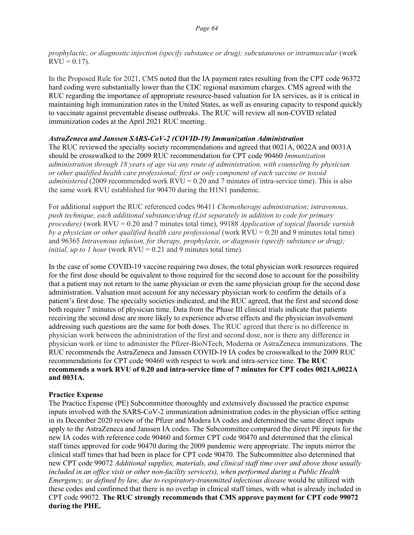*prophylactic, or diagnostic injection (specify substance or drug); subcutaneous or intramuscular* (work  $RVU = 0.17$ .

In the Proposed Rule for 2021, CMS noted that the IA payment rates resulting from the CPT code 96372 hard coding were substantially lower than the CDC regional maximum charges. CMS agreed with the RUC regarding the importance of appropriate resource-based valuation for IA services, as it is critical in maintaining high immunization rates in the United States, as well as ensuring capacity to respond quickly to vaccinate against preventable disease outbreaks. The RUC will review all non-COVID related immunization codes at the April 2021 RUC meeting.

### *AstraZeneca and Janssen SARS-CoV-2 (COVID-19) Immunization Administration*

The RUC reviewed the specialty society recommendations and agreed that 0021A, 0022A and 0031A should be crosswalked to the 2009 RUC recommendation for CPT code 90460 *Immunization administration through 18 years of age via any route of administration, with counseling by physician or other qualified health care professional; first or only component of each vaccine or toxoid administered* (2009 recommended work RVU = 0.20 and 7 minutes of intra-service time). This is also the same work RVU established for 90470 during the H1N1 pandemic.

For additional support the RUC referenced codes 96411 *Chemotherapy administration; intravenous, push technique, each additional substance/drug (List separately in addition to code for primary procedure)* (work RVU = 0.20 and 7 minutes total time), 99188 *Application of topical fluoride varnish by a physician or other qualified health care professional* (work RVU = 0.20 and 9 minutes total time) and 96365 *Intravenous infusion, for therapy, prophylaxis, or diagnosis (specify substance or drug); initial, up to 1 hour* (work  $RVU = 0.21$  and 9 minutes total time).

In the case of some COVID-19 vaccine requiring two doses, the total physician work resources required for the first dose should be equivalent to those required for the second dose to account for the possibility that a patient may not return to the same physician or even the same physician group for the second dose administration. Valuation must account for any necessary physician work to confirm the details of a patient's first dose. The specialty societies indicated, and the RUC agreed, that the first and second dose both require 7 minutes of physician time. Data from the Phase III clinical trials indicate that patients receiving the second dose are more likely to experience adverse effects and the physician involvement addressing such questions are the same for both doses. The RUC agreed that there is no difference in physician work between the administration of the first and second dose, nor is there any difference in physician work or time to administer the Pfizer-BioNTech, Moderna or AstraZeneca immunizations. The RUC recommends the AstraZeneca and Janssen COVID-19 IA codes be crosswalked to the 2009 RUC recommendations for CPT code 90460 with respect to work and intra-service time. **The RUC recommends a work RVU of 0.20 and intra-service time of 7 minutes for CPT codes 0021A,0022A and 0031A.**

# **Practice Expense**

The Practice Expense (PE) Subcommittee thoroughly and extensively discussed the practice expense inputs involved with the SARS-CoV-2 immunization administration codes in the physician office setting in its December 2020 review of the Pfizer and Modera IA codes and determined the same direct inputs apply to the AstraZeneca and Janssen IA codes. The Subcommittee compared the direct PE inputs for the new IA codes with reference code 90460 and former CPT code 90470 and determined that the clinical staff times approved for code 90470 during the 2009 pandemic were appropriate. The inputs mirror the clinical staff times that had been in place for CPT code 90470. The Subcommittee also determined that new CPT code 99072 *Additional supplies, materials, and clinical staff time over and above those usually included in an office visit or other non-facility service(s), when performed during a Public Health Emergency, as defined by law, due to respiratory-transmitted infectious disease* would be utilized with these codes and confirmed that there is no overlap in clinical staff times, with what is already included in CPT code 99072. **The RUC strongly recommends that CMS approve payment for CPT code 99072 during the PHE.**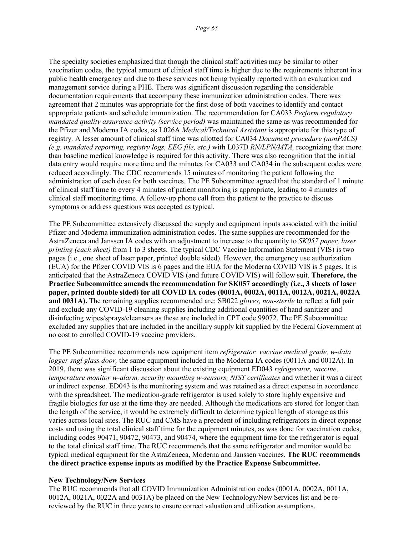The specialty societies emphasized that though the clinical staff activities may be similar to other vaccination codes, the typical amount of clinical staff time is higher due to the requirements inherent in a public health emergency and due to these services not being typically reported with an evaluation and management service during a PHE. There was significant discussion regarding the considerable documentation requirements that accompany these immunization administration codes. There was agreement that 2 minutes was appropriate for the first dose of both vaccines to identify and contact appropriate patients and schedule immunization. The recommendation for CA033 *Perform regulatory mandated quality assurance activity (service period)* was maintained the same as was recommended for the Pfizer and Moderna IA codes, as L026A *Medical/Technical Assistant* is appropriate for this type of registry*.* A lesser amount of clinical staff time was allotted for CA034 *Document procedure (nonPACS) (e.g. mandated reporting, registry logs, EEG file, etc.)* with L037D *RN/LPN/MTA,* recognizing that more than baseline medical knowledge is required for this activity. There was also recognition that the initial data entry would require more time and the minutes for CA033 and CA034 in the subsequent codes were reduced accordingly. The CDC recommends 15 minutes of monitoring the patient following the administration of each dose for both vaccines. The PE Subcommittee agreed that the standard of 1 minute of clinical staff time to every 4 minutes of patient monitoring is appropriate, leading to 4 minutes of clinical staff monitoring time. A follow-up phone call from the patient to the practice to discuss symptoms or address questions was accepted as typical.

The PE Subcommittee extensively discussed the supply and equipment inputs associated with the initial Pfizer and Moderna immunization administration codes. The same supplies are recommended for the AstraZeneca and Janssen IA codes with an adjustment to increase to the quantity to *SK057 paper, laser printing (each sheet)* from 1 to 3 sheets. The typical CDC Vaccine Information Statement (VIS) is two pages (i.e., one sheet of laser paper, printed double sided). However, the emergency use authorization (EUA) for the Pfizer COVID VIS is 6 pages and the EUA for the Moderna COVID VIS is 5 pages. It is anticipated that the AstraZeneca COVID VIS (and future COVID VIS) will follow suit. **Therefore, the Practice Subcommittee amends the recommendation for SK057 accordingly (i.e., 3 sheets of laser paper, printed double sided) for all COVID IA codes (0001A, 0002A, 0011A, 0012A, 0021A, 0022A and 0031A).** The remaining supplies recommended are: SB022 *gloves, non-sterile* to reflect a full pair and exclude any COVID-19 cleaning supplies including additional quantities of hand sanitizer and disinfecting wipes/sprays/cleansers as these are included in CPT code 99072. The PE Subcommittee excluded any supplies that are included in the ancillary supply kit supplied by the Federal Government at no cost to enrolled COVID-19 vaccine providers.

The PE Subcommittee recommends new equipment item *refrigerator, vaccine medical grade, w-data logger sngl glass door*, the same equipment included in the Moderna IA codes (0011A and 0012A). In 2019, there was significant discussion about the existing equipment ED043 *refrigerator, vaccine, temperature monitor w-alarm, security mounting w-sensors, NIST certificates* and whether it was a direct or indirect expense. ED043 is the monitoring system and was retained as a direct expense in accordance with the spreadsheet. The medication-grade refrigerator is used solely to store highly expensive and fragile biologics for use at the time they are needed. Although the medications are stored for longer than the length of the service, it would be extremely difficult to determine typical length of storage as this varies across local sites. The RUC and CMS have a precedent of including refrigerators in direct expense costs and using the total clinical staff time for the equipment minutes, as was done for vaccination codes, including codes 90471, 90472, 90473, and 90474, where the equipment time for the refrigerator is equal to the total clinical staff time. The RUC recommends that the same refrigerator and monitor would be typical medical equipment for the AstraZeneca, Moderna and Janssen vaccines. **The RUC recommends the direct practice expense inputs as modified by the Practice Expense Subcommittee.** 

#### **New Technology/New Services**

The RUC recommends that all COVID Immunization Administration codes (0001A, 0002A, 0011A, 0012A, 0021A, 0022A and 0031A) be placed on the New Technology/New Services list and be rereviewed by the RUC in three years to ensure correct valuation and utilization assumptions.